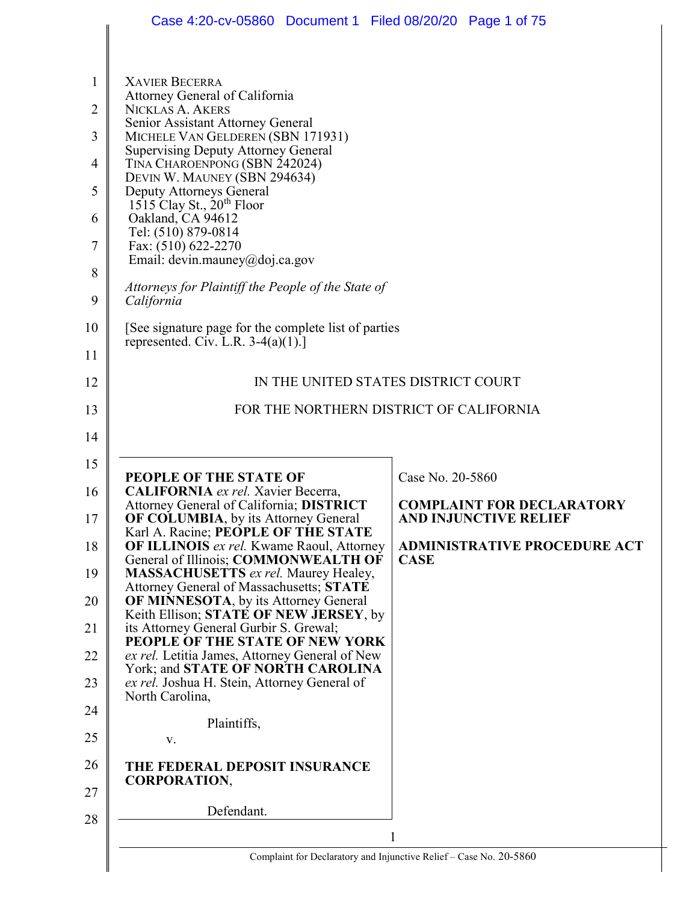|                | Case 4:20-cv-05860 Document 1 Filed 08/20/20 Page 1 of 75                                 |                                                                    |
|----------------|-------------------------------------------------------------------------------------------|--------------------------------------------------------------------|
|                |                                                                                           |                                                                    |
| 1              | <b>XAVIER BECERRA</b>                                                                     |                                                                    |
| $\overline{2}$ | Attorney General of California<br><b>NICKLAS A. AKERS</b>                                 |                                                                    |
| 3              | Senior Assistant Attorney General<br>MICHELE VAN GELDEREN (SBN 171931)                    |                                                                    |
| 4              | <b>Supervising Deputy Attorney General</b><br>TINA CHAROENPONG (SBN 242024)               |                                                                    |
| 5              | DEVIN W. MAUNEY (SBN 294634)<br>Deputy Attorneys General                                  |                                                                    |
| 6              | 1515 Clay St., $20^{th}$ Floor<br>Oakland, CA 94612                                       |                                                                    |
| 7              | Tel: (510) 879-0814<br>Fax: (510) 622-2270                                                |                                                                    |
|                | Email: devin.mauney@doj.ca.gov                                                            |                                                                    |
| 8<br>9         | Attorneys for Plaintiff the People of the State of<br>California                          |                                                                    |
| 10             | [See signature page for the complete list of parties]                                     |                                                                    |
| 11             | represented. Civ. L.R. $3-4(a)(1)$ .]                                                     |                                                                    |
| 12             | IN THE UNITED STATES DISTRICT COURT                                                       |                                                                    |
| 13             | FOR THE NORTHERN DISTRICT OF CALIFORNIA                                                   |                                                                    |
| 14             |                                                                                           |                                                                    |
| 15             |                                                                                           |                                                                    |
| 16             | PEOPLE OF THE STATE OF<br>CALIFORNIA ex rel. Xavier Becerra,                              | Case No. 20-5860                                                   |
| 17             | Attorney General of California; DISTRICT<br><b>OF COLUMBIA, by its Attorney General</b>   | <b>COMPLAINT FOR DECLARATORY</b><br><b>AND INJUNCTIVE RELIEF</b>   |
| 18             | Karl A. Racine; PEOPLE OF THE STATE<br><b>OF ILLINOIS</b> ex rel. Kwame Raoul, Attorney   | <b>ADMINISTRATIVE PROCEDURE ACT</b>                                |
| 19             | General of Illinois; COMMONWEALTH OF<br><b>MASSACHUSETTS</b> ex rel. Maurey Healey,       | <b>CASE</b>                                                        |
| 20             | Attorney General of Massachusetts; STATE<br><b>OF MINNESOTA</b> , by its Attorney General |                                                                    |
| 21             | Keith Ellison; STATE OF NEW JERSEY, by<br>its Attorney General Gurbir S. Grewal;          |                                                                    |
| 22             | PEOPLE OF THE STATE OF NEW YORK<br>ex rel. Letitia James, Attorney General of New         |                                                                    |
| 23             | York; and <b>STATE OF NORTH CAROLINA</b><br>ex rel. Joshua H. Stein, Attorney General of  |                                                                    |
| 24             | North Carolina,                                                                           |                                                                    |
| 25             | Plaintiffs,<br>V.                                                                         |                                                                    |
| 26             | THE FEDERAL DEPOSIT INSURANCE                                                             |                                                                    |
| 27             | <b>CORPORATION,</b>                                                                       |                                                                    |
| 28             | Defendant.                                                                                |                                                                    |
|                |                                                                                           | 1                                                                  |
|                |                                                                                           | Complaint for Declaratory and Injunctive Relief - Case No. 20-5860 |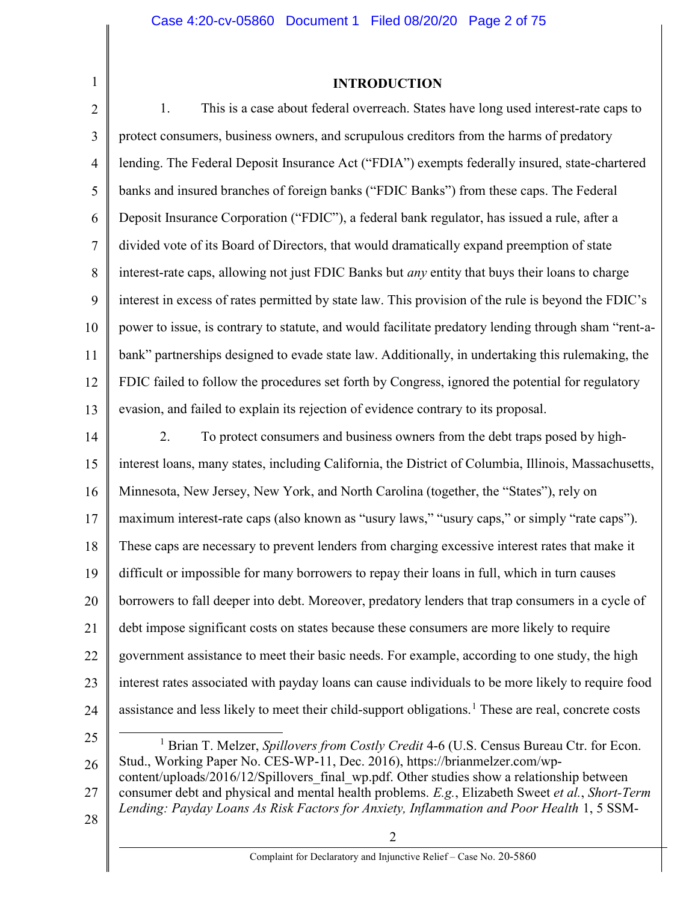#### INTRODUCTION

2 3 4 5 6 7 8 9 10 11 12 13 14 15 16 1. This is a case about federal overreach. States have long used interest-rate caps to protect consumers, business owners, and scrupulous creditors from the harms of predatory lending. The Federal Deposit Insurance Act ("FDIA") exempts federally insured, state-chartered banks and insured branches of foreign banks ("FDIC Banks") from these caps. The Federal Deposit Insurance Corporation ("FDIC"), a federal bank regulator, has issued a rule, after a divided vote of its Board of Directors, that would dramatically expand preemption of state interest-rate caps, allowing not just FDIC Banks but any entity that buys their loans to charge interest in excess of rates permitted by state law. This provision of the rule is beyond the FDIC's power to issue, is contrary to statute, and would facilitate predatory lending through sham "rent-abank" partnerships designed to evade state law. Additionally, in undertaking this rulemaking, the FDIC failed to follow the procedures set forth by Congress, ignored the potential for regulatory evasion, and failed to explain its rejection of evidence contrary to its proposal. 2. To protect consumers and business owners from the debt traps posed by highinterest loans, many states, including California, the District of Columbia, Illinois, Massachusetts, Minnesota, New Jersey, New York, and North Carolina (together, the "States"), rely on

17 maximum interest-rate caps (also known as "usury laws," "usury caps," or simply "rate caps").

18 These caps are necessary to prevent lenders from charging excessive interest rates that make it

19 difficult or impossible for many borrowers to repay their loans in full, which in turn causes

20 borrowers to fall deeper into debt. Moreover, predatory lenders that trap consumers in a cycle of

21 debt impose significant costs on states because these consumers are more likely to require

22 government assistance to meet their basic needs. For example, according to one study, the high

interest rates associated with payday loans can cause individuals to be more likely to require food

24 assistance and less likely to meet their child-support obligations.<sup>1</sup> These are real, concrete costs

25

23

26 27 <sup>1</sup> Brian T. Melzer, Spillovers from Costly Credit 4-6 (U.S. Census Bureau Ctr. for Econ. Stud., Working Paper No. CES-WP-11, Dec. 2016), https://brianmelzer.com/wpcontent/uploads/2016/12/Spillovers final wp.pdf. Other studies show a relationship between consumer debt and physical and mental health problems. E.g., Elizabeth Sweet et al., Short-Term Lending: Payday Loans As Risk Factors for Anxiety, Inflammation and Poor Health 1, 5 SSM-

28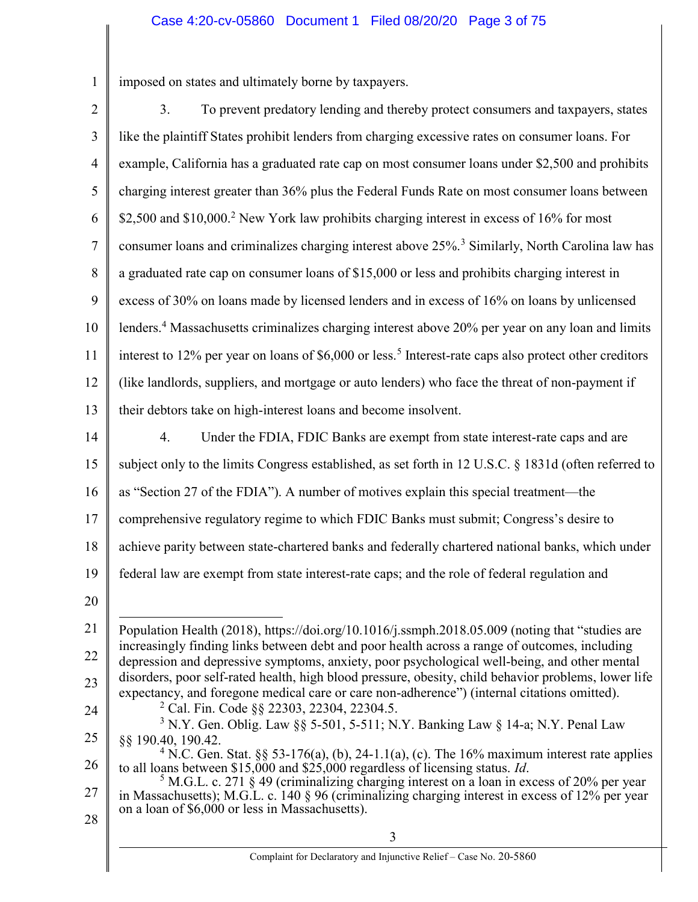1 imposed on states and ultimately borne by taxpayers.

| $\sqrt{2}$     | 3.<br>To prevent predatory lending and thereby protect consumers and taxpayers, states                                                                                                                                                             |
|----------------|----------------------------------------------------------------------------------------------------------------------------------------------------------------------------------------------------------------------------------------------------|
| 3              | like the plaintiff States prohibit lenders from charging excessive rates on consumer loans. For                                                                                                                                                    |
| $\overline{4}$ | example, California has a graduated rate cap on most consumer loans under \$2,500 and prohibits                                                                                                                                                    |
| 5              | charging interest greater than 36% plus the Federal Funds Rate on most consumer loans between                                                                                                                                                      |
| 6              | \$2,500 and \$10,000. <sup>2</sup> New York law prohibits charging interest in excess of 16% for most                                                                                                                                              |
| $\tau$         | consumer loans and criminalizes charging interest above 25%. <sup>3</sup> Similarly, North Carolina law has                                                                                                                                        |
| 8              | a graduated rate cap on consumer loans of \$15,000 or less and prohibits charging interest in                                                                                                                                                      |
| 9              | excess of 30% on loans made by licensed lenders and in excess of 16% on loans by unlicensed                                                                                                                                                        |
| 10             | lenders. <sup>4</sup> Massachusetts criminalizes charging interest above 20% per year on any loan and limits                                                                                                                                       |
| 11             | interest to 12% per year on loans of \$6,000 or less. <sup>5</sup> Interest-rate caps also protect other creditors                                                                                                                                 |
| 12             | (like landlords, suppliers, and mortgage or auto lenders) who face the threat of non-payment if                                                                                                                                                    |
| 13             | their debtors take on high-interest loans and become insolvent.                                                                                                                                                                                    |
| 14             | 4.<br>Under the FDIA, FDIC Banks are exempt from state interest-rate caps and are                                                                                                                                                                  |
| 15             | subject only to the limits Congress established, as set forth in 12 U.S.C. § 1831d (often referred to                                                                                                                                              |
| 16             | as "Section 27 of the FDIA"). A number of motives explain this special treatment-the                                                                                                                                                               |
| 17             | comprehensive regulatory regime to which FDIC Banks must submit; Congress's desire to                                                                                                                                                              |
| 18             | achieve parity between state-chartered banks and federally chartered national banks, which under                                                                                                                                                   |
| 19             | federal law are exempt from state interest-rate caps; and the role of federal regulation and                                                                                                                                                       |
| 20             |                                                                                                                                                                                                                                                    |
| 21             | Population Health (2018), https://doi.org/10.1016/j.ssmph.2018.05.009 (noting that "studies are                                                                                                                                                    |
| 22             | increasingly finding links between debt and poor health across a range of outcomes, including<br>depression and depressive symptoms, anxiety, poor psychological well-being, and other mental                                                      |
| 23             | disorders, poor self-rated health, high blood pressure, obesity, child behavior problems, lower life<br>expectancy, and foregone medical care or care non-adherence") (internal citations omitted).                                                |
| 24             | <sup>2</sup> Cal. Fin. Code §§ 22303, 22304, 22304.5.<br><sup>3</sup> N.Y. Gen. Oblig. Law §§ 5-501, 5-511; N.Y. Banking Law § 14-a; N.Y. Penal Law                                                                                                |
| 25             | §§ 190.40, 190.42.                                                                                                                                                                                                                                 |
| 26             | <sup>4</sup> N.C. Gen. Stat. §§ 53-176(a), (b), 24-1.1(a), (c). The 16% maximum interest rate applies<br>to all loans between \$15,000 and \$25,000 regardless of licensing status. Id.                                                            |
| 27             | $5$ M.G.L. c. 271 § 49 (criminalizing charging interest on a loan in excess of 20% per year<br>in Massachusetts); M.G.L. c. 140 § 96 (criminalizing charging interest in excess of 12% per year<br>on a loan of \$6,000 or less in Massachusetts). |
| 28             | 3                                                                                                                                                                                                                                                  |
|                |                                                                                                                                                                                                                                                    |

║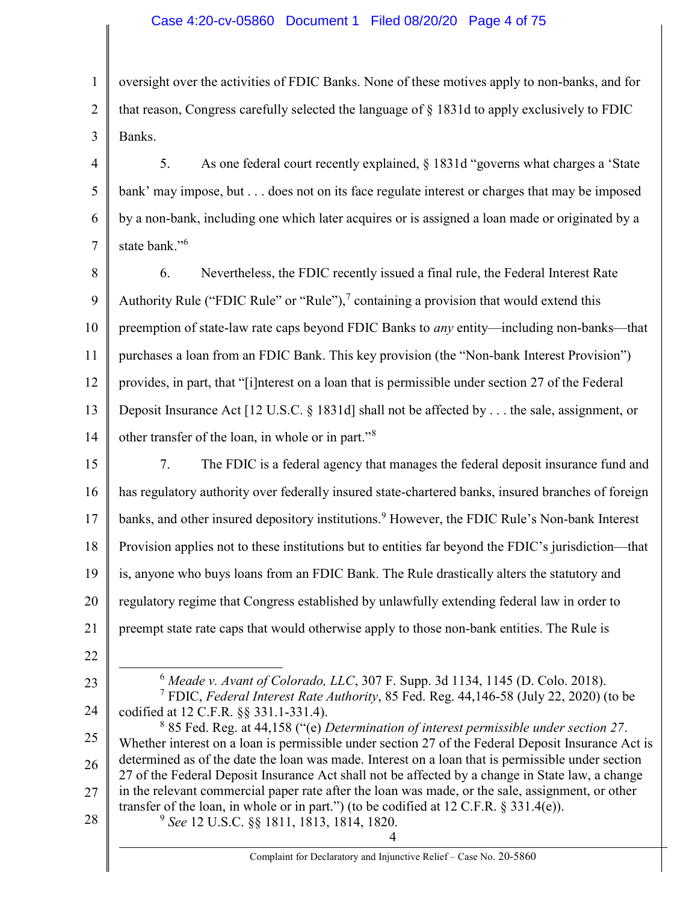#### Case 4:20-cv-05860 Document 1 Filed 08/20/20 Page 4 of 75

1 2 3 oversight over the activities of FDIC Banks. None of these motives apply to non-banks, and for that reason, Congress carefully selected the language of § 1831d to apply exclusively to FDIC Banks.

4 5 6 7 5. As one federal court recently explained, § 1831d "governs what charges a 'State bank' may impose, but . . . does not on its face regulate interest or charges that may be imposed by a non-bank, including one which later acquires or is assigned a loan made or originated by a state bank."<sup>6</sup>

8 9 10 11 12 13 14 6. Nevertheless, the FDIC recently issued a final rule, the Federal Interest Rate Authority Rule ("FDIC Rule" or "Rule"),<sup>7</sup> containing a provision that would extend this preemption of state-law rate caps beyond FDIC Banks to any entity—including non-banks—that purchases a loan from an FDIC Bank. This key provision (the "Non-bank Interest Provision") provides, in part, that "[i]nterest on a loan that is permissible under section 27 of the Federal Deposit Insurance Act [12 U.S.C. § 1831d] shall not be affected by . . . the sale, assignment, or other transfer of the loan, in whole or in part."<sup>8</sup>

15 16 17 18 19 20 21 7. The FDIC is a federal agency that manages the federal deposit insurance fund and has regulatory authority over federally insured state-chartered banks, insured branches of foreign banks, and other insured depository institutions.<sup>9</sup> However, the FDIC Rule's Non-bank Interest Provision applies not to these institutions but to entities far beyond the FDIC's jurisdiction—that is, anyone who buys loans from an FDIC Bank. The Rule drastically alters the statutory and regulatory regime that Congress established by unlawfully extending federal law in order to preempt state rate caps that would otherwise apply to those non-bank entities. The Rule is

22

23

<sup>6</sup> Meade v. Avant of Colorado, LLC, 307 F. Supp. 3d 1134, 1145 (D. Colo. 2018). <sup>7</sup> FDIC, Federal Interest Rate Authority, 85 Fed. Reg. 44,146-58 (July 22, 2020) (to be

24 codified at 12 C.F.R. §§ 331.1-331.4).

25 26 27 28  $885$  Fed. Reg. at 44,158 ("(e) Determination of interest permissible under section 27. Whether interest on a loan is permissible under section 27 of the Federal Deposit Insurance Act is determined as of the date the loan was made. Interest on a loan that is permissible under section 27 of the Federal Deposit Insurance Act shall not be affected by a change in State law, a change in the relevant commercial paper rate after the loan was made, or the sale, assignment, or other transfer of the loan, in whole or in part.") (to be codified at  $12$  C.F.R. § 331.4(e)).

 $^{9}$  See 12 U.S.C. §§ 1811, 1813, 1814, 1820.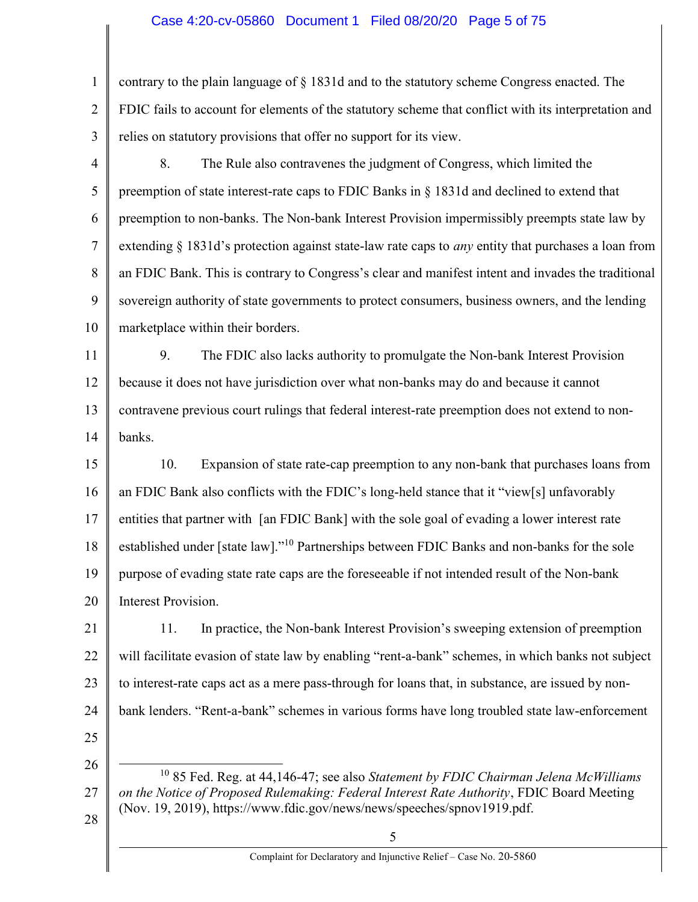#### Case 4:20-cv-05860 Document 1 Filed 08/20/20 Page 5 of 75

1 2 3 contrary to the plain language of § 1831d and to the statutory scheme Congress enacted. The FDIC fails to account for elements of the statutory scheme that conflict with its interpretation and relies on statutory provisions that offer no support for its view.

- 4 5 6 7 8 9 10 8. The Rule also contravenes the judgment of Congress, which limited the preemption of state interest-rate caps to FDIC Banks in § 1831d and declined to extend that preemption to non-banks. The Non-bank Interest Provision impermissibly preempts state law by extending  $\S 1831d$ 's protection against state-law rate caps to *any* entity that purchases a loan from an FDIC Bank. This is contrary to Congress's clear and manifest intent and invades the traditional sovereign authority of state governments to protect consumers, business owners, and the lending marketplace within their borders.
- 11 12 13 14 9. The FDIC also lacks authority to promulgate the Non-bank Interest Provision because it does not have jurisdiction over what non-banks may do and because it cannot contravene previous court rulings that federal interest-rate preemption does not extend to nonbanks.
- 15 16 17 18 19 20 10. Expansion of state rate-cap preemption to any non-bank that purchases loans from an FDIC Bank also conflicts with the FDIC's long-held stance that it "view[s] unfavorably entities that partner with [an FDIC Bank] with the sole goal of evading a lower interest rate established under [state law]."<sup>10</sup> Partnerships between FDIC Banks and non-banks for the sole purpose of evading state rate caps are the foreseeable if not intended result of the Non-bank Interest Provision.
- 21 22 23 24 11. In practice, the Non-bank Interest Provision's sweeping extension of preemption will facilitate evasion of state law by enabling "rent-a-bank" schemes, in which banks not subject to interest-rate caps act as a mere pass-through for loans that, in substance, are issued by nonbank lenders. "Rent-a-bank" schemes in various forms have long troubled state law-enforcement
- 25 26

 $\overline{a}$ 

27

28

- $10$  85 Fed. Reg. at 44,146-47; see also Statement by FDIC Chairman Jelena McWilliams on the Notice of Proposed Rulemaking: Federal Interest Rate Authority, FDIC Board Meeting (Nov. 19, 2019), https://www.fdic.gov/news/news/speeches/spnov1919.pdf.
	- 5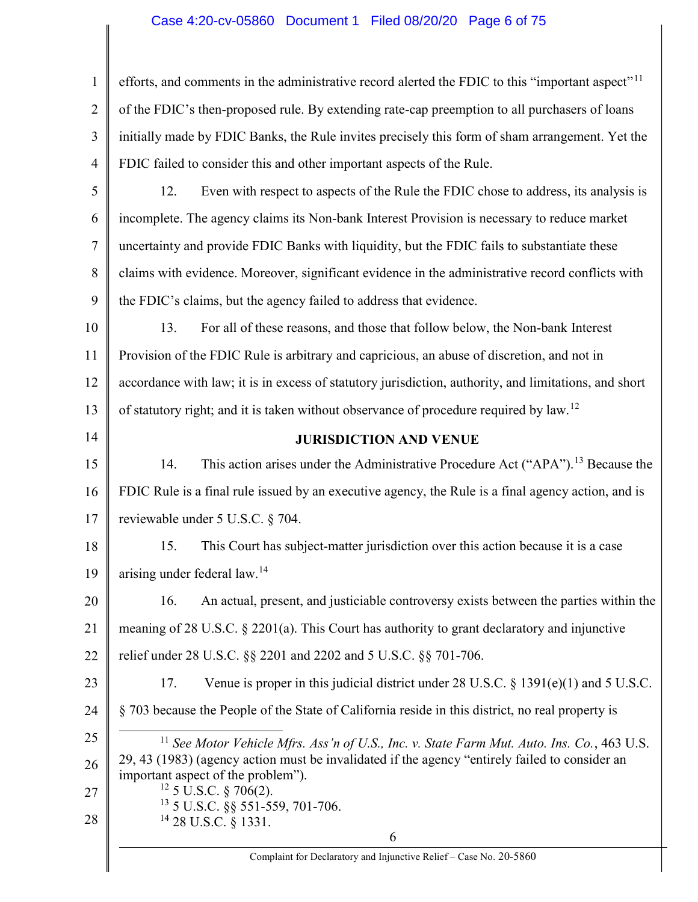# Case 4:20-cv-05860 Document 1 Filed 08/20/20 Page 6 of 75

| $\mathbf{1}$   | efforts, and comments in the administrative record alerted the FDIC to this "important aspect" <sup>11</sup>                         |
|----------------|--------------------------------------------------------------------------------------------------------------------------------------|
| $\overline{2}$ | of the FDIC's then-proposed rule. By extending rate-cap preemption to all purchasers of loans                                        |
| 3              | initially made by FDIC Banks, the Rule invites precisely this form of sham arrangement. Yet the                                      |
| 4              | FDIC failed to consider this and other important aspects of the Rule.                                                                |
| 5              | Even with respect to aspects of the Rule the FDIC chose to address, its analysis is<br>12.                                           |
| 6              | incomplete. The agency claims its Non-bank Interest Provision is necessary to reduce market                                          |
| 7              | uncertainty and provide FDIC Banks with liquidity, but the FDIC fails to substantiate these                                          |
| 8              | claims with evidence. Moreover, significant evidence in the administrative record conflicts with                                     |
| 9              | the FDIC's claims, but the agency failed to address that evidence.                                                                   |
| 10             | For all of these reasons, and those that follow below, the Non-bank Interest<br>13.                                                  |
| 11             | Provision of the FDIC Rule is arbitrary and capricious, an abuse of discretion, and not in                                           |
| 12             | accordance with law; it is in excess of statutory jurisdiction, authority, and limitations, and short                                |
| 13             | of statutory right; and it is taken without observance of procedure required by law. <sup>12</sup>                                   |
| 14             | <b>JURISDICTION AND VENUE</b>                                                                                                        |
| 15             | This action arises under the Administrative Procedure Act ("APA"). <sup>13</sup> Because the<br>14.                                  |
| 16             | FDIC Rule is a final rule issued by an executive agency, the Rule is a final agency action, and is                                   |
| 17             | reviewable under 5 U.S.C. § 704.                                                                                                     |
| 18             | This Court has subject-matter jurisdiction over this action because it is a case<br>15.                                              |
| 19             | arising under federal law. <sup>14</sup>                                                                                             |
| 20             | An actual, present, and justiciable controversy exists between the parties within the<br>16.                                         |
| 21             | meaning of $28$ U.S.C. § $2201(a)$ . This Court has authority to grant declaratory and injunctive                                    |
| 22             | relief under 28 U.S.C. §§ 2201 and 2202 and 5 U.S.C. §§ 701-706.                                                                     |
| 23             | Venue is proper in this judicial district under $28$ U.S.C. § 1391(e)(1) and $5$ U.S.C.<br>17.                                       |
| 24             | § 703 because the People of the State of California reside in this district, no real property is                                     |
| 25             | $11$ See Motor Vehicle Mfrs. Ass'n of U.S., Inc. v. State Farm Mut. Auto. Ins. Co., 463 U.S.                                         |
| 26             | 29, 43 (1983) (agency action must be invalidated if the agency "entirely failed to consider an<br>important aspect of the problem"). |
| 27             | $12$ 5 U.S.C. § 706(2).                                                                                                              |
| 28             | <sup>13</sup> 5 U.S.C. §§ 551-559, 701-706.<br>$14$ 28 U.S.C. § 1331.                                                                |
|                | 6                                                                                                                                    |
|                | Complaint for Declaratory and Injunctive Relief - Case No. 20-5860                                                                   |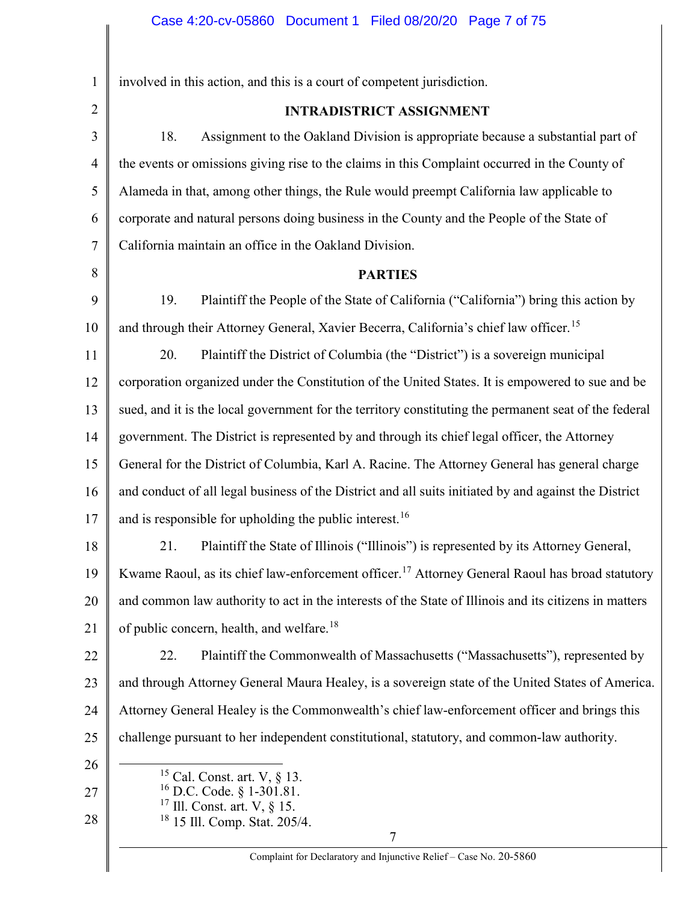| $\mathbf{1}$   | involved in this action, and this is a court of competent jurisdiction.                                     |
|----------------|-------------------------------------------------------------------------------------------------------------|
| $\overline{2}$ | <b>INTRADISTRICT ASSIGNMENT</b>                                                                             |
| 3              | 18.<br>Assignment to the Oakland Division is appropriate because a substantial part of                      |
| $\overline{4}$ | the events or omissions giving rise to the claims in this Complaint occurred in the County of               |
| 5              | Alameda in that, among other things, the Rule would preempt California law applicable to                    |
| 6              | corporate and natural persons doing business in the County and the People of the State of                   |
| 7              | California maintain an office in the Oakland Division.                                                      |
| 8              | <b>PARTIES</b>                                                                                              |
| 9              | Plaintiff the People of the State of California ("California") bring this action by<br>19.                  |
| 10             | and through their Attorney General, Xavier Becerra, California's chief law officer. <sup>15</sup>           |
| 11             | 20.<br>Plaintiff the District of Columbia (the "District") is a sovereign municipal                         |
| 12             | corporation organized under the Constitution of the United States. It is empowered to sue and be            |
| 13             | sued, and it is the local government for the territory constituting the permanent seat of the federal       |
| 14             | government. The District is represented by and through its chief legal officer, the Attorney                |
| 15             | General for the District of Columbia, Karl A. Racine. The Attorney General has general charge               |
| 16             | and conduct of all legal business of the District and all suits initiated by and against the District       |
| 17             | and is responsible for upholding the public interest. <sup>16</sup>                                         |
| 18             | Plaintiff the State of Illinois ("Illinois") is represented by its Attorney General,<br>21.                 |
| 19             | Kwame Raoul, as its chief law-enforcement officer. <sup>17</sup> Attorney General Raoul has broad statutory |
| 20             | and common law authority to act in the interests of the State of Illinois and its citizens in matters       |
| 21             | of public concern, health, and welfare. <sup>18</sup>                                                       |
| 22             | Plaintiff the Commonwealth of Massachusetts ("Massachusetts"), represented by<br>22.                        |
| 23             | and through Attorney General Maura Healey, is a sovereign state of the United States of America.            |
| 24             | Attorney General Healey is the Commonwealth's chief law-enforcement officer and brings this                 |
| 25             | challenge pursuant to her independent constitutional, statutory, and common-law authority.                  |
| 26             | <sup>15</sup> Cal. Const. art. V, $\S$ 13.                                                                  |
| 27             | <sup>16</sup> D.C. Code. § 1-301.81.<br>$17$ Ill. Const. art. V, § 15.                                      |
| 28             | <sup>18</sup> 15 Ill. Comp. Stat. 205/4.                                                                    |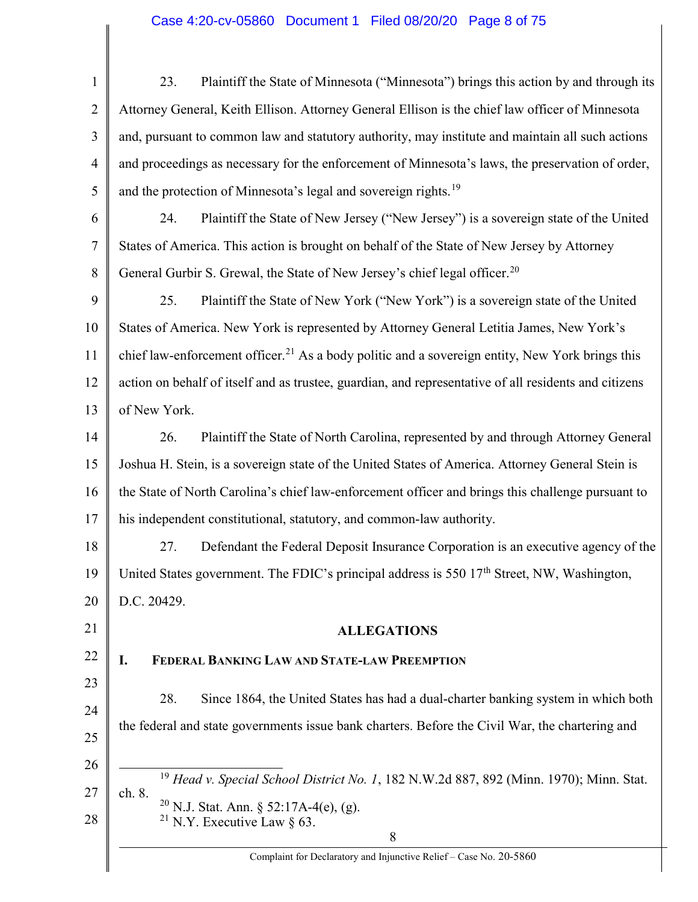| Plaintiff the State of Minnesota ("Minnesota") brings this action by and through its<br>23.                 |
|-------------------------------------------------------------------------------------------------------------|
| Attorney General, Keith Ellison. Attorney General Ellison is the chief law officer of Minnesota             |
| and, pursuant to common law and statutory authority, may institute and maintain all such actions            |
| and proceedings as necessary for the enforcement of Minnesota's laws, the preservation of order,            |
| and the protection of Minnesota's legal and sovereign rights. <sup>19</sup>                                 |
| Plaintiff the State of New Jersey ("New Jersey") is a sovereign state of the United<br>24.                  |
| States of America. This action is brought on behalf of the State of New Jersey by Attorney                  |
| General Gurbir S. Grewal, the State of New Jersey's chief legal officer. <sup>20</sup>                      |
| Plaintiff the State of New York ("New York") is a sovereign state of the United<br>25.                      |
| States of America. New York is represented by Attorney General Letitia James, New York's                    |
| chief law-enforcement officer. <sup>21</sup> As a body politic and a sovereign entity, New York brings this |
| action on behalf of itself and as trustee, guardian, and representative of all residents and citizens       |
| of New York.                                                                                                |
| Plaintiff the State of North Carolina, represented by and through Attorney General<br>26.                   |
| Joshua H. Stein, is a sovereign state of the United States of America. Attorney General Stein is            |
| the State of North Carolina's chief law-enforcement officer and brings this challenge pursuant to           |
| his independent constitutional, statutory, and common-law authority.                                        |
| Defendant the Federal Deposit Insurance Corporation is an executive agency of the<br>27.                    |
| United States government. The FDIC's principal address is 550 17 <sup>th</sup> Street, NW, Washington,      |
| D.C. 20429.                                                                                                 |
| <b>ALLEGATIONS</b>                                                                                          |
| FEDERAL BANKING LAW AND STATE-LAW PREEMPTION<br>I.                                                          |
| 28.<br>Since 1864, the United States has had a dual-charter banking system in which both                    |
| the federal and state governments issue bank charters. Before the Civil War, the chartering and             |
|                                                                                                             |
| <sup>19</sup> Head v. Special School District No. 1, 182 N.W.2d 887, 892 (Minn. 1970); Minn. Stat.          |
| ch. 8.<br><sup>20</sup> N.J. Stat. Ann. § 52:17A-4(e), (g).                                                 |
| <sup>21</sup> N.Y. Executive Law $\S$ 63.<br>8                                                              |
| Complaint for Declaratory and Injunctive Relief - Case No. 20-5860                                          |
|                                                                                                             |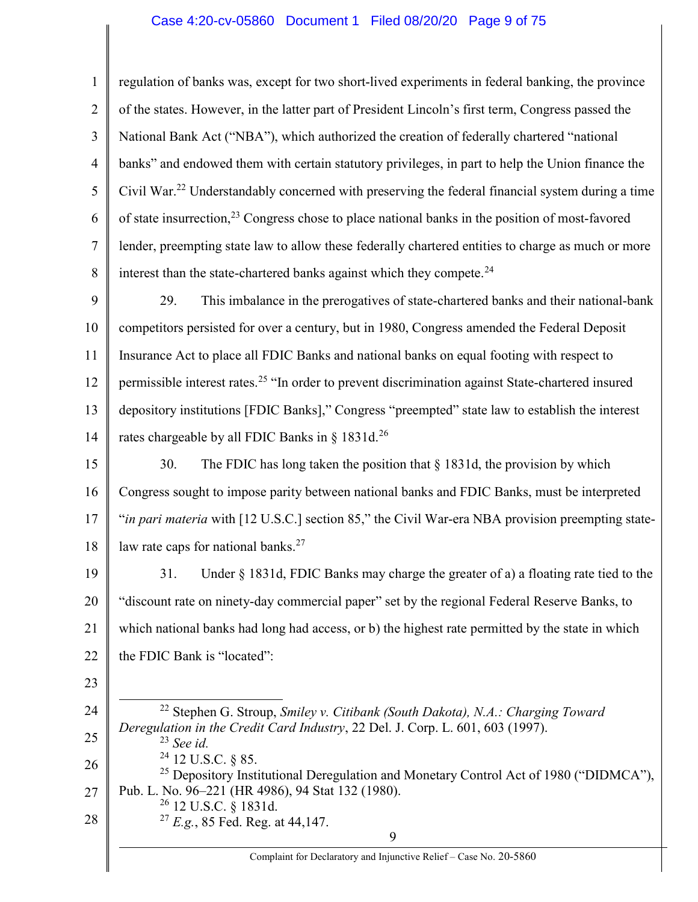#### Case 4:20-cv-05860 Document 1 Filed 08/20/20 Page 9 of 75

1 2 3 4 5 6 7 8 9 10 11 12 13 14 15 16 17 18 19 20 21 22 23 24 25 26 27 28 9 regulation of banks was, except for two short-lived experiments in federal banking, the province of the states. However, in the latter part of President Lincoln's first term, Congress passed the National Bank Act ("NBA"), which authorized the creation of federally chartered "national banks" and endowed them with certain statutory privileges, in part to help the Union finance the Civil War.<sup>22</sup> Understandably concerned with preserving the federal financial system during a time of state insurrection,  $2^3$  Congress chose to place national banks in the position of most-favored lender, preempting state law to allow these federally chartered entities to charge as much or more interest than the state-chartered banks against which they compete. $^{24}$ 29. This imbalance in the prerogatives of state-chartered banks and their national-bank competitors persisted for over a century, but in 1980, Congress amended the Federal Deposit Insurance Act to place all FDIC Banks and national banks on equal footing with respect to permissible interest rates.<sup>25</sup> "In order to prevent discrimination against State-chartered insured depository institutions [FDIC Banks]," Congress "preempted" state law to establish the interest rates chargeable by all FDIC Banks in  $\S$  1831d.<sup>26</sup> 30. The FDIC has long taken the position that  $\S$  1831d, the provision by which Congress sought to impose parity between national banks and FDIC Banks, must be interpreted "in pari materia with [12 U.S.C.] section 85," the Civil War-era NBA provision preempting statelaw rate caps for national banks.<sup>27</sup> 31. Under § 1831d, FDIC Banks may charge the greater of a) a floating rate tied to the "discount rate on ninety-day commercial paper" set by the regional Federal Reserve Banks, to which national banks had long had access, or b) the highest rate permitted by the state in which the FDIC Bank is "located":  $\overline{a}$ <sup>22</sup> Stephen G. Stroup, Smiley v. Citibank (South Dakota), N.A.: Charging Toward Deregulation in the Credit Card Industry, 22 Del. J. Corp. L. 601, 603 (1997).  $23$  See id. <sup>24</sup> 12 U.S.C. § 85. <sup>25</sup> Depository Institutional Deregulation and Monetary Control Act of 1980 ("DIDMCA"), Pub. L. No. 96–221 (HR 4986), 94 Stat 132 (1980). <sup>26</sup> 12 U.S.C. § 1831d.  $^{27}$  E.g., 85 Fed. Reg. at 44,147.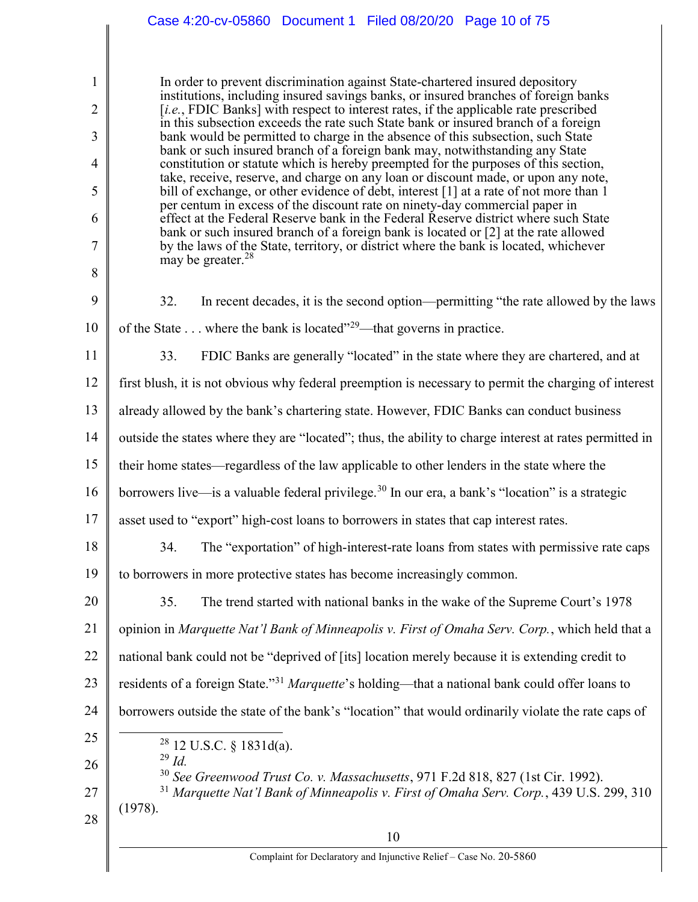#### 1 2 3 4 5 6 7 8 9 10 11 12 13 14 15 16 17 18 19 20 21 22 23 24 25 26 27 28 10 In order to prevent discrimination against State-chartered insured depository institutions, including insured savings banks, or insured branches of foreign banks [*i.e.*, FDIC Banks] with respect to interest rates, if the applicable rate prescribed in this subsection exceeds the rate such State bank or insured branch of a foreign bank would be permitted to charge in the absence of this subsection, such State bank or such insured branch of a foreign bank may, notwithstanding any State constitution or statute which is hereby preempted for the purposes of this section, take, receive, reserve, and charge on any loan or discount made, or upon any note, bill of exchange, or other evidence of debt, interest [1] at a rate of not more than 1 per centum in excess of the discount rate on ninety-day commercial paper in effect at the Federal Reserve bank in the Federal Reserve district where such State bank or such insured branch of a foreign bank is located or [2] at the rate allowed by the laws of the State, territory, or district where the bank is located, whichever may be greater. $^{28}$ 32. In recent decades, it is the second option—permitting "the rate allowed by the laws of the State  $\dots$  where the bank is located"<sup>29</sup>—that governs in practice. 33. FDIC Banks are generally "located" in the state where they are chartered, and at first blush, it is not obvious why federal preemption is necessary to permit the charging of interest already allowed by the bank's chartering state. However, FDIC Banks can conduct business outside the states where they are "located"; thus, the ability to charge interest at rates permitted in their home states—regardless of the law applicable to other lenders in the state where the borrowers live—is a valuable federal privilege.<sup>30</sup> In our era, a bank's "location" is a strategic asset used to "export" high-cost loans to borrowers in states that cap interest rates. 34. The "exportation" of high-interest-rate loans from states with permissive rate caps to borrowers in more protective states has become increasingly common. 35. The trend started with national banks in the wake of the Supreme Court's 1978 opinion in Marquette Nat'l Bank of Minneapolis v. First of Omaha Serv. Corp., which held that a national bank could not be "deprived of [its] location merely because it is extending credit to residents of a foreign State."<sup>31</sup> Marquette's holding—that a national bank could offer loans to borrowers outside the state of the bank's "location" that would ordinarily violate the rate caps of  $28$  12 U.S.C. § 1831d(a).  $^{29}$  Id. <sup>30</sup> See Greenwood Trust Co. v. Massachusetts, 971 F.2d 818, 827 (1st Cir. 1992).  $31$  Marquette Nat'l Bank of Minneapolis v. First of Omaha Serv. Corp., 439 U.S. 299, 310 (1978). Case 4:20-cv-05860 Document 1 Filed 08/20/20 Page 10 of 75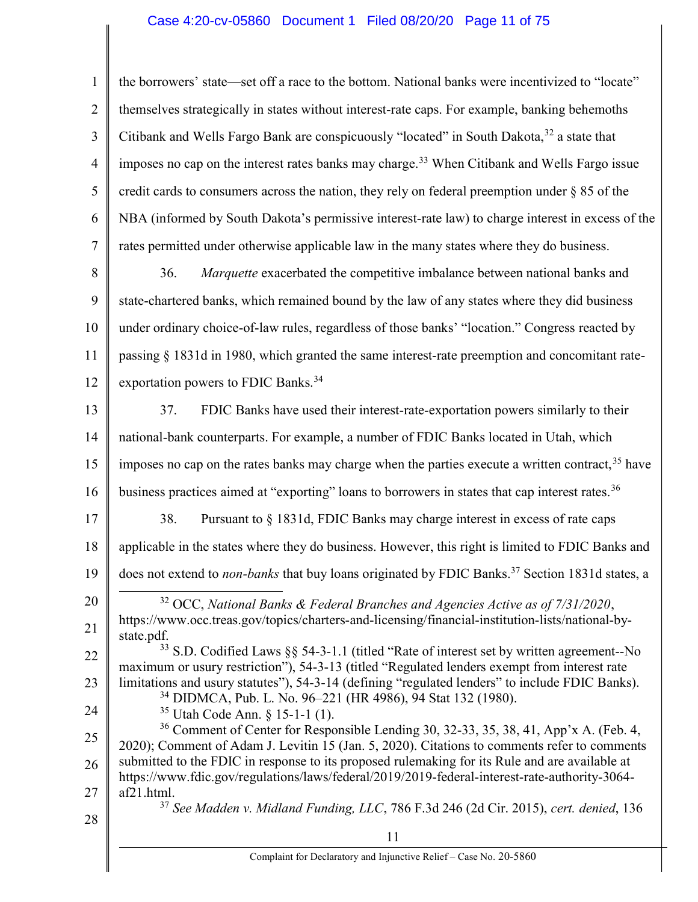### Case 4:20-cv-05860 Document 1 Filed 08/20/20 Page 11 of 75

1 2 3 4 5 6 7 the borrowers' state—set off a race to the bottom. National banks were incentivized to "locate" themselves strategically in states without interest-rate caps. For example, banking behemoths Citibank and Wells Fargo Bank are conspicuously "located" in South Dakota,  $32$  a state that imposes no cap on the interest rates banks may charge.<sup>33</sup> When Citibank and Wells Fargo issue credit cards to consumers across the nation, they rely on federal preemption under § 85 of the NBA (informed by South Dakota's permissive interest-rate law) to charge interest in excess of the rates permitted under otherwise applicable law in the many states where they do business.

8 9 10 11 12 36. Marquette exacerbated the competitive imbalance between national banks and state-chartered banks, which remained bound by the law of any states where they did business under ordinary choice-of-law rules, regardless of those banks' "location." Congress reacted by passing § 1831d in 1980, which granted the same interest-rate preemption and concomitant rateexportation powers to FDIC Banks.<sup>34</sup>

13 14 15 16 37. FDIC Banks have used their interest-rate-exportation powers similarly to their national-bank counterparts. For example, a number of FDIC Banks located in Utah, which imposes no cap on the rates banks may charge when the parties execute a written contract,  $35$  have business practices aimed at "exporting" loans to borrowers in states that cap interest rates.<sup>36</sup>

17 18 19 38. Pursuant to § 1831d, FDIC Banks may charge interest in excess of rate caps applicable in the states where they do business. However, this right is limited to FDIC Banks and does not extend to *non-banks* that buy loans originated by FDIC Banks.<sup>37</sup> Section 1831d states, a

20 21  $\overline{a}$  $32$  OCC, National Banks & Federal Branches and Agencies Active as of  $7/31/2020$ , https://www.occ.treas.gov/topics/charters-and-licensing/financial-institution-lists/national-bystate.pdf.

22 23 <sup>33</sup> S.D. Codified Laws §§ 54-3-1.1 (titled "Rate of interest set by written agreement--No maximum or usury restriction"), 54-3-13 (titled "Regulated lenders exempt from interest rate limitations and usury statutes"), 54-3-14 (defining "regulated lenders" to include FDIC Banks).

<sup>34</sup> DIDMCA, Pub. L. No. 96–221 (HR 4986), 94 Stat 132 (1980).

<sup>35</sup> Utah Code Ann. § 15-1-1 (1).

25 26 27 <sup>36</sup> Comment of Center for Responsible Lending 30, 32-33, 35, 38, 41, App'x A. (Feb. 4, 2020); Comment of Adam J. Levitin 15 (Jan. 5, 2020). Citations to comments refer to comments submitted to the FDIC in response to its proposed rulemaking for its Rule and are available at https://www.fdic.gov/regulations/laws/federal/2019/2019-federal-interest-rate-authority-3064 af21.html.  $37$  See Madden v. Midland Funding, LLC, 786 F.3d 246 (2d Cir. 2015), cert. denied, 136

28

24

11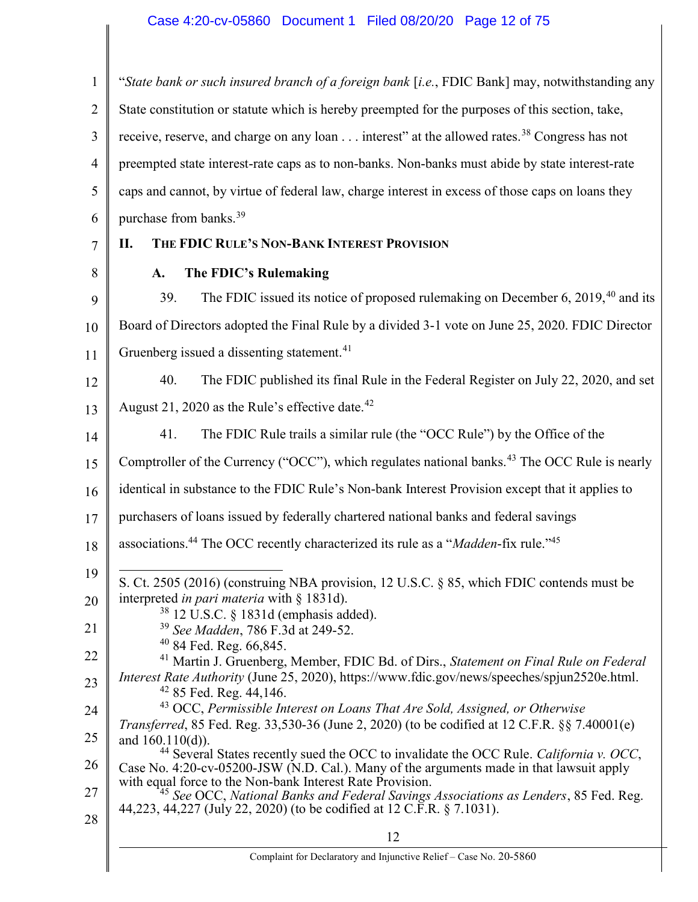# Case 4:20-cv-05860 Document 1 Filed 08/20/20 Page 12 of 75

| $\mathbf{1}$   | "State bank or such insured branch of a foreign bank [i.e., FDIC Bank] may, notwithstanding any                                                                                                 |
|----------------|-------------------------------------------------------------------------------------------------------------------------------------------------------------------------------------------------|
| $\overline{2}$ | State constitution or statute which is hereby preempted for the purposes of this section, take,                                                                                                 |
| 3              | receive, reserve, and charge on any loan interest" at the allowed rates. <sup>38</sup> Congress has not                                                                                         |
| $\overline{4}$ | preempted state interest-rate caps as to non-banks. Non-banks must abide by state interest-rate                                                                                                 |
| 5              | caps and cannot, by virtue of federal law, charge interest in excess of those caps on loans they                                                                                                |
| 6              | purchase from banks. <sup>39</sup>                                                                                                                                                              |
| 7              | THE FDIC RULE'S NON-BANK INTEREST PROVISION<br>П.                                                                                                                                               |
| 8              | The FDIC's Rulemaking<br>A.                                                                                                                                                                     |
| 9              | The FDIC issued its notice of proposed rulemaking on December 6, $2019,^{40}$ and its<br>39.                                                                                                    |
| 10             | Board of Directors adopted the Final Rule by a divided 3-1 vote on June 25, 2020. FDIC Director                                                                                                 |
| 11             | Gruenberg issued a dissenting statement. <sup>41</sup>                                                                                                                                          |
| 12             | The FDIC published its final Rule in the Federal Register on July 22, 2020, and set<br>40.                                                                                                      |
| 13             | August 21, 2020 as the Rule's effective date. <sup>42</sup>                                                                                                                                     |
| 14             | The FDIC Rule trails a similar rule (the "OCC Rule") by the Office of the<br>41.                                                                                                                |
| 15             | Comptroller of the Currency ("OCC"), which regulates national banks. <sup>43</sup> The OCC Rule is nearly                                                                                       |
| 16             | identical in substance to the FDIC Rule's Non-bank Interest Provision except that it applies to                                                                                                 |
| 17             | purchasers of loans issued by federally chartered national banks and federal savings                                                                                                            |
| 18             | associations. <sup>44</sup> The OCC recently characterized its rule as a "Madden-fix rule." <sup>45</sup>                                                                                       |
| 19             | S. Ct. 2505 (2016) (construing NBA provision, 12 U.S.C. § 85, which FDIC contends must be                                                                                                       |
| 20             | interpreted in pari materia with § 1831d).<br>$38$ 12 U.S.C. § 1831d (emphasis added).                                                                                                          |
| 21             | <sup>39</sup> See Madden, 786 F.3d at 249-52.                                                                                                                                                   |
| 22             | $40$ 84 Fed. Reg. 66,845.<br><sup>41</sup> Martin J. Gruenberg, Member, FDIC Bd. of Dirs., Statement on Final Rule on Federal                                                                   |
| 23             | Interest Rate Authority (June 25, 2020), https://www.fdic.gov/news/speeches/spjun2520e.html.<br>$42$ 85 Fed. Reg. 44,146.                                                                       |
| 24             | <sup>43</sup> OCC, Permissible Interest on Loans That Are Sold, Assigned, or Otherwise<br><i>Transferred</i> , 85 Fed. Reg. 33,530-36 (June 2, 2020) (to be codified at 12 C.F.R. §§ 7.40001(e) |
| 25             | and $160.110(d)$ ).                                                                                                                                                                             |
| 26             | $44$ Several States recently sued the OCC to invalidate the OCC Rule. California v. OCC,<br>Case No. 4:20-cv-05200-JSW (N.D. Cal.). Many of the arguments made in that lawsuit apply            |
| 27             | with equal force to the Non-bank Interest Rate Provision.<br><sup>45</sup> See OCC, National Banks and Federal Savings Associations as Lenders, 85 Fed. Reg.                                    |
| 28             | 44,223, 44,227 (July 22, 2020) (to be codified at 12 C.F.R. § 7.1031).                                                                                                                          |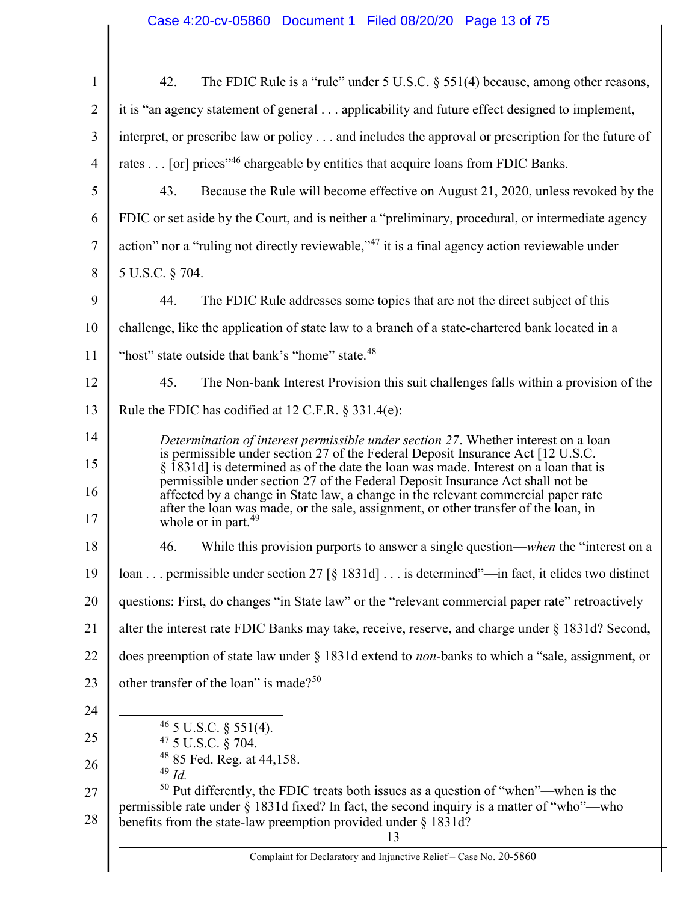| $\mathbf{1}$   | 42.<br>The FDIC Rule is a "rule" under 5 U.S.C. $\S$ 551(4) because, among other reasons,                                                                                           |
|----------------|-------------------------------------------------------------------------------------------------------------------------------------------------------------------------------------|
| $\overline{2}$ | it is "an agency statement of general applicability and future effect designed to implement,                                                                                        |
| 3              | interpret, or prescribe law or policy and includes the approval or prescription for the future of                                                                                   |
| $\overline{4}$ | rates [or] prices" <sup>46</sup> chargeable by entities that acquire loans from FDIC Banks.                                                                                         |
| 5              | 43.<br>Because the Rule will become effective on August 21, 2020, unless revoked by the                                                                                             |
| 6              | FDIC or set aside by the Court, and is neither a "preliminary, procedural, or intermediate agency                                                                                   |
| $\tau$         | action" nor a "ruling not directly reviewable," <sup>47</sup> it is a final agency action reviewable under                                                                          |
| 8              | 5 U.S.C. § 704.                                                                                                                                                                     |
| 9              | 44.<br>The FDIC Rule addresses some topics that are not the direct subject of this                                                                                                  |
| 10             | challenge, like the application of state law to a branch of a state-chartered bank located in a                                                                                     |
| 11             | "host" state outside that bank's "home" state. <sup>48</sup>                                                                                                                        |
| 12             | 45.<br>The Non-bank Interest Provision this suit challenges falls within a provision of the                                                                                         |
| 13             | Rule the FDIC has codified at 12 C.F.R. $\S$ 331.4(e):                                                                                                                              |
| 14             | Determination of interest permissible under section 27. Whether interest on a loan                                                                                                  |
| 15             | is permissible under section 27 of the Federal Deposit Insurance Act [12 U.S.C.]<br>§ 1831d] is determined as of the date the loan was made. Interest on a loan that is             |
| 16             | permissible under section 27 of the Federal Deposit Insurance Act shall not be<br>affected by a change in State law, a change in the relevant commercial paper rate                 |
| 17             | after the loan was made, or the sale, assignment, or other transfer of the loan, in<br>whole or in part. <sup>49</sup>                                                              |
| 18             | 46.<br>While this provision purports to answer a single question— <i>when</i> the "interest on a                                                                                    |
| 19             | $\parallel$ loan  permissible under section 27 [§ 1831d]  is determined"—in fact, it elides two distinct                                                                            |
| 20             | questions: First, do changes "in State law" or the "relevant commercial paper rate" retroactively                                                                                   |
| 21             | alter the interest rate FDIC Banks may take, receive, reserve, and charge under § 1831d? Second,                                                                                    |
| 22             | does preemption of state law under § 1831d extend to <i>non</i> -banks to which a "sale, assignment, or                                                                             |
| 23             | other transfer of the loan" is made? <sup>50</sup>                                                                                                                                  |
| 24             |                                                                                                                                                                                     |
| 25             | $46$ 5 U.S.C. § 551(4).<br><sup>47</sup> 5 U.S.C. § 704.                                                                                                                            |
| 26             | <sup>48</sup> 85 Fed. Reg. at 44,158.<br>$49$ Id.                                                                                                                                   |
| 27             | $50$ Put differently, the FDIC treats both issues as a question of "when"—when is the<br>permissible rate under § 1831d fixed? In fact, the second inquiry is a matter of "who"—who |
| 28             | benefits from the state-law preemption provided under $\S$ 1831d?<br>13                                                                                                             |
|                | Complaint for Declaratory and Injunctive Relief - Case No. 20-5860                                                                                                                  |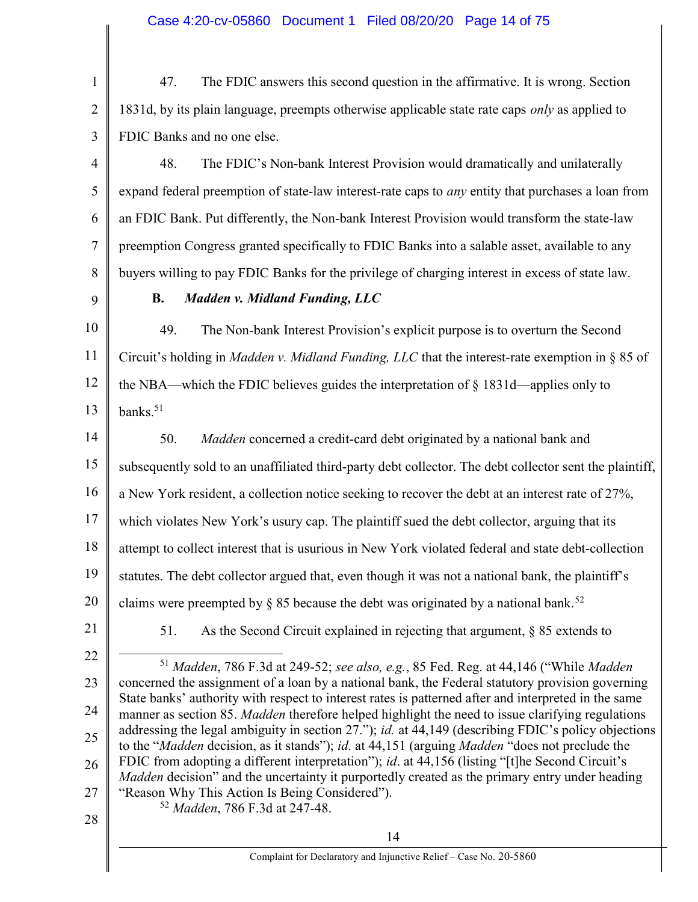47. The FDIC answers this second question in the affirmative. It is wrong. Section 1831d, by its plain language, preempts otherwise applicable state rate caps *only* as applied to FDIC Banks and no one else.

4 5 6 7 8 48. The FDIC's Non-bank Interest Provision would dramatically and unilaterally expand federal preemption of state-law interest-rate caps to *any* entity that purchases a loan from an FDIC Bank. Put differently, the Non-bank Interest Provision would transform the state-law preemption Congress granted specifically to FDIC Banks into a salable asset, available to any buyers willing to pay FDIC Banks for the privilege of charging interest in excess of state law.

9

1

2

3

### B. Madden v. Midland Funding, LLC

10 11 12 13 49. The Non-bank Interest Provision's explicit purpose is to overturn the Second Circuit's holding in *Madden v. Midland Funding, LLC* that the interest-rate exemption in  $\S 85$  of the NBA—which the FDIC believes guides the interpretation of  $\S 1831d$ —applies only to banks. $51$ 

14 15 16 17 18 19 20 50. Madden concerned a credit-card debt originated by a national bank and subsequently sold to an unaffiliated third-party debt collector. The debt collector sent the plaintiff, a New York resident, a collection notice seeking to recover the debt at an interest rate of 27%, which violates New York's usury cap. The plaintiff sued the debt collector, arguing that its attempt to collect interest that is usurious in New York violated federal and state debt-collection statutes. The debt collector argued that, even though it was not a national bank, the plaintiff's claims were preempted by § 85 because the debt was originated by a national bank.<sup>52</sup>

21

51. As the Second Circuit explained in rejecting that argument, § 85 extends to

22 23 24 25 26 27 28  $51$  *Madden, 786 F.3d at 249-52; see also, e.g., 85 Fed. Reg. at 44,146 ("While Madden*" concerned the assignment of a loan by a national bank, the Federal statutory provision governing State banks' authority with respect to interest rates is patterned after and interpreted in the same manner as section 85. *Madden* therefore helped highlight the need to issue clarifying regulations addressing the legal ambiguity in section 27."); *id.* at 44,149 (describing FDIC's policy objections to the "Madden decision, as it stands"); id. at 44,151 (arguing Madden "does not preclude the FDIC from adopting a different interpretation"); *id.* at 44,156 (listing "[t]he Second Circuit's Madden decision" and the uncertainty it purportedly created as the primary entry under heading "Reason Why This Action Is Being Considered"). <sup>52</sup> Madden, 786 F.3d at 247-48.

14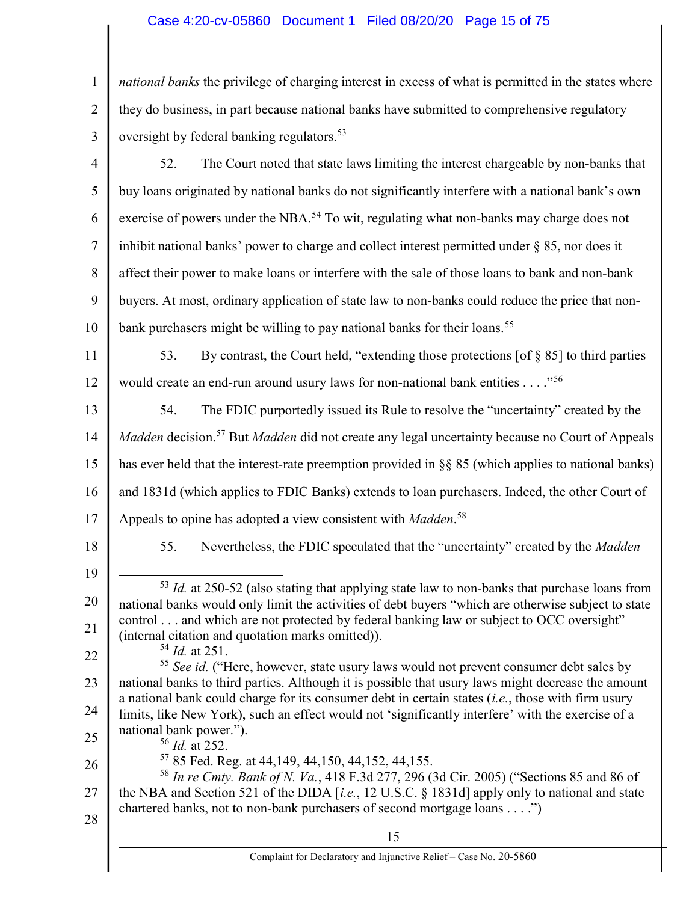# Case 4:20-cv-05860 Document 1 Filed 08/20/20 Page 15 of 75

| $\mathbf{1}$   | national banks the privilege of charging interest in excess of what is permitted in the states where                                                                                                      |
|----------------|-----------------------------------------------------------------------------------------------------------------------------------------------------------------------------------------------------------|
| $\overline{2}$ | they do business, in part because national banks have submitted to comprehensive regulatory                                                                                                               |
| 3              | oversight by federal banking regulators. <sup>53</sup>                                                                                                                                                    |
| $\overline{4}$ | The Court noted that state laws limiting the interest chargeable by non-banks that<br>52.                                                                                                                 |
| 5              | buy loans originated by national banks do not significantly interfere with a national bank's own                                                                                                          |
| 6              | exercise of powers under the NBA. <sup>54</sup> To wit, regulating what non-banks may charge does not                                                                                                     |
| $\tau$         | inhibit national banks' power to charge and collect interest permitted under $\S$ 85, nor does it                                                                                                         |
| 8              | affect their power to make loans or interfere with the sale of those loans to bank and non-bank                                                                                                           |
| 9              | buyers. At most, ordinary application of state law to non-banks could reduce the price that non-                                                                                                          |
| 10             | bank purchasers might be willing to pay national banks for their loans. <sup>55</sup>                                                                                                                     |
| 11             | By contrast, the Court held, "extending those protections [of § 85] to third parties<br>53.                                                                                                               |
| 12             | would create an end-run around usury laws for non-national bank entities" <sup>56</sup>                                                                                                                   |
| 13             | The FDIC purportedly issued its Rule to resolve the "uncertainty" created by the<br>54.                                                                                                                   |
| 14             | Madden decision. <sup>57</sup> But Madden did not create any legal uncertainty because no Court of Appeals                                                                                                |
| 15             | has ever held that the interest-rate preemption provided in $\S$ 85 (which applies to national banks)                                                                                                     |
| 16             | and 1831d (which applies to FDIC Banks) extends to loan purchasers. Indeed, the other Court of                                                                                                            |
| 17             | Appeals to opine has adopted a view consistent with Madden. <sup>58</sup>                                                                                                                                 |
| 18             | Nevertheless, the FDIC speculated that the "uncertainty" created by the Madden<br>55.                                                                                                                     |
| 19             | $53$ <i>Id.</i> at 250-52 (also stating that applying state law to non-banks that purchase loans from                                                                                                     |
| 20             | national banks would only limit the activities of debt buyers "which are otherwise subject to state                                                                                                       |
| 21             | control and which are not protected by federal banking law or subject to OCC oversight"<br>(internal citation and quotation marks omitted)).                                                              |
| 22             | $54$ <i>Id.</i> at 251.<br><sup>55</sup> See id. ("Here, however, state usury laws would not prevent consumer debt sales by                                                                               |
| 23             | national banks to third parties. Although it is possible that usury laws might decrease the amount<br>a national bank could charge for its consumer debt in certain states $(i.e.,$ those with firm usury |
| 24             | limits, like New York), such an effect would not 'significantly interfere' with the exercise of a                                                                                                         |
| 25             | national bank power.").<br>$56$ <i>Id.</i> at 252.                                                                                                                                                        |
| 26             | 57 85 Fed. Reg. at 44, 149, 44, 150, 44, 152, 44, 155.<br><sup>58</sup> In re Cmty. Bank of N. Va., 418 F.3d 277, 296 (3d Cir. 2005) ("Sections 85 and 86 of                                              |
| 27             | the NBA and Section 521 of the DIDA [i.e., 12 U.S.C. § 1831d] apply only to national and state<br>chartered banks, not to non-bank purchasers of second mortgage loans")                                  |
| 28             | 15                                                                                                                                                                                                        |

║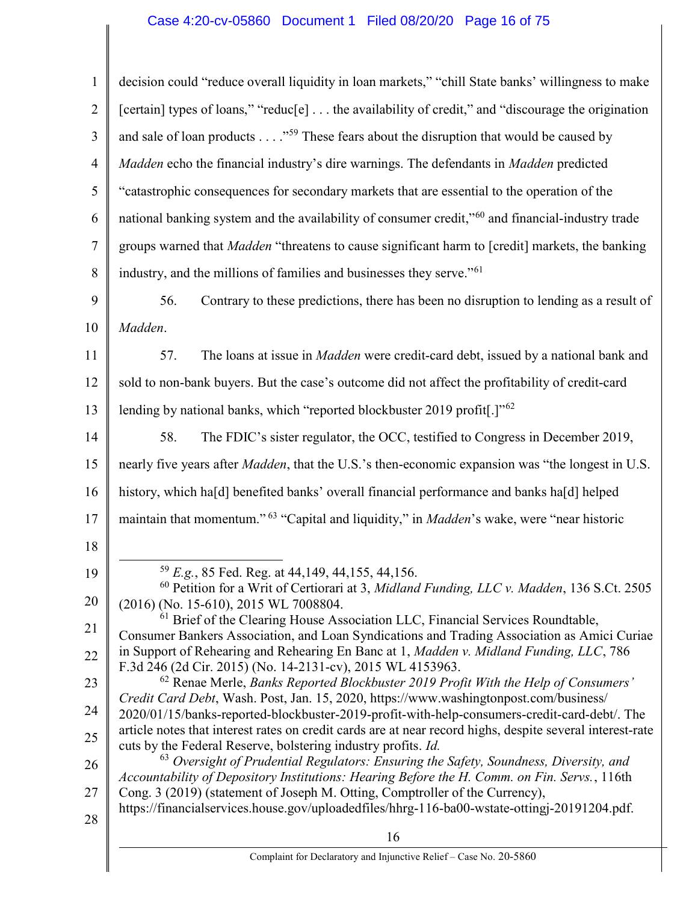# Case 4:20-cv-05860 Document 1 Filed 08/20/20 Page 16 of 75

| $\mathbf{1}$   | decision could "reduce overall liquidity in loan markets," "chill State banks' willingness to make                                                                                    |
|----------------|---------------------------------------------------------------------------------------------------------------------------------------------------------------------------------------|
| $\overline{2}$ | [certain] types of loans," "reduc[e] the availability of credit," and "discourage the origination                                                                                     |
| 3              | and sale of loan products $\dots$ $59$ These fears about the disruption that would be caused by                                                                                       |
| $\overline{4}$ | Madden echo the financial industry's dire warnings. The defendants in Madden predicted                                                                                                |
| 5              | "catastrophic consequences for secondary markets that are essential to the operation of the                                                                                           |
| 6              | national banking system and the availability of consumer credit," <sup>60</sup> and financial-industry trade                                                                          |
| $\tau$         | groups warned that Madden "threatens to cause significant harm to [credit] markets, the banking                                                                                       |
| 8              | industry, and the millions of families and businesses they serve." <sup>61</sup>                                                                                                      |
| 9              | Contrary to these predictions, there has been no disruption to lending as a result of<br>56.                                                                                          |
| 10             | Madden.                                                                                                                                                                               |
| 11             | The loans at issue in <i>Madden</i> were credit-card debt, issued by a national bank and<br>57.                                                                                       |
| 12             | sold to non-bank buyers. But the case's outcome did not affect the profitability of credit-card                                                                                       |
| 13             | lending by national banks, which "reported blockbuster 2019 profit[.]" <sup>62</sup>                                                                                                  |
| 14             | The FDIC's sister regulator, the OCC, testified to Congress in December 2019,<br>58.                                                                                                  |
| 15             | nearly five years after <i>Madden</i> , that the U.S.'s then-economic expansion was "the longest in U.S.                                                                              |
| 16             | history, which ha[d] benefited banks' overall financial performance and banks ha[d] helped                                                                                            |
| 17             | maintain that momentum." <sup>63</sup> "Capital and liquidity," in <i>Madden</i> 's wake, were "near historic                                                                         |
| 18             |                                                                                                                                                                                       |
| 19             | $^{59}$ E.g., 85 Fed. Reg. at 44,149, 44,155, 44,156.                                                                                                                                 |
| 20             | $60$ Petition for a Writ of Certiorari at 3, Midland Funding, LLC v. Madden, 136 S.Ct. 2505<br>(2016) (No. 15-610), 2015 WL 7008804.                                                  |
| 21             | $61$ Brief of the Clearing House Association LLC, Financial Services Roundtable,<br>Consumer Bankers Association, and Loan Syndications and Trading Association as Amici Curiae       |
| 22             | in Support of Rehearing and Rehearing En Banc at 1, Madden v. Midland Funding, LLC, 786<br>F.3d 246 (2d Cir. 2015) (No. 14-2131-cv), 2015 WL 4153963.                                 |
| 23             | $^{62}$ Renae Merle, Banks Reported Blockbuster 2019 Profit With the Help of Consumers'                                                                                               |
| 24             | Credit Card Debt, Wash. Post, Jan. 15, 2020, https://www.washingtonpost.com/business/<br>2020/01/15/banks-reported-blockbuster-2019-profit-with-help-consumers-credit-card-debt/. The |
| 25             | article notes that interest rates on credit cards are at near record highs, despite several interest-rate<br>cuts by the Federal Reserve, bolstering industry profits. Id.            |
| 26             | <sup>63</sup> Oversight of Prudential Regulators: Ensuring the Safety, Soundness, Diversity, and                                                                                      |
| 27             | Accountability of Depository Institutions: Hearing Before the H. Comm. on Fin. Servs., 116th<br>Cong. 3 (2019) (statement of Joseph M. Otting, Comptroller of the Currency),          |
| 28             | https://financialservices.house.gov/uploadedfiles/hhrg-116-ba00-wstate-ottingj-20191204.pdf.                                                                                          |
|                | 16                                                                                                                                                                                    |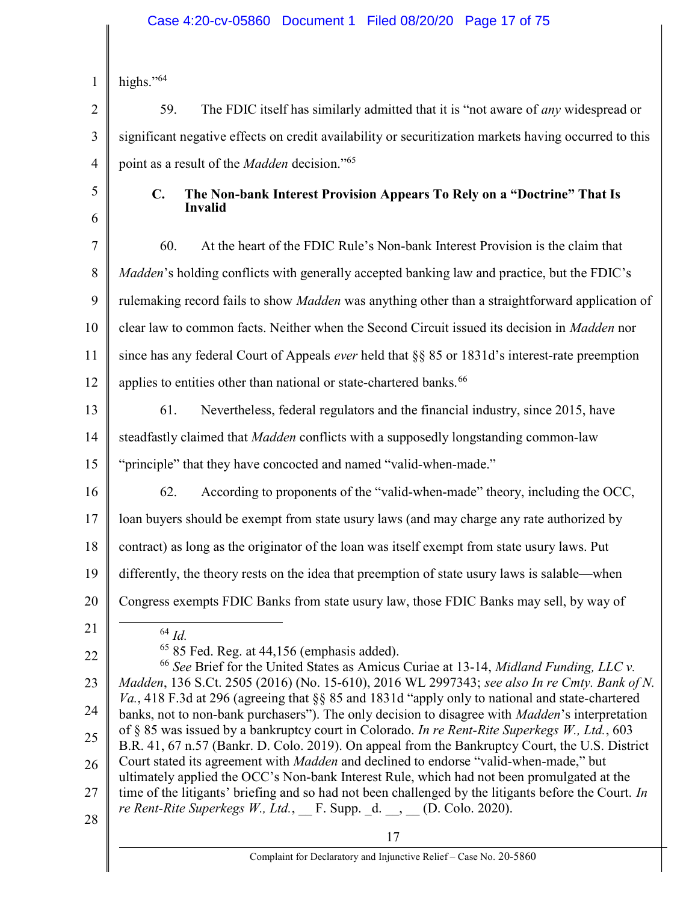### Case 4:20-cv-05860 Document 1 Filed 08/20/20 Page 17 of 75

1 highs."<sup>64</sup>

2 3 4 59. The FDIC itself has similarly admitted that it is "not aware of any widespread or significant negative effects on credit availability or securitization markets having occurred to this point as a result of the *Madden* decision."<sup>65</sup>

5

6

### C. The Non-bank Interest Provision Appears To Rely on a "Doctrine" That Is Invalid

7 8 9 10 11 12 60. At the heart of the FDIC Rule's Non-bank Interest Provision is the claim that *Madden's* holding conflicts with generally accepted banking law and practice, but the FDIC's rulemaking record fails to show *Madden* was anything other than a straightforward application of clear law to common facts. Neither when the Second Circuit issued its decision in Madden nor since has any federal Court of Appeals ever held that §§ 85 or 1831d's interest-rate preemption applies to entities other than national or state-chartered banks.<sup>66</sup>

- 13 61. Nevertheless, federal regulators and the financial industry, since 2015, have
- 14 steadfastly claimed that Madden conflicts with a supposedly longstanding common-law

15 "principle" that they have concocted and named "valid-when-made."

62. According to proponents of the "valid-when-made" theory, including the OCC,

17 loan buyers should be exempt from state usury laws (and may charge any rate authorized by

18 contract) as long as the originator of the loan was itself exempt from state usury laws. Put

- 19 differently, the theory rests on the idea that preemption of state usury laws is salable—when
- 20 Congress exempts FDIC Banks from state usury law, those FDIC Banks may sell, by way of
- 21

22

16

 $64$  *Id.* 

 $65$  85 Fed. Reg. at 44,156 (emphasis added).

23 24 25 26 27 28  $66$  See Brief for the United States as Amicus Curiae at 13-14, Midland Funding, LLC v. Madden, 136 S.Ct. 2505 (2016) (No. 15-610), 2016 WL 2997343; see also In re Cmty. Bank of N. Va., 418 F.3d at 296 (agreeing that §§ 85 and 1831d "apply only to national and state-chartered banks, not to non-bank purchasers"). The only decision to disagree with *Madden's* interpretation of  $\S$  85 was issued by a bankruptcy court in Colorado. In re Rent-Rite Superkegs W., Ltd., 603 B.R. 41, 67 n.57 (Bankr. D. Colo. 2019). On appeal from the Bankruptcy Court, the U.S. District Court stated its agreement with *Madden* and declined to endorse "valid-when-made," but ultimately applied the OCC's Non-bank Interest Rule, which had not been promulgated at the time of the litigants' briefing and so had not been challenged by the litigants before the Court. In re Rent-Rite Superkegs W., Ltd.,  $_F$ F. Supp.  $_d$ .  $_d$ .  $_H$  (D. Colo. 2020).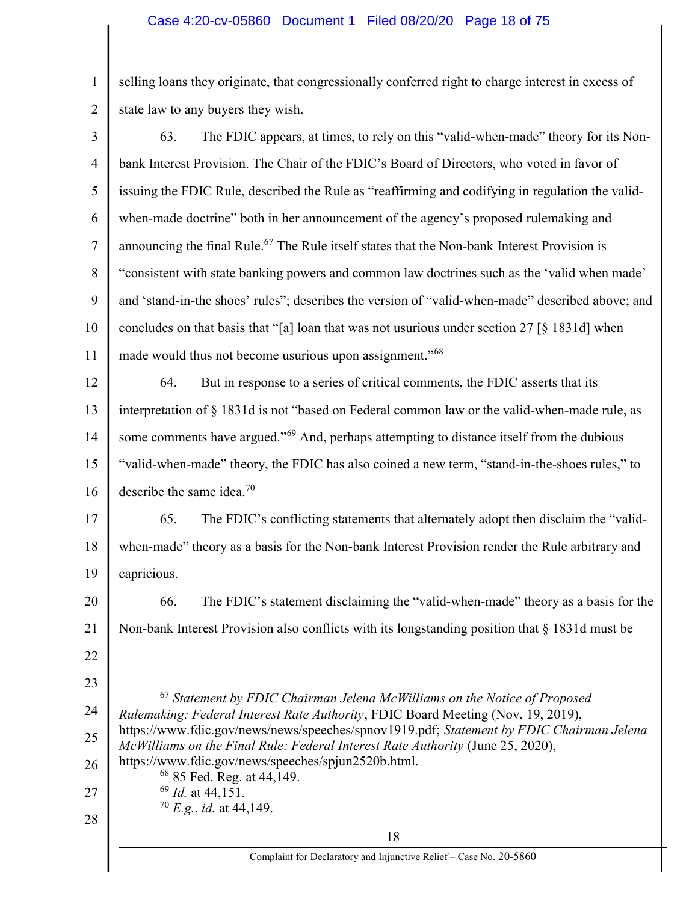1 2 selling loans they originate, that congressionally conferred right to charge interest in excess of state law to any buyers they wish.

| $\overline{3}$ | The FDIC appears, at times, to rely on this "valid-when-made" theory for its Non-<br>63.                                                                                   |
|----------------|----------------------------------------------------------------------------------------------------------------------------------------------------------------------------|
| $\overline{4}$ | bank Interest Provision. The Chair of the FDIC's Board of Directors, who voted in favor of                                                                                 |
| 5              | issuing the FDIC Rule, described the Rule as "reaffirming and codifying in regulation the valid-                                                                           |
| 6              | when-made doctrine" both in her announcement of the agency's proposed rulemaking and                                                                                       |
| $\tau$         | announcing the final Rule. <sup>67</sup> The Rule itself states that the Non-bank Interest Provision is                                                                    |
| 8              | "consistent with state banking powers and common law doctrines such as the 'valid when made'                                                                               |
| 9              | and 'stand-in-the shoes' rules"; describes the version of "valid-when-made" described above; and                                                                           |
| 10             | concludes on that basis that "[a] loan that was not usurious under section 27 [§ 1831d] when                                                                               |
| 11             | made would thus not become usurious upon assignment." <sup>68</sup>                                                                                                        |
| 12             | But in response to a series of critical comments, the FDIC asserts that its<br>64.                                                                                         |
| 13             | interpretation of § 1831d is not "based on Federal common law or the valid-when-made rule, as                                                                              |
| 14             | some comments have argued." <sup>69</sup> And, perhaps attempting to distance itself from the dubious                                                                      |
| 15             | "valid-when-made" theory, the FDIC has also coined a new term, "stand-in-the-shoes rules," to                                                                              |
| 16             | describe the same idea. <sup>70</sup>                                                                                                                                      |
| 17             | The FDIC's conflicting statements that alternately adopt then disclaim the "valid-<br>65.                                                                                  |
| 18             | when-made" theory as a basis for the Non-bank Interest Provision render the Rule arbitrary and                                                                             |
| 19             | capricious.                                                                                                                                                                |
| 20             | The FDIC's statement disclaiming the "valid-when-made" theory as a basis for the<br>66.                                                                                    |
| 21             | Non-bank Interest Provision also conflicts with its longstanding position that § 1831d must be                                                                             |
| 22             |                                                                                                                                                                            |
| 23             | $67$ Statement by FDIC Chairman Jelena McWilliams on the Notice of Proposed                                                                                                |
| 24             | Rulemaking: Federal Interest Rate Authority, FDIC Board Meeting (Nov. 19, 2019),                                                                                           |
| 25             | https://www.fdic.gov/news/news/speeches/spnov1919.pdf; Statement by FDIC Chairman Jelena<br>McWilliams on the Final Rule: Federal Interest Rate Authority (June 25, 2020), |
| 26             | https://www.fdic.gov/news/speeches/spjun2520b.html.<br><sup>68</sup> 85 Fed. Reg. at 44,149.                                                                               |
| 27             | $^{69}$ <i>Id.</i> at 44,151.                                                                                                                                              |
| 28             | $70 E.g., id.$ at 44,149.                                                                                                                                                  |
|                | 18<br>Complaint for Declaratory and Injunctive Relief - Case No. 20-5860                                                                                                   |
|                |                                                                                                                                                                            |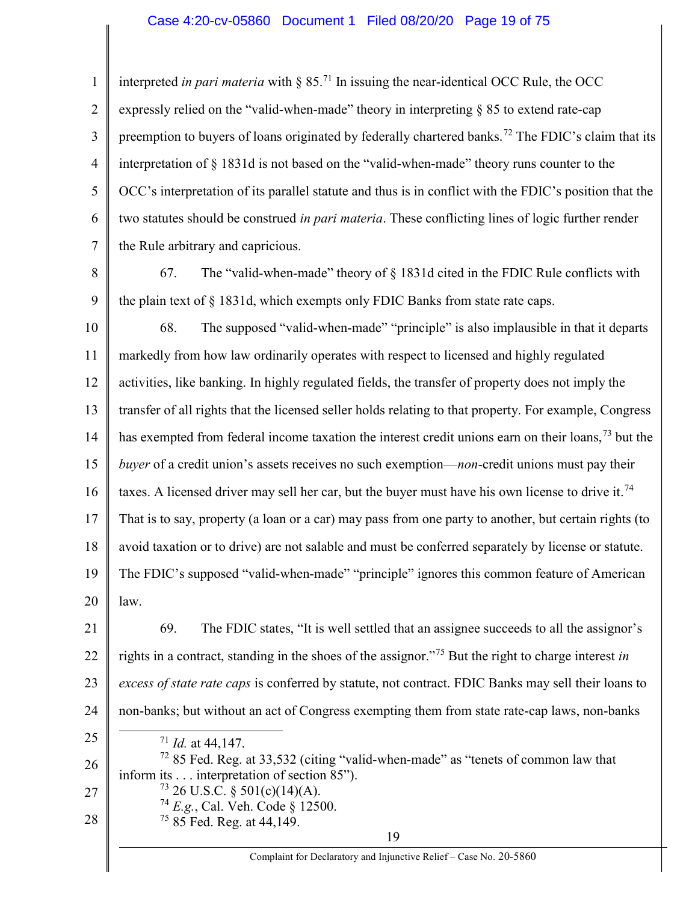#### Case 4:20-cv-05860 Document 1 Filed 08/20/20 Page 19 of 75

1 2 3 4 5 6 7 interpreted in pari materia with  $\S 85$ .<sup>71</sup> In issuing the near-identical OCC Rule, the OCC expressly relied on the "valid-when-made" theory in interpreting § 85 to extend rate-cap preemption to buyers of loans originated by federally chartered banks.<sup>72</sup> The FDIC's claim that its interpretation of § 1831d is not based on the "valid-when-made" theory runs counter to the OCC's interpretation of its parallel statute and thus is in conflict with the FDIC's position that the two statutes should be construed in pari materia. These conflicting lines of logic further render the Rule arbitrary and capricious.

8

9

67. The "valid-when-made" theory of  $\S$  1831d cited in the FDIC Rule conflicts with the plain text of § 1831d, which exempts only FDIC Banks from state rate caps.

10 11 12 13 14 15 16 17 18 19 20 68. The supposed "valid-when-made" "principle" is also implausible in that it departs markedly from how law ordinarily operates with respect to licensed and highly regulated activities, like banking. In highly regulated fields, the transfer of property does not imply the transfer of all rights that the licensed seller holds relating to that property. For example, Congress has exempted from federal income taxation the interest credit unions earn on their loans,<sup>73</sup> but the buyer of a credit union's assets receives no such exemption—non-credit unions must pay their taxes. A licensed driver may sell her car, but the buyer must have his own license to drive it.<sup>74</sup> That is to say, property (a loan or a car) may pass from one party to another, but certain rights (to avoid taxation or to drive) are not salable and must be conferred separately by license or statute. The FDIC's supposed "valid-when-made" "principle" ignores this common feature of American law.

21 22 23 24 69. The FDIC states, "It is well settled that an assignee succeeds to all the assignor's rights in a contract, standing in the shoes of the assignor."<sup>75</sup> But the right to charge interest in excess of state rate caps is conferred by statute, not contract. FDIC Banks may sell their loans to non-banks; but without an act of Congress exempting them from state rate-cap laws, non-banks 

25

 $71$  *Id.* at 44,147.

26 27 28  $72$  85 Fed. Reg. at 33,532 (citing "valid-when-made" as "tenets of common law that inform its . . . interpretation of section 85").  $^{73}$  26 U.S.C. § 501(c)(14)(A).  $^{74}$  E.g., Cal. Veh. Code § 12500. <sup>75</sup> 85 Fed. Reg. at 44,149.

19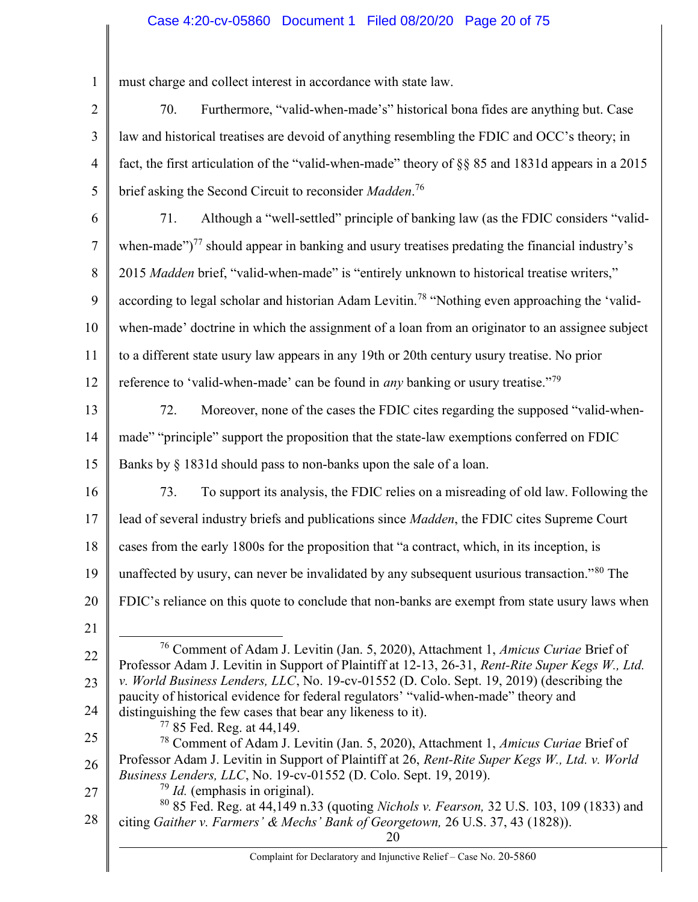### Case 4:20-cv-05860 Document 1 Filed 08/20/20 Page 20 of 75

1 must charge and collect interest in accordance with state law.

2 3 4 5 70. Furthermore, "valid-when-made's" historical bona fides are anything but. Case law and historical treatises are devoid of anything resembling the FDIC and OCC's theory; in fact, the first articulation of the "valid-when-made" theory of §§ 85 and 1831d appears in a 2015 brief asking the Second Circuit to reconsider Madden.<sup>76</sup>

6 7 8 9 10 11 12 71. Although a "well-settled" principle of banking law (as the FDIC considers "validwhen-made" $T<sup>77</sup>$  should appear in banking and usury treatises predating the financial industry's 2015 Madden brief, "valid-when-made" is "entirely unknown to historical treatise writers," according to legal scholar and historian Adam Levitin.<sup>78</sup> "Nothing even approaching the 'validwhen-made' doctrine in which the assignment of a loan from an originator to an assignee subject to a different state usury law appears in any 19th or 20th century usury treatise. No prior reference to 'valid-when-made' can be found in *any* banking or usury treatise."<sup>79</sup>

- 13 14 15 72. Moreover, none of the cases the FDIC cites regarding the supposed "valid-whenmade" "principle" support the proposition that the state-law exemptions conferred on FDIC Banks by § 1831d should pass to non-banks upon the sale of a loan.
- 16

17

18

73. To support its analysis, the FDIC relies on a misreading of old law. Following the lead of several industry briefs and publications since Madden, the FDIC cites Supreme Court cases from the early 1800s for the proposition that "a contract, which, in its inception, is

FDIC's reliance on this quote to conclude that non-banks are exempt from state usury laws when

19 unaffected by usury, can never be invalidated by any subsequent usurious transaction."<sup>80</sup> The

- 20
- 21

22

23

24

- <sup>76</sup> Comment of Adam J. Levitin (Jan. 5, 2020), Attachment 1, Amicus Curiae Brief of Professor Adam J. Levitin in Support of Plaintiff at 12-13, 26-31, Rent-Rite Super Kegs W., Ltd. v. World Business Lenders, LLC, No. 19-cv-01552 (D. Colo. Sept. 19, 2019) (describing the paucity of historical evidence for federal regulators' "valid-when-made" theory and
- distinguishing the few cases that bear any likeness to it).

<sup>77</sup> 85 Fed. Reg. at 44,149.

- 25 26 <sup>78</sup> Comment of Adam J. Levitin (Jan. 5, 2020), Attachment 1, Amicus Curiae Brief of Professor Adam J. Levitin in Support of Plaintiff at 26, Rent-Rite Super Kegs W., Ltd. v. World Business Lenders, LLC, No. 19-cv-01552 (D. Colo. Sept. 19, 2019).
- 27

 $79$  *Id.* (emphasis in original).

28 <sup>80</sup> 85 Fed. Reg. at 44,149 n.33 (quoting Nichols v. Fearson, 32 U.S. 103, 109 (1833) and citing Gaither v. Farmers' & Mechs' Bank of Georgetown, 26 U.S. 37, 43 (1828)).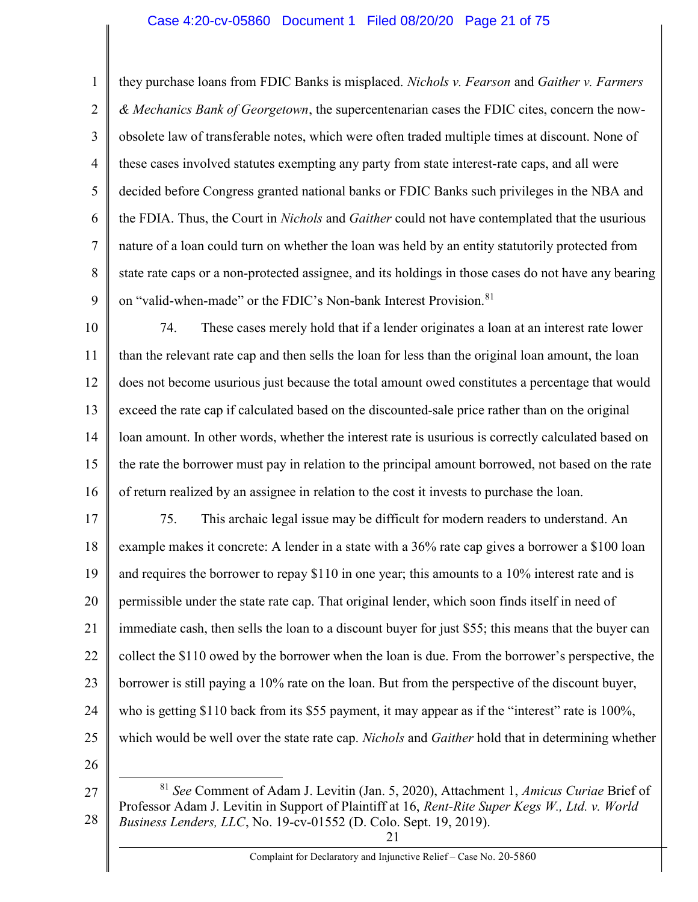#### Case 4:20-cv-05860 Document 1 Filed 08/20/20 Page 21 of 75

1 2 3 4 5 6 7 8 9 they purchase loans from FDIC Banks is misplaced. *Nichols v. Fearson* and *Gaither v. Farmers* & Mechanics Bank of Georgetown, the supercentenarian cases the FDIC cites, concern the nowobsolete law of transferable notes, which were often traded multiple times at discount. None of these cases involved statutes exempting any party from state interest-rate caps, and all were decided before Congress granted national banks or FDIC Banks such privileges in the NBA and the FDIA. Thus, the Court in *Nichols* and *Gaither* could not have contemplated that the usurious nature of a loan could turn on whether the loan was held by an entity statutorily protected from state rate caps or a non-protected assignee, and its holdings in those cases do not have any bearing on "valid-when-made" or the FDIC's Non-bank Interest Provision.<sup>81</sup>

10 11 12 13 14 15 16 74. These cases merely hold that if a lender originates a loan at an interest rate lower than the relevant rate cap and then sells the loan for less than the original loan amount, the loan does not become usurious just because the total amount owed constitutes a percentage that would exceed the rate cap if calculated based on the discounted-sale price rather than on the original loan amount. In other words, whether the interest rate is usurious is correctly calculated based on the rate the borrower must pay in relation to the principal amount borrowed, not based on the rate of return realized by an assignee in relation to the cost it invests to purchase the loan.

17 18 19 20 21 22 23 24 25 75. This archaic legal issue may be difficult for modern readers to understand. An example makes it concrete: A lender in a state with a 36% rate cap gives a borrower a \$100 loan and requires the borrower to repay \$110 in one year; this amounts to a 10% interest rate and is permissible under the state rate cap. That original lender, which soon finds itself in need of immediate cash, then sells the loan to a discount buyer for just \$55; this means that the buyer can collect the \$110 owed by the borrower when the loan is due. From the borrower's perspective, the borrower is still paying a 10% rate on the loan. But from the perspective of the discount buyer, who is getting \$110 back from its \$55 payment, it may appear as if the "interest" rate is 100%, which would be well over the state rate cap. *Nichols* and *Gaither* hold that in determining whether

26

 $\overline{a}$ 

<sup>27</sup> 28 <sup>81</sup> See Comment of Adam J. Levitin (Jan. 5, 2020), Attachment 1, Amicus Curiae Brief of Professor Adam J. Levitin in Support of Plaintiff at 16, Rent-Rite Super Kegs W., Ltd. v. World Business Lenders, LLC, No. 19-cv-01552 (D. Colo. Sept. 19, 2019).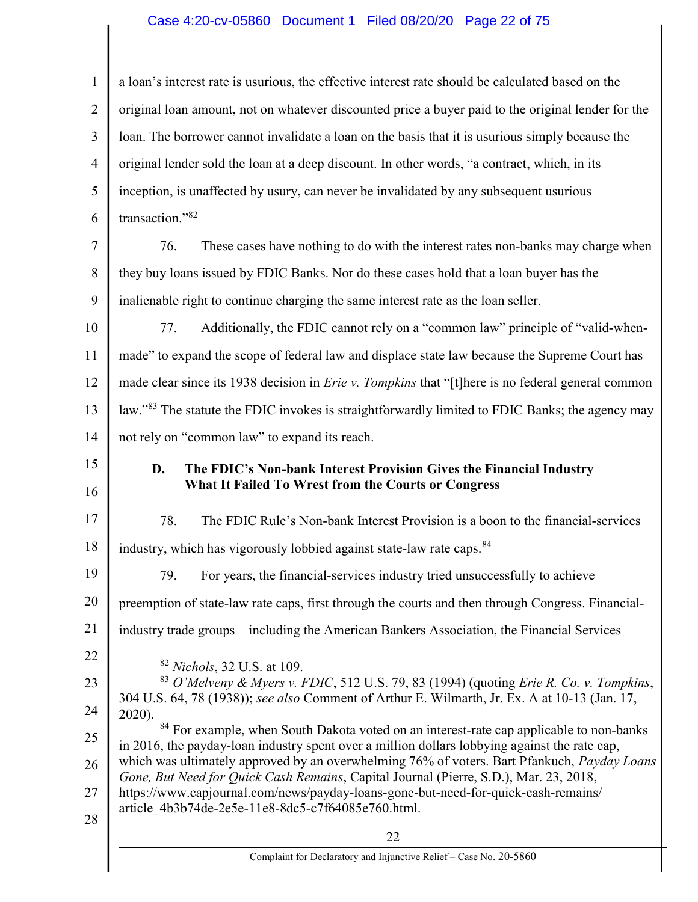# Case 4:20-cv-05860 Document 1 Filed 08/20/20 Page 22 of 75

| $\mathbf{1}$   | a loan's interest rate is usurious, the effective interest rate should be calculated based on the                                                                                        |
|----------------|------------------------------------------------------------------------------------------------------------------------------------------------------------------------------------------|
| $\overline{2}$ | original loan amount, not on whatever discounted price a buyer paid to the original lender for the                                                                                       |
| 3              | loan. The borrower cannot invalidate a loan on the basis that it is usurious simply because the                                                                                          |
| 4              | original lender sold the loan at a deep discount. In other words, "a contract, which, in its                                                                                             |
| 5              | inception, is unaffected by usury, can never be invalidated by any subsequent usurious                                                                                                   |
| 6              | transaction."82                                                                                                                                                                          |
| 7              | These cases have nothing to do with the interest rates non-banks may charge when<br>76.                                                                                                  |
| 8              | they buy loans issued by FDIC Banks. Nor do these cases hold that a loan buyer has the                                                                                                   |
| 9              | inalienable right to continue charging the same interest rate as the loan seller.                                                                                                        |
| 10             | Additionally, the FDIC cannot rely on a "common law" principle of "valid-when-<br>77.                                                                                                    |
| 11             | made" to expand the scope of federal law and displace state law because the Supreme Court has                                                                                            |
| 12             | made clear since its 1938 decision in <i>Erie v. Tompkins</i> that "[t] here is no federal general common                                                                                |
| 13             | law."83 The statute the FDIC invokes is straightforwardly limited to FDIC Banks; the agency may                                                                                          |
| 14             | not rely on "common law" to expand its reach.                                                                                                                                            |
| 15             | D.<br>The FDIC's Non-bank Interest Provision Gives the Financial Industry                                                                                                                |
| 16             | What It Failed To Wrest from the Courts or Congress                                                                                                                                      |
| 17             | 78.<br>The FDIC Rule's Non-bank Interest Provision is a boon to the financial-services                                                                                                   |
| 18             | industry, which has vigorously lobbied against state-law rate caps. <sup>84</sup>                                                                                                        |
| 19             | 79. For years, the financial-services industry tried unsuccessfully to achieve                                                                                                           |
| 20             | preemption of state-law rate caps, first through the courts and then through Congress. Financial-                                                                                        |
| 21             | industry trade groups—including the American Bankers Association, the Financial Services                                                                                                 |
| 22             | <sup>82</sup> Nichols, 32 U.S. at 109.                                                                                                                                                   |
| 23             | <sup>83</sup> O'Melveny & Myers v. FDIC, 512 U.S. 79, 83 (1994) (quoting Erie R. Co. v. Tompkins,                                                                                        |
| 24             | 304 U.S. 64, 78 (1938)); see also Comment of Arthur E. Wilmarth, Jr. Ex. A at 10-13 (Jan. 17,<br>2020).                                                                                  |
| 25             | 84 For example, when South Dakota voted on an interest-rate cap applicable to non-banks<br>in 2016, the payday-loan industry spent over a million dollars lobbying against the rate cap, |
| 26             | which was ultimately approved by an overwhelming 76% of voters. Bart Pfankuch, Payday Loans<br>Gone, But Need for Quick Cash Remains, Capital Journal (Pierre, S.D.), Mar. 23, 2018,     |
| 27             | https://www.capjournal.com/news/payday-loans-gone-but-need-for-quick-cash-remains/                                                                                                       |
| 28             | article 4b3b74de-2e5e-11e8-8dc5-c7f64085e760.html.                                                                                                                                       |
|                | 22                                                                                                                                                                                       |
|                | Complaint for Declaratory and Injunctive Relief - Case No. 20-5860                                                                                                                       |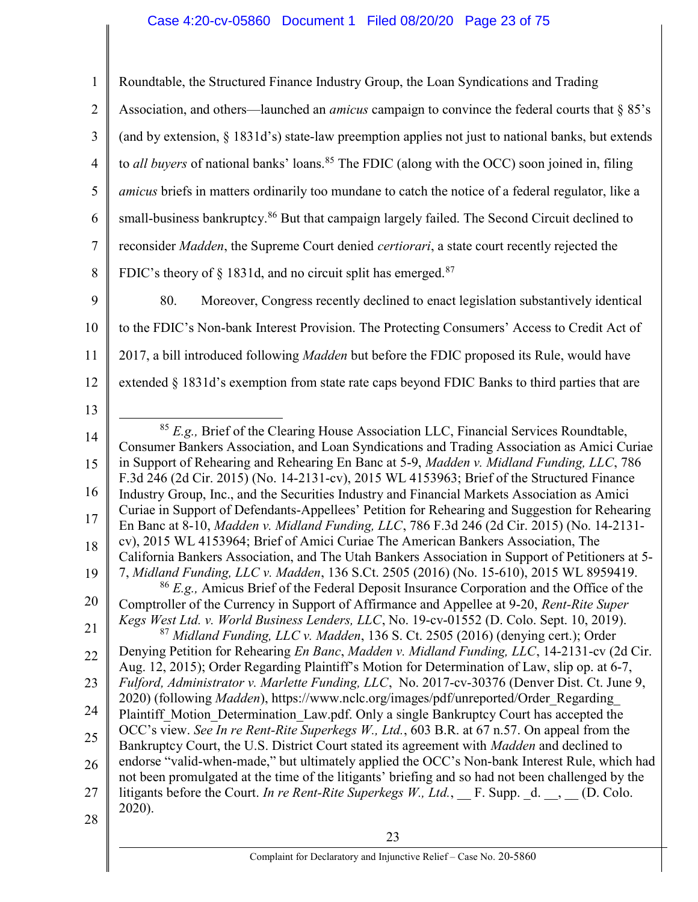# Case 4:20-cv-05860 Document 1 Filed 08/20/20 Page 23 of 75

| $\mathbf{1}$   | Roundtable, the Structured Finance Industry Group, the Loan Syndications and Trading                                                                                                               |
|----------------|----------------------------------------------------------------------------------------------------------------------------------------------------------------------------------------------------|
| $\overline{2}$ | Association, and others—launched an <i>amicus</i> campaign to convince the federal courts that $\S 85$ 's                                                                                          |
| 3              | (and by extension, $\S$ 1831d's) state-law preemption applies not just to national banks, but extends                                                                                              |
| $\overline{4}$ | to all buyers of national banks' loans. <sup>85</sup> The FDIC (along with the OCC) soon joined in, filing                                                                                         |
| 5              | <i>amicus</i> briefs in matters ordinarily too mundane to catch the notice of a federal regulator, like a                                                                                          |
| 6              | small-business bankruptcy. <sup>86</sup> But that campaign largely failed. The Second Circuit declined to                                                                                          |
| 7              | reconsider Madden, the Supreme Court denied certiorari, a state court recently rejected the                                                                                                        |
| 8              | FDIC's theory of § 1831d, and no circuit split has emerged. <sup>87</sup>                                                                                                                          |
| 9              | 80.<br>Moreover, Congress recently declined to enact legislation substantively identical                                                                                                           |
| 10             | to the FDIC's Non-bank Interest Provision. The Protecting Consumers' Access to Credit Act of                                                                                                       |
| 11             | 2017, a bill introduced following <i>Madden</i> but before the FDIC proposed its Rule, would have                                                                                                  |
| 12             | extended § 1831d's exemption from state rate caps beyond FDIC Banks to third parties that are                                                                                                      |
| 13             |                                                                                                                                                                                                    |
| 14             | $85$ E.g., Brief of the Clearing House Association LLC, Financial Services Roundtable,<br>Consumer Bankers Association, and Loan Syndications and Trading Association as Amici Curiae              |
| 15             | in Support of Rehearing and Rehearing En Banc at 5-9, Madden v. Midland Funding, LLC, 786<br>F.3d 246 (2d Cir. 2015) (No. 14-2131-cv), 2015 WL 4153963; Brief of the Structured Finance            |
| 16             | Industry Group, Inc., and the Securities Industry and Financial Markets Association as Amici<br>Curiae in Support of Defendants-Appellees' Petition for Rehearing and Suggestion for Rehearing     |
| 17             | En Banc at 8-10, Madden v. Midland Funding, LLC, 786 F.3d 246 (2d Cir. 2015) (No. 14-2131-                                                                                                         |
| 18             | cv), 2015 WL 4153964; Brief of Amici Curiae The American Bankers Association, The<br>California Bankers Association, and The Utah Bankers Association in Support of Petitioners at 5-              |
| 19             | 7, Midland Funding, LLC v. Madden, 136 S.Ct. 2505 (2016) (No. 15-610), 2015 WL 8959419.<br>$86$ E.g., Amicus Brief of the Federal Deposit Insurance Corporation and the Office of the              |
| 20             | Comptroller of the Currency in Support of Affirmance and Appellee at 9-20, Rent-Rite Super                                                                                                         |
| 21             | Kegs West Ltd. v. World Business Lenders, LLC, No. 19-cv-01552 (D. Colo. Sept. 10, 2019).<br>$^{87}$ Midland Funding, LLC v. Madden, 136 S. Ct. 2505 (2016) (denying cert.); Order                 |
| 22             | Denying Petition for Rehearing En Banc, Madden v. Midland Funding, LLC, 14-2131-cv (2d Cir.<br>Aug. 12, 2015); Order Regarding Plaintiff's Motion for Determination of Law, slip op. at 6-7,       |
| 23             | Fulford, Administrator v. Marlette Funding, LLC, No. 2017-cv-30376 (Denver Dist. Ct. June 9,<br>2020) (following Madden), https://www.nclc.org/images/pdf/unreported/Order_Regarding_              |
| 24             | Plaintiff Motion Determination Law.pdf. Only a single Bankruptcy Court has accepted the                                                                                                            |
| 25             | OCC's view. See In re Rent-Rite Superkegs W., Ltd., 603 B.R. at 67 n.57. On appeal from the<br>Bankruptcy Court, the U.S. District Court stated its agreement with Madden and declined to          |
| 26             | endorse "valid-when-made," but ultimately applied the OCC's Non-bank Interest Rule, which had<br>not been promulgated at the time of the litigants' briefing and so had not been challenged by the |
| 27             | litigants before the Court. In re Rent-Rite Superkegs W., Ltd., F. Supp. d. $\Box$ , (D. Colo.                                                                                                     |
| 28             | 2020).                                                                                                                                                                                             |
|                | 23                                                                                                                                                                                                 |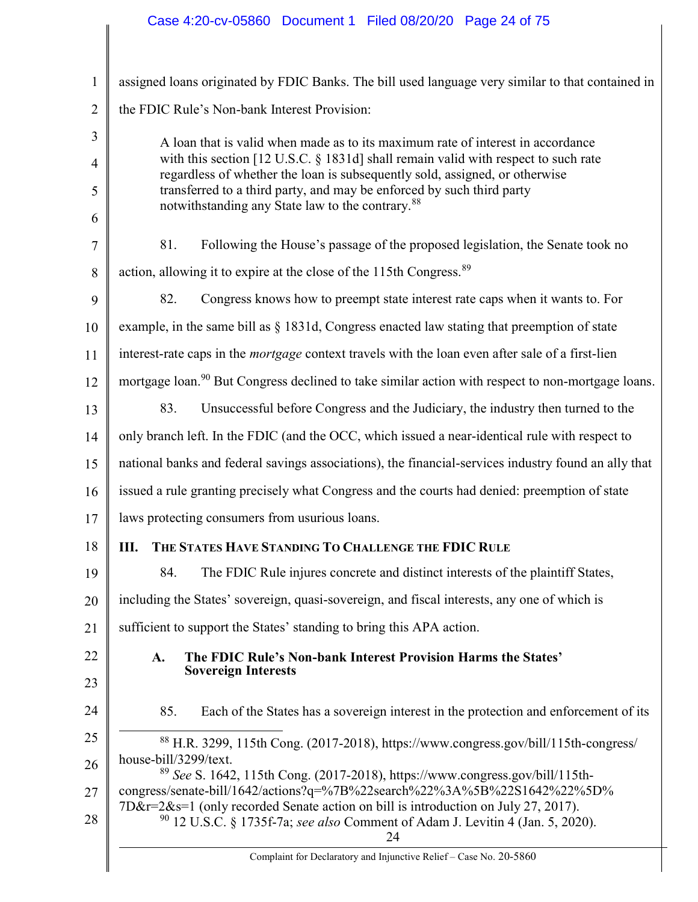| $\mathbf{1}$   | assigned loans originated by FDIC Banks. The bill used language very similar to that contained in                                                                 |
|----------------|-------------------------------------------------------------------------------------------------------------------------------------------------------------------|
| 2              | the FDIC Rule's Non-bank Interest Provision:                                                                                                                      |
| 3              | A loan that is valid when made as to its maximum rate of interest in accordance                                                                                   |
| $\overline{4}$ | with this section [12 U.S.C. § 1831d] shall remain valid with respect to such rate<br>regardless of whether the loan is subsequently sold, assigned, or otherwise |
| 5              | transferred to a third party, and may be enforced by such third party<br>notwithstanding any State law to the contrary. <sup>88</sup>                             |
| 6              |                                                                                                                                                                   |
| 7              | 81.<br>Following the House's passage of the proposed legislation, the Senate took no                                                                              |
| 8              | action, allowing it to expire at the close of the 115th Congress. <sup>89</sup>                                                                                   |
| 9              | 82.<br>Congress knows how to preempt state interest rate caps when it wants to. For                                                                               |
| 10             | example, in the same bill as $\S$ 1831d, Congress enacted law stating that preemption of state                                                                    |
| 11             | interest-rate caps in the <i>mortgage</i> context travels with the loan even after sale of a first-lien                                                           |
| 12             | mortgage loan. <sup>90</sup> But Congress declined to take similar action with respect to non-mortgage loans.                                                     |
| 13             | 83.<br>Unsuccessful before Congress and the Judiciary, the industry then turned to the                                                                            |
| 14             | only branch left. In the FDIC (and the OCC, which issued a near-identical rule with respect to                                                                    |
| 15             | national banks and federal savings associations), the financial-services industry found an ally that                                                              |
| 16             | issued a rule granting precisely what Congress and the courts had denied: preemption of state                                                                     |
| 17             | laws protecting consumers from usurious loans.                                                                                                                    |
| 18             | THE STATES HAVE STANDING TO CHALLENGE THE FDIC RULE<br>Ш.                                                                                                         |
| 19             | 84. The FDIC Rule injures concrete and distinct interests of the plaintiff States,                                                                                |
| 20             | including the States' sovereign, quasi-sovereign, and fiscal interests, any one of which is                                                                       |
| 21             | sufficient to support the States' standing to bring this APA action.                                                                                              |
| 22             | The FDIC Rule's Non-bank Interest Provision Harms the States'<br>A.                                                                                               |
| 23             | <b>Sovereign Interests</b>                                                                                                                                        |
| 24             | 85.<br>Each of the States has a sovereign interest in the protection and enforcement of its                                                                       |
| 25             | <sup>88</sup> H.R. 3299, 115th Cong. (2017-2018), https://www.congress.gov/bill/115th-congress/                                                                   |
| 26             | house-bill/3299/text.<br><sup>89</sup> See S. 1642, 115th Cong. (2017-2018), https://www.congress.gov/bill/115th-                                                 |
| 27             | congress/senate-bill/1642/actions?q=%7B%22search%22%3A%5B%22S1642%22%5D%<br>7D&r=2&s=1 (only recorded Senate action on bill is introduction on July 27, 2017).    |
| 28             | <sup>90</sup> 12 U.S.C. § 1735f-7a; see also Comment of Adam J. Levitin 4 (Jan. 5, 2020).<br>24                                                                   |
|                | Complaint for Declaratory and Injunctive Relief - Case No. 20-5860                                                                                                |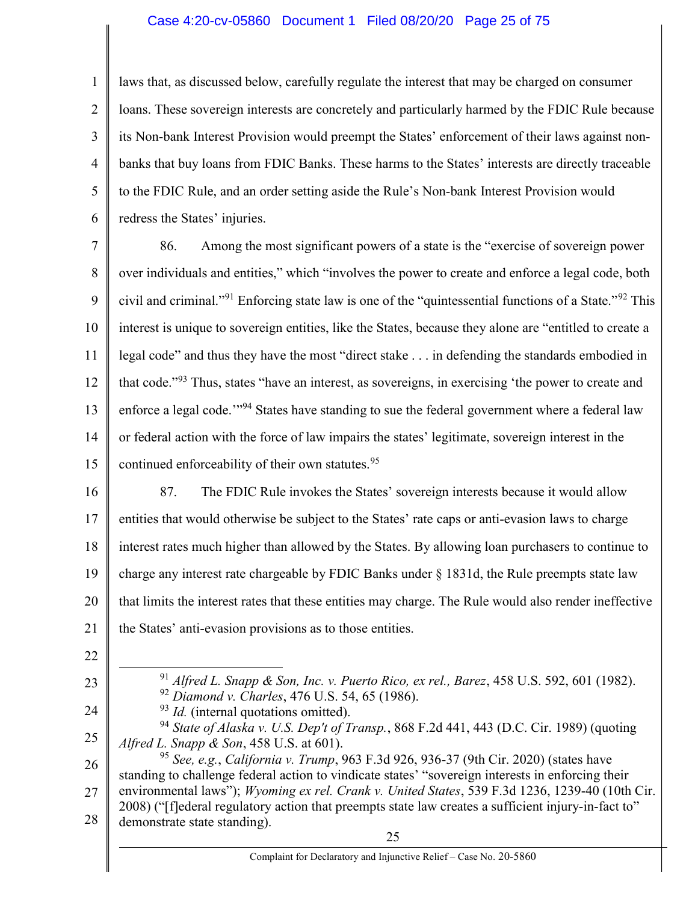#### Case 4:20-cv-05860 Document 1 Filed 08/20/20 Page 25 of 75

1 2 3 4 5 6 laws that, as discussed below, carefully regulate the interest that may be charged on consumer loans. These sovereign interests are concretely and particularly harmed by the FDIC Rule because its Non-bank Interest Provision would preempt the States' enforcement of their laws against nonbanks that buy loans from FDIC Banks. These harms to the States' interests are directly traceable to the FDIC Rule, and an order setting aside the Rule's Non-bank Interest Provision would redress the States' injuries.

7 8 9 10 11 12 13 14 15 86. Among the most significant powers of a state is the "exercise of sovereign power over individuals and entities," which "involves the power to create and enforce a legal code, both civil and criminal."<sup>91</sup> Enforcing state law is one of the "quintessential functions of a State."<sup>92</sup> This interest is unique to sovereign entities, like the States, because they alone are "entitled to create a legal code" and thus they have the most "direct stake . . . in defending the standards embodied in that code."<sup>93</sup> Thus, states "have an interest, as sovereigns, in exercising 'the power to create and enforce a legal code.<sup>'"94</sup> States have standing to sue the federal government where a federal law or federal action with the force of law impairs the states' legitimate, sovereign interest in the continued enforceability of their own statutes.<sup>95</sup>

- 16 17 18 19 20 21 87. The FDIC Rule invokes the States' sovereign interests because it would allow entities that would otherwise be subject to the States' rate caps or anti-evasion laws to charge interest rates much higher than allowed by the States. By allowing loan purchasers to continue to charge any interest rate chargeable by FDIC Banks under § 1831d, the Rule preempts state law that limits the interest rates that these entities may charge. The Rule would also render ineffective the States' anti-evasion provisions as to those entities.
- 22

23

- $91$  Alfred L. Snapp & Son, Inc. v. Puerto Rico, ex rel., Barez, 458 U.S. 592, 601 (1982). <sup>92</sup> Diamond v. Charles, 476 U.S. 54, 65 (1986).
- 24

25

<sup>94</sup> State of Alaska v. U.S. Dep't of Transp., 868 F.2d 441, 443 (D.C. Cir. 1989) (quoting Alfred L. Snapp  $\&$  Son, 458 U.S. at 601).

 $93$  *Id.* (internal quotations omitted).

26 27 28 <sup>95</sup> See, e.g., California v. Trump, 963 F.3d 926, 936-37 (9th Cir. 2020) (states have standing to challenge federal action to vindicate states' "sovereign interests in enforcing their environmental laws"); Wyoming ex rel. Crank v. United States, 539 F.3d 1236, 1239-40 (10th Cir. 2008) ("[f]ederal regulatory action that preempts state law creates a sufficient injury-in-fact to" demonstrate state standing).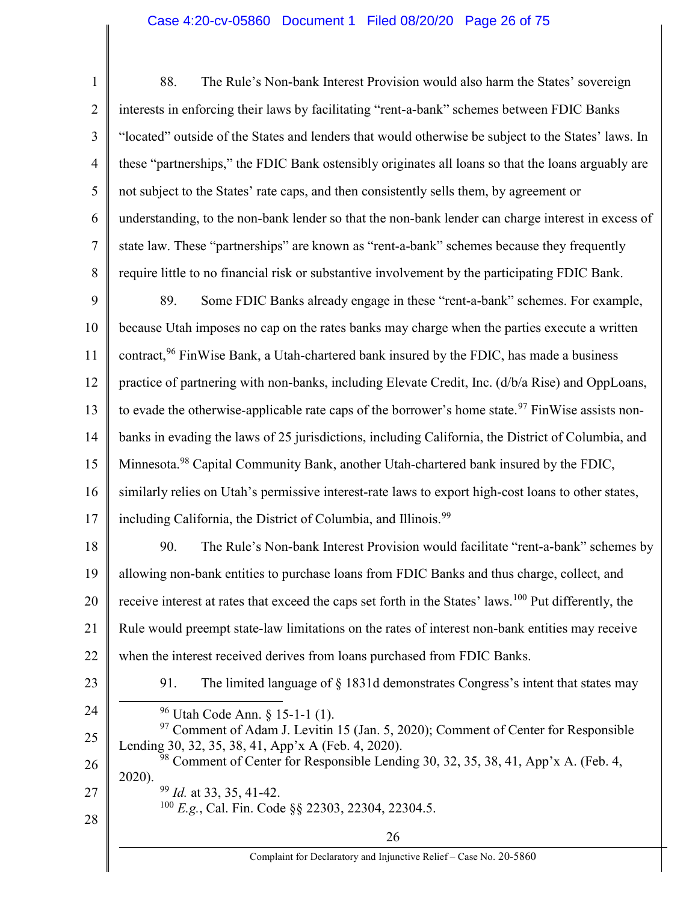# Case 4:20-cv-05860 Document 1 Filed 08/20/20 Page 26 of 75

| $\mathbf{1}$   | 88.<br>The Rule's Non-bank Interest Provision would also harm the States' sovereign                                                                                                                                                                   |
|----------------|-------------------------------------------------------------------------------------------------------------------------------------------------------------------------------------------------------------------------------------------------------|
| $\overline{2}$ | interests in enforcing their laws by facilitating "rent-a-bank" schemes between FDIC Banks                                                                                                                                                            |
| 3              | "located" outside of the States and lenders that would otherwise be subject to the States' laws. In                                                                                                                                                   |
| $\overline{4}$ | these "partnerships," the FDIC Bank ostensibly originates all loans so that the loans arguably are                                                                                                                                                    |
| 5              | not subject to the States' rate caps, and then consistently sells them, by agreement or                                                                                                                                                               |
| 6              | understanding, to the non-bank lender so that the non-bank lender can charge interest in excess of                                                                                                                                                    |
| $\tau$         | state law. These "partnerships" are known as "rent-a-bank" schemes because they frequently                                                                                                                                                            |
| 8              | require little to no financial risk or substantive involvement by the participating FDIC Bank.                                                                                                                                                        |
| 9              | 89.<br>Some FDIC Banks already engage in these "rent-a-bank" schemes. For example,                                                                                                                                                                    |
| 10             | because Utah imposes no cap on the rates banks may charge when the parties execute a written                                                                                                                                                          |
| 11             | contract, <sup>96</sup> FinWise Bank, a Utah-chartered bank insured by the FDIC, has made a business                                                                                                                                                  |
| 12             | practice of partnering with non-banks, including Elevate Credit, Inc. (d/b/a Rise) and OppLoans,                                                                                                                                                      |
| 13             | to evade the otherwise-applicable rate caps of the borrower's home state. <sup>97</sup> FinWise assists non-                                                                                                                                          |
| 14             | banks in evading the laws of 25 jurisdictions, including California, the District of Columbia, and                                                                                                                                                    |
| 15             | Minnesota. <sup>98</sup> Capital Community Bank, another Utah-chartered bank insured by the FDIC,                                                                                                                                                     |
| 16             | similarly relies on Utah's permissive interest-rate laws to export high-cost loans to other states,                                                                                                                                                   |
| 17             | including California, the District of Columbia, and Illinois. <sup>99</sup>                                                                                                                                                                           |
| 18             | The Rule's Non-bank Interest Provision would facilitate "rent-a-bank" schemes by<br>90.                                                                                                                                                               |
| 19             | allowing non-bank entities to purchase loans from FDIC Banks and thus charge, collect, and                                                                                                                                                            |
| 20             | receive interest at rates that exceed the caps set forth in the States' laws. <sup>100</sup> Put differently, the                                                                                                                                     |
| 21             | Rule would preempt state-law limitations on the rates of interest non-bank entities may receive                                                                                                                                                       |
| 22             | when the interest received derives from loans purchased from FDIC Banks.                                                                                                                                                                              |
| 23             | The limited language of § 1831d demonstrates Congress's intent that states may<br>91.                                                                                                                                                                 |
| 24             | $96$ Utah Code Ann. § 15-1-1 (1).                                                                                                                                                                                                                     |
| 25<br>26       | <sup>97</sup> Comment of Adam J. Levitin 15 (Jan. 5, 2020); Comment of Center for Responsible<br>Lending 30, 32, 35, 38, 41, App'x A (Feb. 4, 2020).<br><sup>98</sup> Comment of Center for Responsible Lending 30, 32, 35, 38, 41, App'x A. (Feb. 4, |
| 27<br>28       | 2020).<br>$99$ <i>Id.</i> at 33, 35, 41-42.<br><sup>100</sup> E.g., Cal. Fin. Code §§ 22303, 22304, 22304.5.                                                                                                                                          |
|                | 26                                                                                                                                                                                                                                                    |
|                | Complaint for Declaratory and Injunctive Relief - Case No. 20-5860                                                                                                                                                                                    |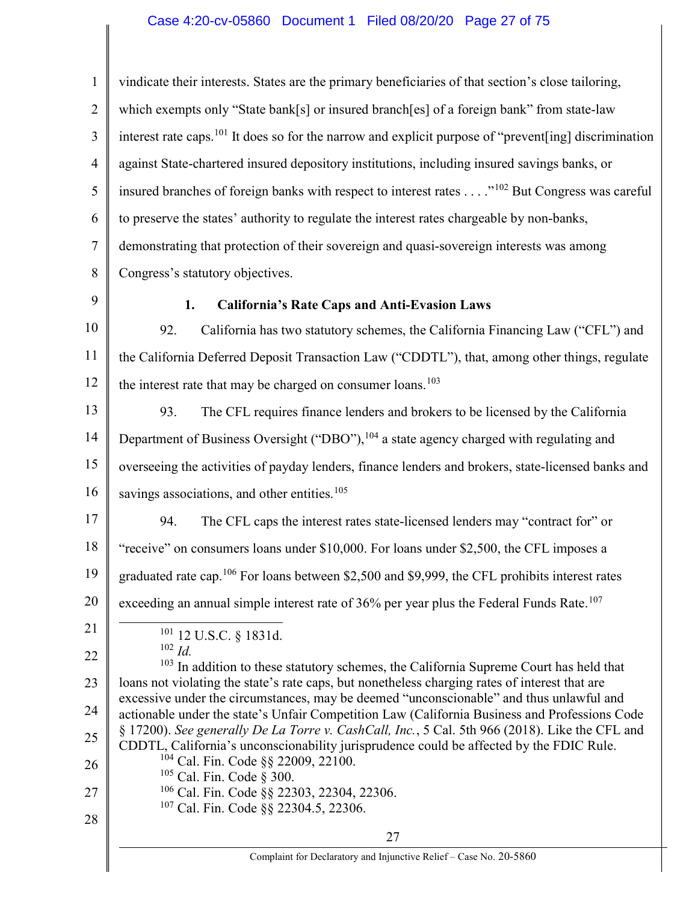#### Case 4:20-cv-05860 Document 1 Filed 08/20/20 Page 27 of 75

1 2 3 4 5 6 7 8 9 10 11 12 13 14 15 16 17 18 19 20 21 22 23 24 25 26 27 28 27 Complaint for Declaratory and Injunctive Relief – Case No. 20-5860 vindicate their interests. States are the primary beneficiaries of that section's close tailoring, which exempts only "State bank[s] or insured branch[es] of a foreign bank" from state-law interest rate caps.<sup>101</sup> It does so for the narrow and explicit purpose of "prevent [ing] discrimination against State-chartered insured depository institutions, including insured savings banks, or insured branches of foreign banks with respect to interest rates . . . ."<sup>102</sup> But Congress was careful to preserve the states' authority to regulate the interest rates chargeable by non-banks, demonstrating that protection of their sovereign and quasi-sovereign interests was among Congress's statutory objectives. 1. California's Rate Caps and Anti-Evasion Laws 92. California has two statutory schemes, the California Financing Law ("CFL") and the California Deferred Deposit Transaction Law ("CDDTL"), that, among other things, regulate the interest rate that may be charged on consumer loans.<sup>103</sup> 93. The CFL requires finance lenders and brokers to be licensed by the California Department of Business Oversight ("DBO"), <sup>104</sup> a state agency charged with regulating and overseeing the activities of payday lenders, finance lenders and brokers, state-licensed banks and savings associations, and other entities.<sup>105</sup> 94. The CFL caps the interest rates state-licensed lenders may "contract for" or "receive" on consumers loans under \$10,000. For loans under \$2,500, the CFL imposes a graduated rate cap.<sup>106</sup> For loans between \$2,500 and \$9,999, the CFL prohibits interest rates exceeding an annual simple interest rate of  $36\%$  per year plus the Federal Funds Rate.<sup>107</sup> <sup>101</sup> 12 U.S.C. § 1831d.  $102$  *Id.* <sup>103</sup> In addition to these statutory schemes, the California Supreme Court has held that loans not violating the state's rate caps, but nonetheless charging rates of interest that are excessive under the circumstances, may be deemed "unconscionable" and thus unlawful and actionable under the state's Unfair Competition Law (California Business and Professions Code § 17200). See generally De La Torre v. CashCall, Inc., 5 Cal. 5th 966 (2018). Like the CFL and CDDTL, California's unconscionability jurisprudence could be affected by the FDIC Rule. <sup>104</sup> Cal. Fin. Code §§ 22009, 22100. <sup>105</sup> Cal. Fin. Code § 300.  $106$  Cal. Fin. Code  $\S$ § 22303, 22304, 22306. <sup>107</sup> Cal. Fin. Code §§ 22304.5, 22306.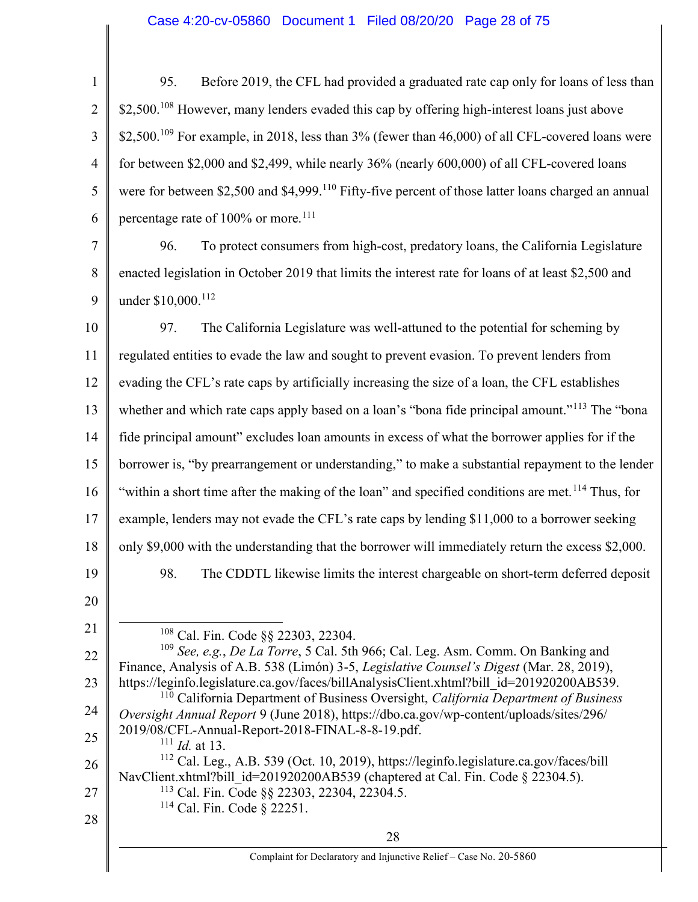# Case 4:20-cv-05860 Document 1 Filed 08/20/20 Page 28 of 75

| $\mathbf{1}$   | Before 2019, the CFL had provided a graduated rate cap only for loans of less than<br>95.                                                                                              |
|----------------|----------------------------------------------------------------------------------------------------------------------------------------------------------------------------------------|
| $\overline{2}$ | \$2,500. <sup>108</sup> However, many lenders evaded this cap by offering high-interest loans just above                                                                               |
| 3              | \$2,500. <sup>109</sup> For example, in 2018, less than $3\%$ (fewer than 46,000) of all CFL-covered loans were                                                                        |
| $\overline{4}$ | for between \$2,000 and \$2,499, while nearly 36% (nearly 600,000) of all CFL-covered loans                                                                                            |
| 5              | were for between \$2,500 and \$4,999. <sup>110</sup> Fifty-five percent of those latter loans charged an annual                                                                        |
| 6              | percentage rate of 100% or more. <sup>111</sup>                                                                                                                                        |
| 7              | To protect consumers from high-cost, predatory loans, the California Legislature<br>96.                                                                                                |
| 8              | enacted legislation in October 2019 that limits the interest rate for loans of at least \$2,500 and                                                                                    |
| 9              | under \$10,000. <sup>112</sup>                                                                                                                                                         |
| 10             | The California Legislature was well-attuned to the potential for scheming by<br>97.                                                                                                    |
| 11             | regulated entities to evade the law and sought to prevent evasion. To prevent lenders from                                                                                             |
| 12             | evading the CFL's rate caps by artificially increasing the size of a loan, the CFL establishes                                                                                         |
| 13             | whether and which rate caps apply based on a loan's "bona fide principal amount." <sup>113</sup> The "bona                                                                             |
| 14             | fide principal amount" excludes loan amounts in excess of what the borrower applies for if the                                                                                         |
| 15             | borrower is, "by prearrangement or understanding," to make a substantial repayment to the lender                                                                                       |
| 16             | "within a short time after the making of the loan" and specified conditions are met. <sup>114</sup> Thus, for                                                                          |
| 17             | example, lenders may not evade the CFL's rate caps by lending \$11,000 to a borrower seeking                                                                                           |
| 18             | only \$9,000 with the understanding that the borrower will immediately return the excess \$2,000.                                                                                      |
| 19             | The CDDTL likewise limits the interest chargeable on short-term deferred deposit<br>98.                                                                                                |
| 20             |                                                                                                                                                                                        |
| 21             | <sup>108</sup> Cal. Fin. Code §§ 22303, 22304.                                                                                                                                         |
| 22             | <sup>109</sup> See, e.g., De La Torre, 5 Cal. 5th 966; Cal. Leg. Asm. Comm. On Banking and<br>Finance, Analysis of A.B. 538 (Limón) 3-5, Legislative Counsel's Digest (Mar. 28, 2019), |
| 23             | https://leginfo.legislature.ca.gov/faces/billAnalysisClient.xhtml?bill_id=201920200AB539.<br>California Department of Business Oversight, California Department of Business            |
| 24             | Oversight Annual Report 9 (June 2018), https://dbo.ca.gov/wp-content/uploads/sites/296/                                                                                                |
| 25             | 2019/08/CFL-Annual-Report-2018-FINAL-8-8-19.pdf.<br>111<br><i>Id.</i> at 13.                                                                                                           |
| 26             | <sup>112</sup> Cal. Leg., A.B. 539 (Oct. 10, 2019), https://leginfo.legislature.ca.gov/faces/bill<br>NavClient.xhtml?bill id=201920200AB539 (chaptered at Cal. Fin. Code § 22304.5).   |
| 27             | <sup>113</sup> Cal. Fin. Code §§ 22303, 22304, 22304.5.<br>$114$ Cal. Fin. Code § 22251.                                                                                               |
| 28             | 28                                                                                                                                                                                     |
|                | Complaint for Declaratory and Injunctive Relief - Case No. 20-5860                                                                                                                     |
|                |                                                                                                                                                                                        |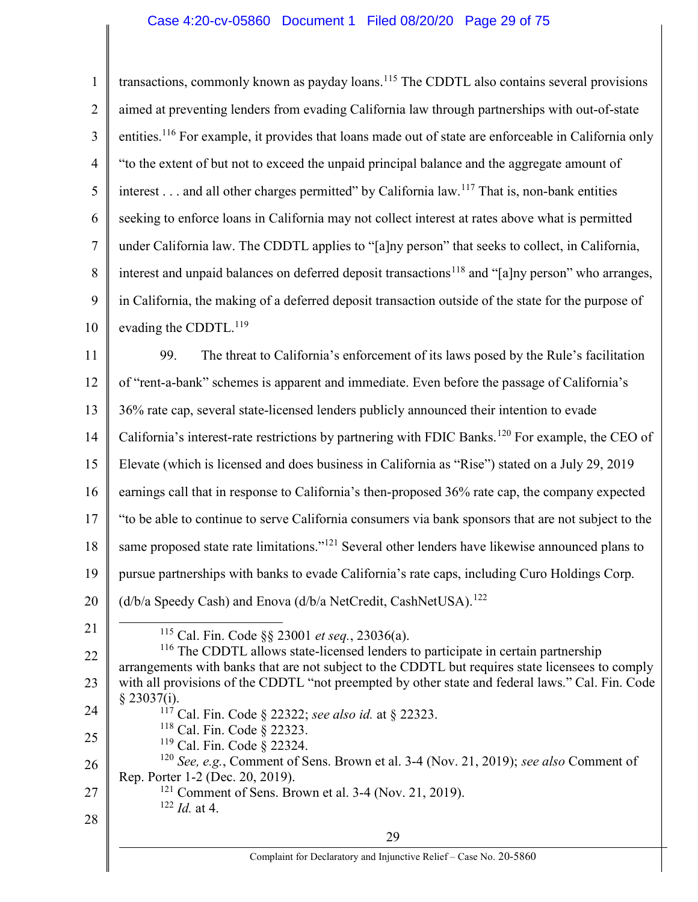| $\mathbf{1}$   | transactions, commonly known as payday loans. <sup>115</sup> The CDDTL also contains several provisions                                                                                          |
|----------------|--------------------------------------------------------------------------------------------------------------------------------------------------------------------------------------------------|
| $\overline{2}$ | aimed at preventing lenders from evading California law through partnerships with out-of-state                                                                                                   |
| 3              | entities. <sup>116</sup> For example, it provides that loans made out of state are enforceable in California only                                                                                |
| 4              | "to the extent of but not to exceed the unpaid principal balance and the aggregate amount of                                                                                                     |
| 5              | interest and all other charges permitted" by California law. <sup>117</sup> That is, non-bank entities                                                                                           |
| 6              | seeking to enforce loans in California may not collect interest at rates above what is permitted                                                                                                 |
| $\tau$         | under California law. The CDDTL applies to "[a]ny person" that seeks to collect, in California,                                                                                                  |
| 8              | interest and unpaid balances on deferred deposit transactions <sup>118</sup> and "[a]ny person" who arranges,                                                                                    |
| 9              | in California, the making of a deferred deposit transaction outside of the state for the purpose of                                                                                              |
| 10             | evading the CDDTL. <sup>119</sup>                                                                                                                                                                |
| 11             | The threat to California's enforcement of its laws posed by the Rule's facilitation<br>99.                                                                                                       |
| 12             | of "rent-a-bank" schemes is apparent and immediate. Even before the passage of California's                                                                                                      |
| 13             | 36% rate cap, several state-licensed lenders publicly announced their intention to evade                                                                                                         |
| 14             | California's interest-rate restrictions by partnering with FDIC Banks. <sup>120</sup> For example, the CEO of                                                                                    |
| 15             | Elevate (which is licensed and does business in California as "Rise") stated on a July 29, 2019                                                                                                  |
| 16             | earnings call that in response to California's then-proposed 36% rate cap, the company expected                                                                                                  |
| 17             | "to be able to continue to serve California consumers via bank sponsors that are not subject to the                                                                                              |
| 18             | same proposed state rate limitations." <sup>121</sup> Several other lenders have likewise announced plans to                                                                                     |
| 19             | pursue partnerships with banks to evade California's rate caps, including Curo Holdings Corp.                                                                                                    |
| 20             | (d/b/a Speedy Cash) and Enova (d/b/a NetCredit, CashNetUSA). <sup>122</sup>                                                                                                                      |
| 21             | <sup>115</sup> Cal. Fin. Code §§ 23001 et seq., 23036(a).                                                                                                                                        |
| 22             | <sup>116</sup> The CDDTL allows state-licensed lenders to participate in certain partnership<br>arrangements with banks that are not subject to the CDDTL but requires state licensees to comply |
| 23             | with all provisions of the CDDTL "not preempted by other state and federal laws." Cal. Fin. Code                                                                                                 |
| 24             | § 23037(i).<br>117<br>Cal. Fin. Code § 22322; see also id. at § 22323.                                                                                                                           |
| 25             | <sup>118</sup> Cal. Fin. Code § 22323.<br>$119$ Cal. Fin. Code § 22324.                                                                                                                          |
| 26             | <sup>120</sup> See, e.g., Comment of Sens. Brown et al. 3-4 (Nov. 21, 2019); see also Comment of                                                                                                 |
| 27             | Rep. Porter 1-2 (Dec. 20, 2019).<br><sup>121</sup> Comment of Sens. Brown et al. 3-4 (Nov. 21, 2019).                                                                                            |
| 28             | $122$ <i>Id.</i> at 4.                                                                                                                                                                           |
|                | 29                                                                                                                                                                                               |
|                | Complaint for Declaratory and Injunctive Relief - Case No. 20-5860                                                                                                                               |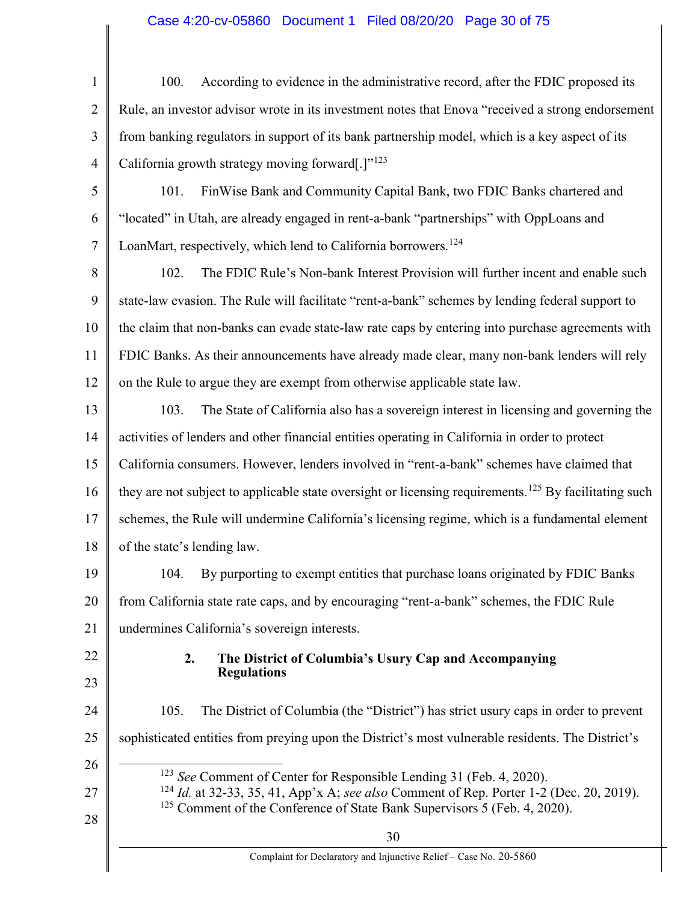# Case 4:20-cv-05860 Document 1 Filed 08/20/20 Page 30 of 75

| $\mathbf{1}$   | According to evidence in the administrative record, after the FDIC proposed its<br>100.                                                                                                           |
|----------------|---------------------------------------------------------------------------------------------------------------------------------------------------------------------------------------------------|
| $\overline{2}$ | Rule, an investor advisor wrote in its investment notes that Enova "received a strong endorsement                                                                                                 |
| 3              | from banking regulators in support of its bank partnership model, which is a key aspect of its                                                                                                    |
| $\overline{4}$ | California growth strategy moving forward[.]" <sup>123</sup>                                                                                                                                      |
| 5              | FinWise Bank and Community Capital Bank, two FDIC Banks chartered and<br>101.                                                                                                                     |
| 6              | "located" in Utah, are already engaged in rent-a-bank "partnerships" with OppLoans and                                                                                                            |
| $\tau$         | LoanMart, respectively, which lend to California borrowers. <sup>124</sup>                                                                                                                        |
| 8              | The FDIC Rule's Non-bank Interest Provision will further incent and enable such<br>102.                                                                                                           |
| 9              | state-law evasion. The Rule will facilitate "rent-a-bank" schemes by lending federal support to                                                                                                   |
| 10             | the claim that non-banks can evade state-law rate caps by entering into purchase agreements with                                                                                                  |
| 11             | FDIC Banks. As their announcements have already made clear, many non-bank lenders will rely                                                                                                       |
| 12             | on the Rule to argue they are exempt from otherwise applicable state law.                                                                                                                         |
| 13             | The State of California also has a sovereign interest in licensing and governing the<br>103.                                                                                                      |
| 14             | activities of lenders and other financial entities operating in California in order to protect                                                                                                    |
| 15             | California consumers. However, lenders involved in "rent-a-bank" schemes have claimed that                                                                                                        |
| 16             | they are not subject to applicable state oversight or licensing requirements. <sup>125</sup> By facilitating such                                                                                 |
| 17             | schemes, the Rule will undermine California's licensing regime, which is a fundamental element                                                                                                    |
| 18             | of the state's lending law.                                                                                                                                                                       |
| 19             | By purporting to exempt entities that purchase loans originated by FDIC Banks<br>104.                                                                                                             |
| 20             | from California state rate caps, and by encouraging "rent-a-bank" schemes, the FDIC Rule                                                                                                          |
| 21             | undermines California's sovereign interests.                                                                                                                                                      |
| 22<br>23       | 2.<br>The District of Columbia's Usury Cap and Accompanying<br><b>Regulations</b>                                                                                                                 |
| 24             | The District of Columbia (the "District") has strict usury caps in order to prevent<br>105.                                                                                                       |
| 25             | sophisticated entities from preying upon the District's most vulnerable residents. The District's                                                                                                 |
| 26             | <sup>123</sup> See Comment of Center for Responsible Lending 31 (Feb. 4, 2020).                                                                                                                   |
| 27             | <sup>124</sup> <i>Id.</i> at 32-33, 35, 41, App'x A; see also Comment of Rep. Porter 1-2 (Dec. 20, 2019).<br><sup>125</sup> Comment of the Conference of State Bank Supervisors 5 (Feb. 4, 2020). |
| 28             | 30                                                                                                                                                                                                |
|                | Complaint for Declaratory and Injunctive Relief - Case No. 20-5860                                                                                                                                |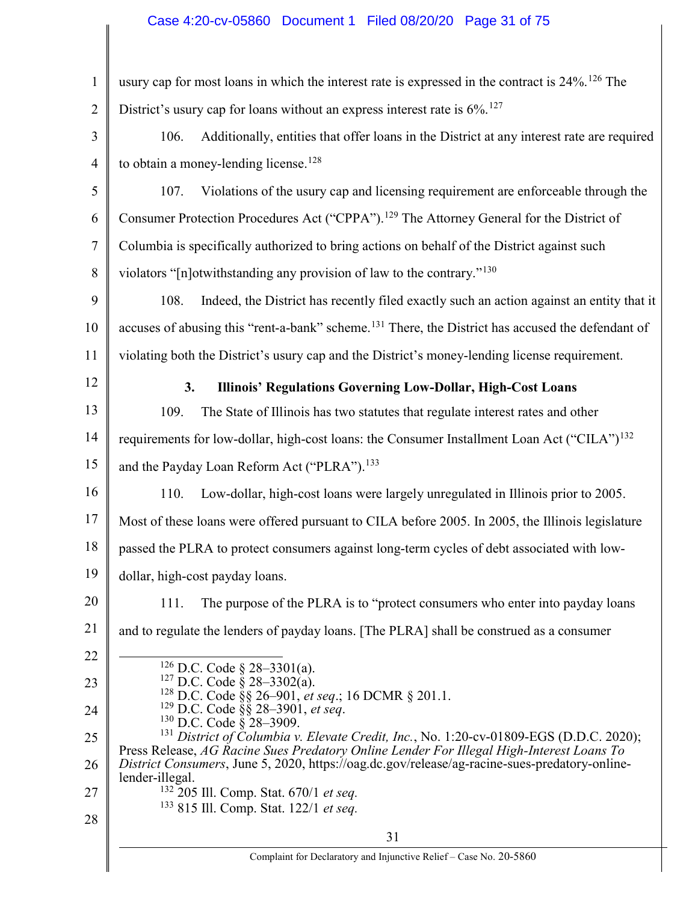# Case 4:20-cv-05860 Document 1 Filed 08/20/20 Page 31 of 75

| $\mathbf{1}$   | usury cap for most loans in which the interest rate is expressed in the contract is 24%. <sup>126</sup> The                                                                                                      |
|----------------|------------------------------------------------------------------------------------------------------------------------------------------------------------------------------------------------------------------|
| $\overline{2}$ | District's usury cap for loans without an express interest rate is 6%. <sup>127</sup>                                                                                                                            |
| 3              | 106.<br>Additionally, entities that offer loans in the District at any interest rate are required                                                                                                                |
| $\overline{4}$ | to obtain a money-lending license. <sup>128</sup>                                                                                                                                                                |
| 5              | 107.<br>Violations of the usury cap and licensing requirement are enforceable through the                                                                                                                        |
| 6              | Consumer Protection Procedures Act ("CPPA"). <sup>129</sup> The Attorney General for the District of                                                                                                             |
| $\overline{7}$ | Columbia is specifically authorized to bring actions on behalf of the District against such                                                                                                                      |
| 8              | violators "[n]otwithstanding any provision of law to the contrary." <sup>130</sup>                                                                                                                               |
| 9              | 108.<br>Indeed, the District has recently filed exactly such an action against an entity that it                                                                                                                 |
| 10             | accuses of abusing this "rent-a-bank" scheme. <sup>131</sup> There, the District has accused the defendant of                                                                                                    |
| 11             | violating both the District's usury cap and the District's money-lending license requirement.                                                                                                                    |
| 12             | Illinois' Regulations Governing Low-Dollar, High-Cost Loans<br>3.                                                                                                                                                |
| 13             | 109.<br>The State of Illinois has two statutes that regulate interest rates and other                                                                                                                            |
| 14             | requirements for low-dollar, high-cost loans: the Consumer Installment Loan Act ("CILA") <sup>132</sup>                                                                                                          |
| 15             | and the Payday Loan Reform Act ("PLRA"). <sup>133</sup>                                                                                                                                                          |
| 16             | Low-dollar, high-cost loans were largely unregulated in Illinois prior to 2005.<br>110.                                                                                                                          |
| 17             | Most of these loans were offered pursuant to CILA before 2005. In 2005, the Illinois legislature                                                                                                                 |
| 18             | passed the PLRA to protect consumers against long-term cycles of debt associated with low-                                                                                                                       |
| 19             | dollar, high-cost payday loans.                                                                                                                                                                                  |
| 20             | The purpose of the PLRA is to "protect consumers who enter into payday loans"<br>111.                                                                                                                            |
| 21             | and to regulate the lenders of payday loans. [The PLRA] shall be construed as a consumer                                                                                                                         |
| 22             | <sup>126</sup> D.C. Code § 28–3301(a).                                                                                                                                                                           |
| 23             |                                                                                                                                                                                                                  |
| 24             | <sup>127</sup> D.C. Code § 28–3302(a).<br><sup>128</sup> D.C. Code § 28–3302(a).<br><sup>128</sup> D.C. Code §§ 26–901, <i>et seq.</i> ; 16 DCMR § 201.1.<br><sup>129</sup> D.C. Code §§ 28–3901, <i>et seq.</i> |
| 25             | <sup>131</sup> District of Columbia v. Elevate Credit, Inc., No. 1:20-cv-01809-EGS (D.D.C. 2020);<br>Press Release, AG Racine Sues Predatory Online Lender For Illegal High-Interest Loans To                    |
| 26             | District Consumers, June 5, 2020, https://oag.dc.gov/release/ag-racine-sues-predatory-online-<br>lender-illegal.                                                                                                 |
| 27             | <sup>132</sup> 205 Ill. Comp. Stat. 670/1 et seq.<br><sup>133</sup> 815 Ill. Comp. Stat. 122/1 et seq.                                                                                                           |
| 28             | 31                                                                                                                                                                                                               |
|                | Complaint for Declaratory and Injunctive Relief - Case No. 20-5860                                                                                                                                               |
|                |                                                                                                                                                                                                                  |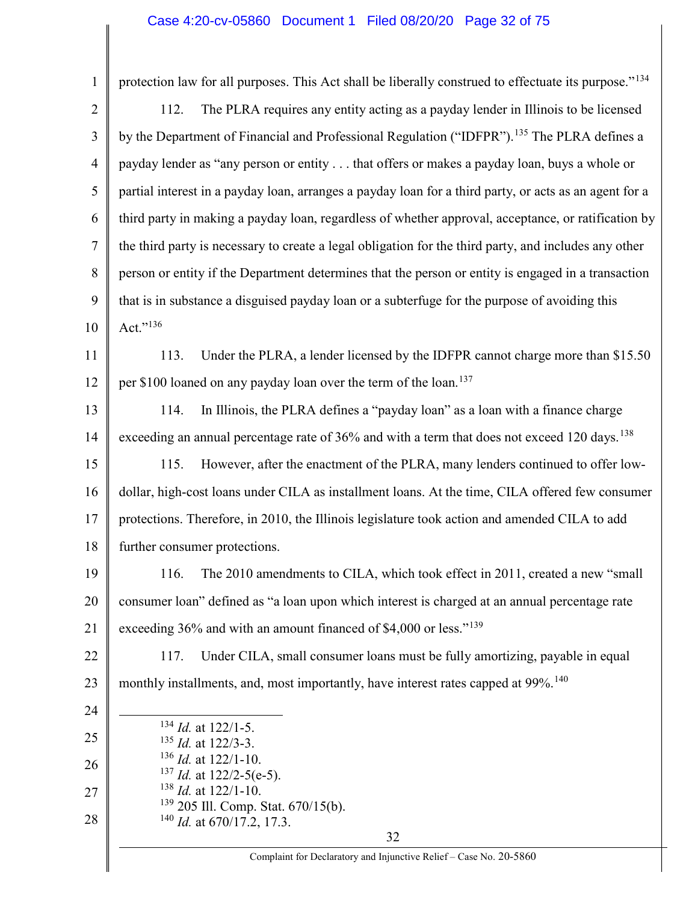# Case 4:20-cv-05860 Document 1 Filed 08/20/20 Page 32 of 75

| $\mathbf{1}$   | protection law for all purposes. This Act shall be liberally construed to effectuate its purpose." <sup>134</sup> |
|----------------|-------------------------------------------------------------------------------------------------------------------|
| $\overline{2}$ | The PLRA requires any entity acting as a payday lender in Illinois to be licensed<br>112.                         |
| 3              | by the Department of Financial and Professional Regulation ("IDFPR"). <sup>135</sup> The PLRA defines a           |
| $\overline{4}$ | payday lender as "any person or entity that offers or makes a payday loan, buys a whole or                        |
| 5              | partial interest in a payday loan, arranges a payday loan for a third party, or acts as an agent for a            |
| 6              | third party in making a payday loan, regardless of whether approval, acceptance, or ratification by               |
| $\tau$         | the third party is necessary to create a legal obligation for the third party, and includes any other             |
| 8              | person or entity if the Department determines that the person or entity is engaged in a transaction               |
| 9              | that is in substance a disguised payday loan or a subterfuge for the purpose of avoiding this                     |
| 10             | Act." $^{136}$                                                                                                    |
| 11             | Under the PLRA, a lender licensed by the IDFPR cannot charge more than \$15.50<br>113.                            |
| 12             | per \$100 loaned on any payday loan over the term of the loan. <sup>137</sup>                                     |
| 13             | In Illinois, the PLRA defines a "payday loan" as a loan with a finance charge<br>114.                             |
| 14             | exceeding an annual percentage rate of 36% and with a term that does not exceed 120 days. <sup>138</sup>          |
| 15             | However, after the enactment of the PLRA, many lenders continued to offer low-<br>115.                            |
| 16             | dollar, high-cost loans under CILA as installment loans. At the time, CILA offered few consumer                   |
| 17             | protections. Therefore, in 2010, the Illinois legislature took action and amended CILA to add                     |
| 18             | further consumer protections.                                                                                     |
| 19             | 116. The 2010 amendments to CILA, which took effect in 2011, created a new "small"                                |
| 20             | consumer loan" defined as "a loan upon which interest is charged at an annual percentage rate                     |
| 21             | exceeding 36% and with an amount financed of \$4,000 or less." $139$                                              |
| 22             | Under CILA, small consumer loans must be fully amortizing, payable in equal<br>117.                               |
| 23             | monthly installments, and, most importantly, have interest rates capped at 99%. <sup>140</sup>                    |
| 24             |                                                                                                                   |
| 25             | $134$ <i>Id.</i> at 122/1-5.<br>$135$ <i>Id.</i> at 122/3-3.                                                      |
| 26             | $136$ <i>Id.</i> at 122/1-10.<br>$137$ <i>Id.</i> at 122/2-5(e-5).                                                |
| 27             | $138$ <i>Id.</i> at 122/1-10.                                                                                     |
| 28             | <sup>139</sup> 205 Ill. Comp. Stat. 670/15(b).<br>$^{140}$ <i>Id.</i> at 670/17.2, 17.3.                          |
|                | 32                                                                                                                |

Complaint for Declaratory and Injunctive Relief – Case No. 20-5860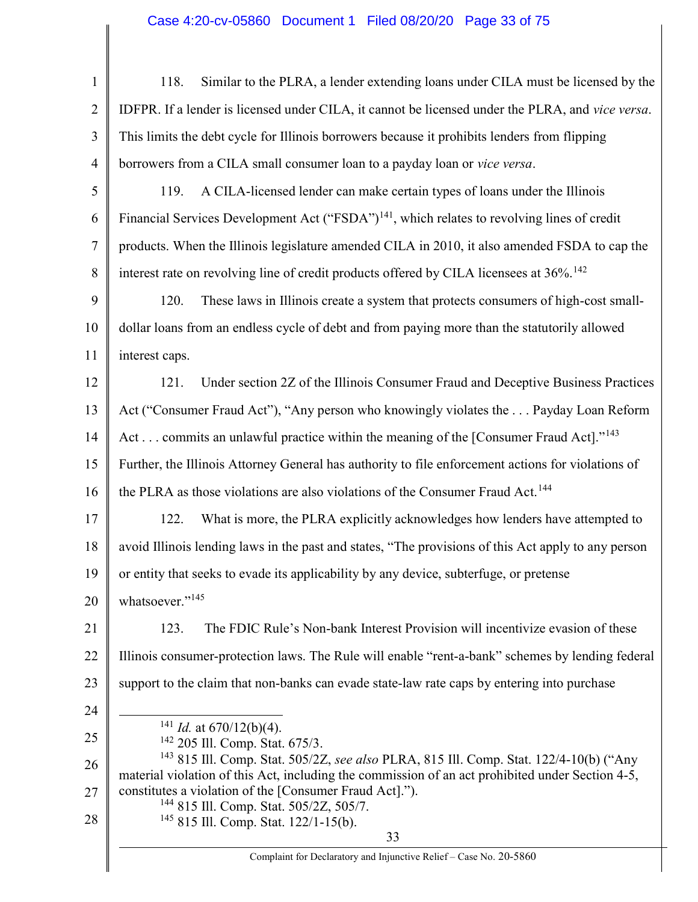# Case 4:20-cv-05860 Document 1 Filed 08/20/20 Page 33 of 75

| $\mathbf{1}$   | Similar to the PLRA, a lender extending loans under CILA must be licensed by the<br>118.                                                                                                              |
|----------------|-------------------------------------------------------------------------------------------------------------------------------------------------------------------------------------------------------|
| $\overline{2}$ | IDFPR. If a lender is licensed under CILA, it cannot be licensed under the PLRA, and vice versa.                                                                                                      |
| 3              | This limits the debt cycle for Illinois borrowers because it prohibits lenders from flipping                                                                                                          |
| $\overline{4}$ | borrowers from a CILA small consumer loan to a payday loan or vice versa.                                                                                                                             |
| 5              | A CILA-licensed lender can make certain types of loans under the Illinois<br>119.                                                                                                                     |
| 6              | Financial Services Development Act ("FSDA") <sup>141</sup> , which relates to revolving lines of credit                                                                                               |
| $\tau$         | products. When the Illinois legislature amended CILA in 2010, it also amended FSDA to cap the                                                                                                         |
| 8              | interest rate on revolving line of credit products offered by CILA licensees at 36%. <sup>142</sup>                                                                                                   |
| 9              | These laws in Illinois create a system that protects consumers of high-cost small-<br>120.                                                                                                            |
| 10             | dollar loans from an endless cycle of debt and from paying more than the statutorily allowed                                                                                                          |
| 11             | interest caps.                                                                                                                                                                                        |
| 12             | Under section 2Z of the Illinois Consumer Fraud and Deceptive Business Practices<br>121.                                                                                                              |
| 13             | Act ("Consumer Fraud Act"), "Any person who knowingly violates the Payday Loan Reform                                                                                                                 |
| 14             | Act commits an unlawful practice within the meaning of the [Consumer Fraud Act]." <sup>143</sup>                                                                                                      |
| 15             | Further, the Illinois Attorney General has authority to file enforcement actions for violations of                                                                                                    |
| 16             | the PLRA as those violations are also violations of the Consumer Fraud Act. <sup>144</sup>                                                                                                            |
| 17             | What is more, the PLRA explicitly acknowledges how lenders have attempted to<br>122.                                                                                                                  |
| 18             | avoid Illinois lending laws in the past and states, "The provisions of this Act apply to any person                                                                                                   |
| 19             | or entity that seeks to evade its applicability by any device, subterfuge, or pretense                                                                                                                |
| 20             | whatsoever." <sup>145</sup>                                                                                                                                                                           |
| 21             | The FDIC Rule's Non-bank Interest Provision will incentivize evasion of these<br>123.                                                                                                                 |
| 22             | Illinois consumer-protection laws. The Rule will enable "rent-a-bank" schemes by lending federal                                                                                                      |
| 23             | support to the claim that non-banks can evade state-law rate caps by entering into purchase                                                                                                           |
| 24             |                                                                                                                                                                                                       |
| 25             | $141$ <i>Id.</i> at 670/12(b)(4).<br><sup>142</sup> 205 Ill. Comp. Stat. 675/3.                                                                                                                       |
| 26             | <sup>143</sup> 815 Ill. Comp. Stat. 505/2Z, see also PLRA, 815 Ill. Comp. Stat. 122/4-10(b) ("Any<br>material violation of this Act, including the commission of an act prohibited under Section 4-5, |
| 27             | constitutes a violation of the [Consumer Fraud Act].").                                                                                                                                               |
| 28             | <sup>144</sup> 815 Ill. Comp. Stat. 505/2Z, 505/7.<br><sup>145</sup> 815 Ill. Comp. Stat. 122/1-15(b).                                                                                                |
|                | 33                                                                                                                                                                                                    |
|                | Complaint for Declaratory and Injunctive Relief - Case No. 20-5860                                                                                                                                    |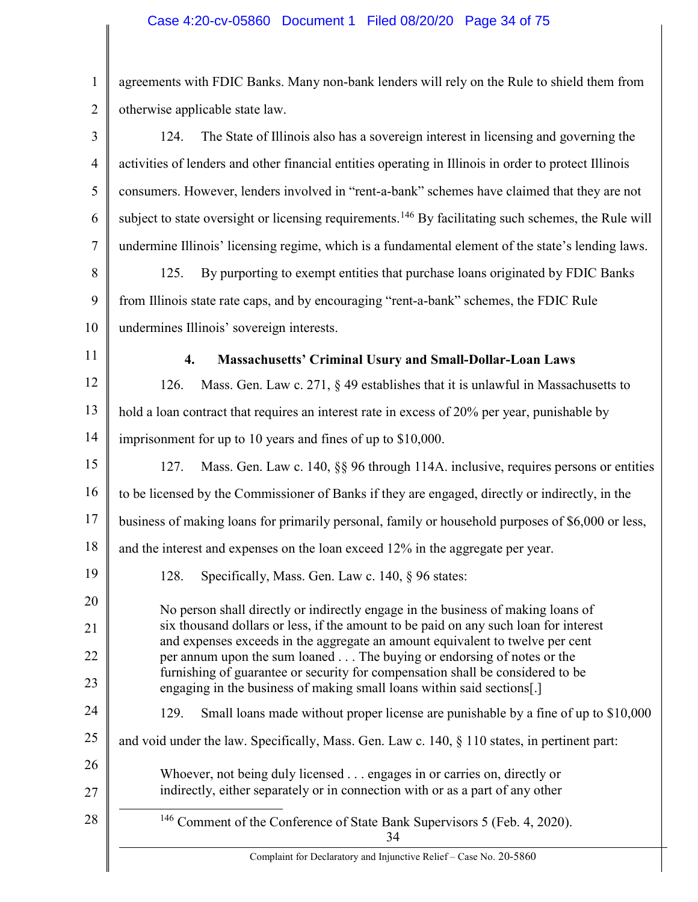1 2 agreements with FDIC Banks. Many non-bank lenders will rely on the Rule to shield them from otherwise applicable state law.

| 3              | The State of Illinois also has a sovereign interest in licensing and governing the<br>124.                                                                            |
|----------------|-----------------------------------------------------------------------------------------------------------------------------------------------------------------------|
| $\overline{4}$ | activities of lenders and other financial entities operating in Illinois in order to protect Illinois                                                                 |
| 5              | consumers. However, lenders involved in "rent-a-bank" schemes have claimed that they are not                                                                          |
| 6              | subject to state oversight or licensing requirements. <sup>146</sup> By facilitating such schemes, the Rule will                                                      |
| $\tau$         | undermine Illinois' licensing regime, which is a fundamental element of the state's lending laws.                                                                     |
| 8              | By purporting to exempt entities that purchase loans originated by FDIC Banks<br>125.                                                                                 |
| 9              | from Illinois state rate caps, and by encouraging "rent-a-bank" schemes, the FDIC Rule                                                                                |
| 10             | undermines Illinois' sovereign interests.                                                                                                                             |
| 11             | $\boldsymbol{4}$ .<br><b>Massachusetts' Criminal Usury and Small-Dollar-Loan Laws</b>                                                                                 |
| 12             | Mass. Gen. Law c. 271, § 49 establishes that it is unlawful in Massachusetts to<br>126.                                                                               |
| 13             | hold a loan contract that requires an interest rate in excess of 20% per year, punishable by                                                                          |
| 14             | imprisonment for up to 10 years and fines of up to \$10,000.                                                                                                          |
| 15             | Mass. Gen. Law c. 140, §§ 96 through 114A. inclusive, requires persons or entities<br>127.                                                                            |
| 16             | to be licensed by the Commissioner of Banks if they are engaged, directly or indirectly, in the                                                                       |
| 17             | business of making loans for primarily personal, family or household purposes of \$6,000 or less,                                                                     |
| 18             | and the interest and expenses on the loan exceed 12% in the aggregate per year.                                                                                       |
| 19             | 128.<br>Specifically, Mass. Gen. Law c. 140, § 96 states:                                                                                                             |
| 20             | No person shall directly or indirectly engage in the business of making loans of                                                                                      |
| 21             | six thousand dollars or less, if the amount to be paid on any such loan for interest<br>and expenses exceeds in the aggregate an amount equivalent to twelve per cent |
| 22             | per annum upon the sum loaned The buying or endorsing of notes or the<br>furnishing of guarantee or security for compensation shall be considered to be               |
| 23             | engaging in the business of making small loans within said sections[.]                                                                                                |
| 24             | Small loans made without proper license are punishable by a fine of up to \$10,000<br>129.                                                                            |
| 25             | and void under the law. Specifically, Mass. Gen. Law c. 140, § 110 states, in pertinent part:                                                                         |
| 26<br>27       | Whoever, not being duly licensed engages in or carries on, directly or<br>indirectly, either separately or in connection with or as a part of any other               |
| 28             | <sup>146</sup> Comment of the Conference of State Bank Supervisors 5 (Feb. 4, 2020).<br>34                                                                            |
|                | Complaint for Declaratory and Injunctive Relief - Case No. 20-5860                                                                                                    |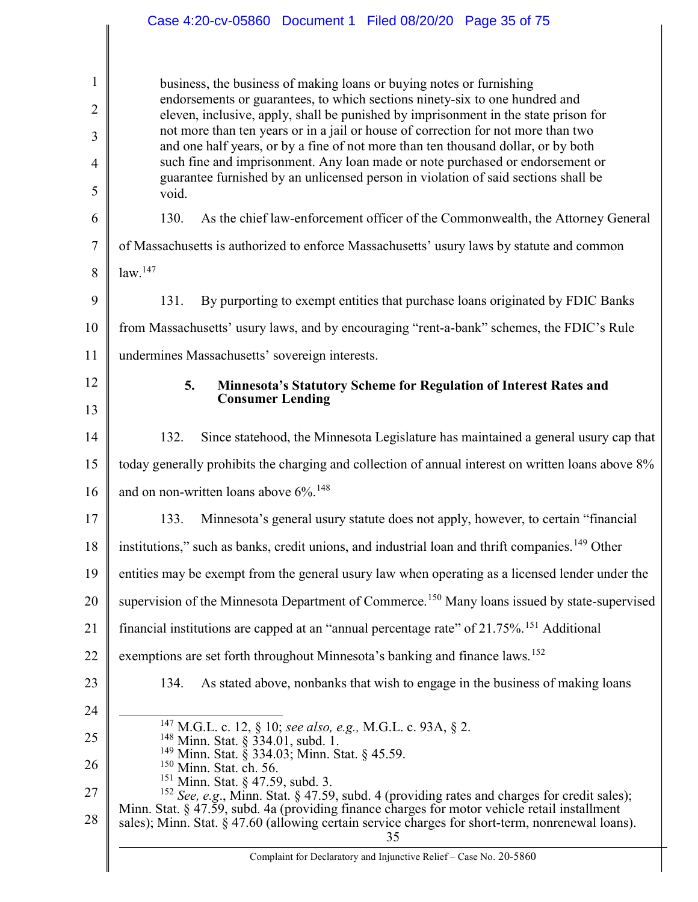|                     | Case 4:20-cv-05860 Document 1 Filed 08/20/20 Page 35 of 75                                                                                                                                                                                 |
|---------------------|--------------------------------------------------------------------------------------------------------------------------------------------------------------------------------------------------------------------------------------------|
|                     |                                                                                                                                                                                                                                            |
| 1<br>$\overline{2}$ | business, the business of making loans or buying notes or furnishing<br>endorsements or guarantees, to which sections ninety-six to one hundred and<br>eleven, inclusive, apply, shall be punished by imprisonment in the state prison for |
| 3                   | not more than ten years or in a jail or house of correction for not more than two                                                                                                                                                          |
| $\overline{4}$      | and one half years, or by a fine of not more than ten thousand dollar, or by both<br>such fine and imprisonment. Any loan made or note purchased or endorsement or                                                                         |
| 5                   | guarantee furnished by an unlicensed person in violation of said sections shall be<br>void.                                                                                                                                                |
| 6                   | 130.<br>As the chief law-enforcement officer of the Commonwealth, the Attorney General                                                                                                                                                     |
| 7                   | of Massachusetts is authorized to enforce Massachusetts' usury laws by statute and common                                                                                                                                                  |
| 8                   | law. <sup>147</sup>                                                                                                                                                                                                                        |
| 9                   | By purporting to exempt entities that purchase loans originated by FDIC Banks<br>131.                                                                                                                                                      |
| 10                  | from Massachusetts' usury laws, and by encouraging "rent-a-bank" schemes, the FDIC's Rule                                                                                                                                                  |
| 11                  | undermines Massachusetts' sovereign interests.                                                                                                                                                                                             |
| 12                  | 5.<br>Minnesota's Statutory Scheme for Regulation of Interest Rates and<br><b>Consumer Lending</b>                                                                                                                                         |
| 13                  |                                                                                                                                                                                                                                            |
| 14                  | 132.<br>Since statehood, the Minnesota Legislature has maintained a general usury cap that                                                                                                                                                 |
| 15                  | today generally prohibits the charging and collection of annual interest on written loans above 8%                                                                                                                                         |
| 16                  | and on non-written loans above 6%. <sup>148</sup>                                                                                                                                                                                          |
| 17                  | 133. Minnesota's general usury statute does not apply, however, to certain "financial"                                                                                                                                                     |
| 18                  | institutions," such as banks, credit unions, and industrial loan and thrift companies. <sup>149</sup> Other                                                                                                                                |
| 19                  | entities may be exempt from the general usury law when operating as a licensed lender under the                                                                                                                                            |
| 20                  | supervision of the Minnesota Department of Commerce. <sup>150</sup> Many loans issued by state-supervised                                                                                                                                  |
| 21                  | financial institutions are capped at an "annual percentage rate" of 21.75%. <sup>151</sup> Additional                                                                                                                                      |
| 22                  | exemptions are set forth throughout Minnesota's banking and finance laws. <sup>152</sup>                                                                                                                                                   |
| 23                  | As stated above, nonbanks that wish to engage in the business of making loans<br>134.                                                                                                                                                      |
| 24                  | <sup>147</sup> M.G.L. c. 12, § 10; see also, e.g., M.G.L. c. 93A, § 2.                                                                                                                                                                     |
| 25                  | $148$ Minn. Stat. § 334.01, subd. 1.<br><sup>149</sup> Minn. Stat. § 334.03; Minn. Stat. § 45.59.                                                                                                                                          |
| 26                  | <sup>150</sup> Minn. Stat. ch. 56.<br>$^{151}_{12}$ Minn. Stat. § 47.59, subd. 3.                                                                                                                                                          |
| 27                  | <sup>152</sup> See, e.g., Minn. Stat. § 47.59, subd. 4 (providing rates and charges for credit sales);<br>Minn. Stat. § 47.59, subd. 4a (providing finance charges for motor vehicle retail installment                                    |
| 28                  | sales); Minn. Stat. § 47.60 (allowing certain service charges for short-term, nonrenewal loans).<br>35                                                                                                                                     |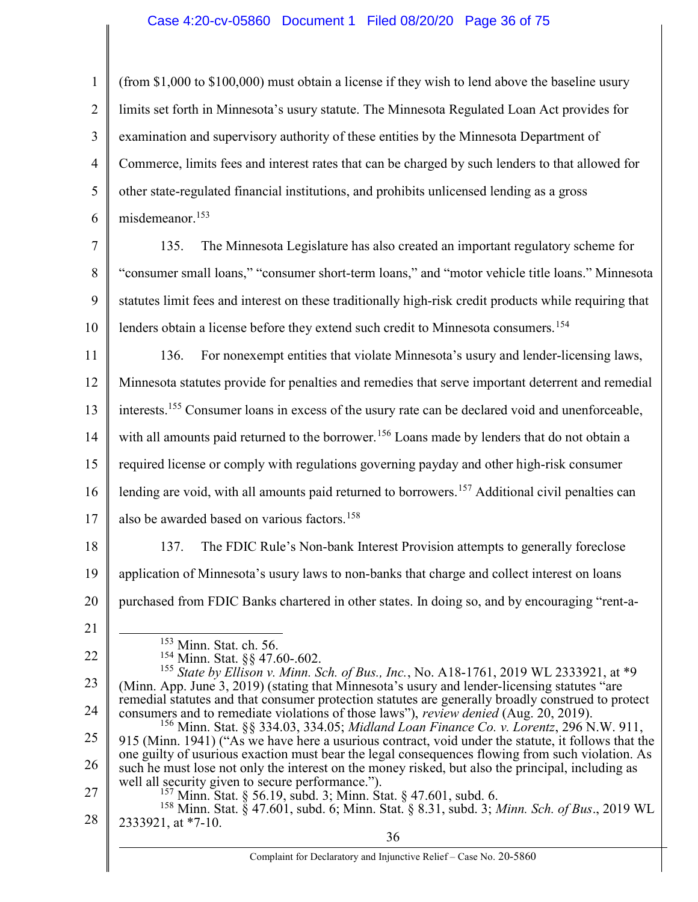#### Case 4:20-cv-05860 Document 1 Filed 08/20/20 Page 36 of 75

1 2 3 4 5 6 7 8 9 10 11 12 13 14 15 16 17 18 19 20 21 22 23 24 25 26 27 28 36 (from \$1,000 to \$100,000) must obtain a license if they wish to lend above the baseline usury limits set forth in Minnesota's usury statute. The Minnesota Regulated Loan Act provides for examination and supervisory authority of these entities by the Minnesota Department of Commerce, limits fees and interest rates that can be charged by such lenders to that allowed for other state-regulated financial institutions, and prohibits unlicensed lending as a gross misdemeanor.<sup>153</sup> 135. The Minnesota Legislature has also created an important regulatory scheme for "consumer small loans," "consumer short-term loans," and "motor vehicle title loans." Minnesota statutes limit fees and interest on these traditionally high-risk credit products while requiring that lenders obtain a license before they extend such credit to Minnesota consumers.<sup>154</sup> 136. For nonexempt entities that violate Minnesota's usury and lender-licensing laws, Minnesota statutes provide for penalties and remedies that serve important deterrent and remedial interests.<sup>155</sup> Consumer loans in excess of the usury rate can be declared void and unenforceable, with all amounts paid returned to the borrower.<sup>156</sup> Loans made by lenders that do not obtain a required license or comply with regulations governing payday and other high-risk consumer lending are void, with all amounts paid returned to borrowers.<sup>157</sup> Additional civil penalties can also be awarded based on various factors.<sup>158</sup> 137. The FDIC Rule's Non-bank Interest Provision attempts to generally foreclose application of Minnesota's usury laws to non-banks that charge and collect interest on loans purchased from FDIC Banks chartered in other states. In doing so, and by encouraging "rent-a- <sup>153</sup> Minn. Stat. ch. 56. <sup>154</sup> Minn. Stat. §§ 47.60-.602. <sup>155</sup> State by Ellison v. Minn. Sch. of Bus., Inc., No. A18-1761, 2019 WL 2333921, at \*9 (Minn. App. June 3, 2019) (stating that Minnesota's usury and lender-licensing statutes "are remedial statutes and that consumer protection statutes are generally broadly construed to protect consumers and to remediate violations of those laws"), review denied (Aug. 20, 2019). <sup>156</sup> Minn. Stat. §§ 334.03, 334.05; *Midland Loan Finance Co. v. Lorentz*, 296 N.W. 911, 915 (Minn. 1941) ("As we have here a usurious contract, void under the statute, it follows that the one guilty of usurious exaction must bear the legal consequences flowing from such violation. As such he must lose not only the interest on the money risked, but also the principal, including as well all security given to secure performance."). <sup>157</sup> Minn. Stat. § 56.19, subd. 3; Minn. Stat. § 47.601, subd. 6. <sup>158</sup> Minn. Stat. § 47.601, subd. 6; Minn. Stat. § 8.31, subd. 3; Minn. Sch. of Bus., 2019 WL 2333921, at \*7-10.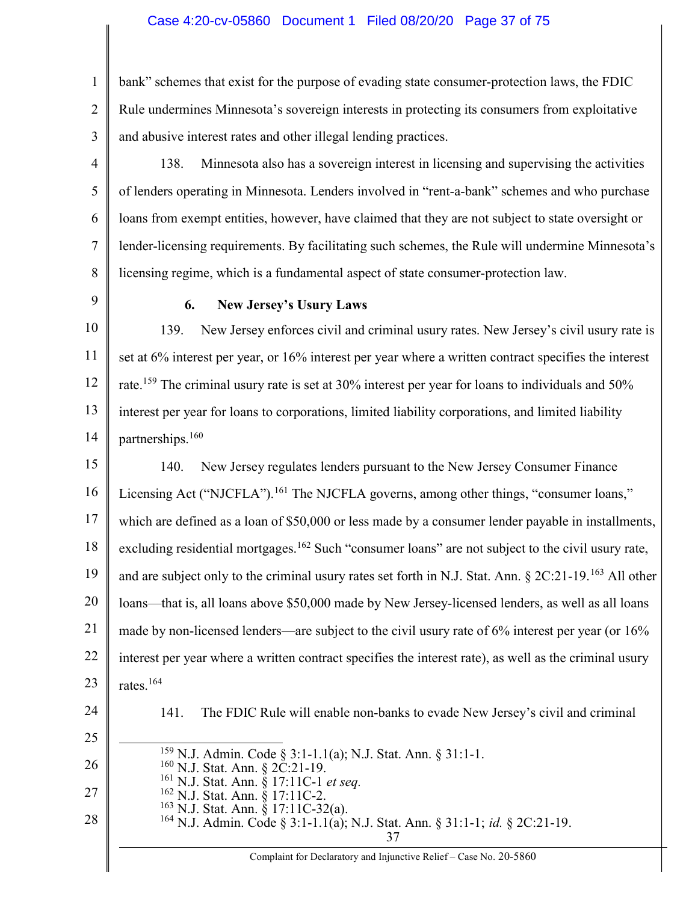1 2 3 bank" schemes that exist for the purpose of evading state consumer-protection laws, the FDIC Rule undermines Minnesota's sovereign interests in protecting its consumers from exploitative and abusive interest rates and other illegal lending practices.

- 4 5 6 7 8 138. Minnesota also has a sovereign interest in licensing and supervising the activities of lenders operating in Minnesota. Lenders involved in "rent-a-bank" schemes and who purchase loans from exempt entities, however, have claimed that they are not subject to state oversight or lender-licensing requirements. By facilitating such schemes, the Rule will undermine Minnesota's licensing regime, which is a fundamental aspect of state consumer-protection law.
- 9

## 6. New Jersey's Usury Laws

10 11 12 13 14 139. New Jersey enforces civil and criminal usury rates. New Jersey's civil usury rate is set at 6% interest per year, or 16% interest per year where a written contract specifies the interest rate.<sup>159</sup> The criminal usury rate is set at 30% interest per year for loans to individuals and 50% interest per year for loans to corporations, limited liability corporations, and limited liability partnerships.<sup>160</sup>

15 16 17 18 19 20 21 22 23 140. New Jersey regulates lenders pursuant to the New Jersey Consumer Finance Licensing Act ("NJCFLA").<sup>161</sup> The NJCFLA governs, among other things, "consumer loans," which are defined as a loan of \$50,000 or less made by a consumer lender payable in installments, excluding residential mortgages.<sup>162</sup> Such "consumer loans" are not subject to the civil usury rate, and are subject only to the criminal usury rates set forth in N.J. Stat. Ann. § 2C:21-19.<sup>163</sup> All other loans—that is, all loans above \$50,000 made by New Jersey-licensed lenders, as well as all loans made by non-licensed lenders—are subject to the civil usury rate of 6% interest per year (or 16% interest per year where a written contract specifies the interest rate), as well as the criminal usury rates.<sup>164</sup>

24

141. The FDIC Rule will enable non-banks to evade New Jersey's civil and criminal

25 26 27 28 <sup>159</sup> N.J. Admin. Code § 3:1-1.1(a); N.J. Stat. Ann. § 31:1-1. <sup>160</sup> N.J. Stat. Ann. § 2C:21-19. <sup>161</sup> N.J. Stat. Ann. § 17:11C-1 et seq. <sup>162</sup> N.J. Stat. Ann. § 17:11C-2. <sup>163</sup> N.J. Stat. Ann. § 17:11C-32(a). <sup>164</sup> N.J. Admin. Code § 3:1-1.1(a); N.J. Stat. Ann. § 31:1-1; *id.* § 2C:21-19.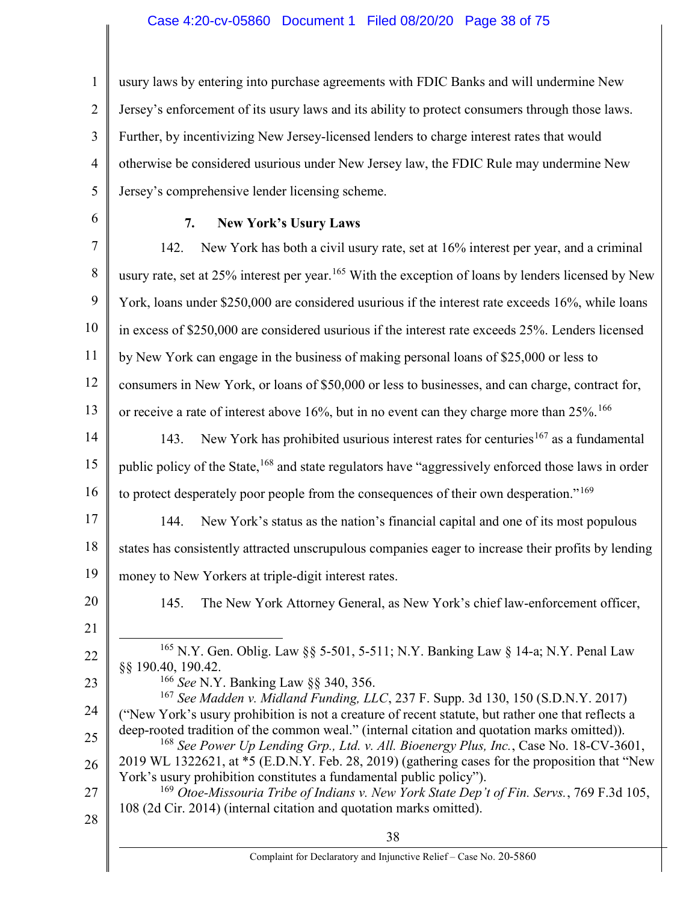### Case 4:20-cv-05860 Document 1 Filed 08/20/20 Page 38 of 75

1 2 3 4 5 usury laws by entering into purchase agreements with FDIC Banks and will undermine New Jersey's enforcement of its usury laws and its ability to protect consumers through those laws. Further, by incentivizing New Jersey-licensed lenders to charge interest rates that would otherwise be considered usurious under New Jersey law, the FDIC Rule may undermine New Jersey's comprehensive lender licensing scheme.

6

## 7. New York's Usury Laws

7 8 9 10 11 12 13 14 15 16 17 18 19 20 21 22 23 24 25 26 27 28 38 Complaint for Declaratory and Injunctive Relief – Case No. 20-5860 142. New York has both a civil usury rate, set at 16% interest per year, and a criminal usury rate, set at 25% interest per year.<sup>165</sup> With the exception of loans by lenders licensed by New York, loans under \$250,000 are considered usurious if the interest rate exceeds 16%, while loans in excess of \$250,000 are considered usurious if the interest rate exceeds 25%. Lenders licensed by New York can engage in the business of making personal loans of \$25,000 or less to consumers in New York, or loans of \$50,000 or less to businesses, and can charge, contract for, or receive a rate of interest above 16%, but in no event can they charge more than  $25\%$ .<sup>166</sup> 143. New York has prohibited usurious interest rates for centuries<sup>167</sup> as a fundamental public policy of the State,<sup>168</sup> and state regulators have "aggressively enforced those laws in order to protect desperately poor people from the consequences of their own desperation."<sup>169</sup> 144. New York's status as the nation's financial capital and one of its most populous states has consistently attracted unscrupulous companies eager to increase their profits by lending money to New Yorkers at triple-digit interest rates. 145. The New York Attorney General, as New York's chief law-enforcement officer, <sup>165</sup> N.Y. Gen. Oblig. Law §§ 5-501, 5-511; N.Y. Banking Law § 14-a; N.Y. Penal Law §§ 190.40, 190.42. <sup>166</sup> See N.Y. Banking Law §§ 340, 356. <sup>167</sup> See Madden v. Midland Funding, LLC, 237 F. Supp. 3d 130, 150 (S.D.N.Y. 2017) ("New York's usury prohibition is not a creature of recent statute, but rather one that reflects a deep-rooted tradition of the common weal." (internal citation and quotation marks omitted)). <sup>168</sup> See Power Up Lending Grp., Ltd. v. All. Bioenergy Plus, Inc., Case No. 18-CV-3601, 2019 WL 1322621, at \*5 (E.D.N.Y. Feb. 28, 2019) (gathering cases for the proposition that "New York's usury prohibition constitutes a fundamental public policy").  $169$  Otoe-Missouria Tribe of Indians v. New York State Dep't of Fin. Servs., 769 F.3d 105, 108 (2d Cir. 2014) (internal citation and quotation marks omitted).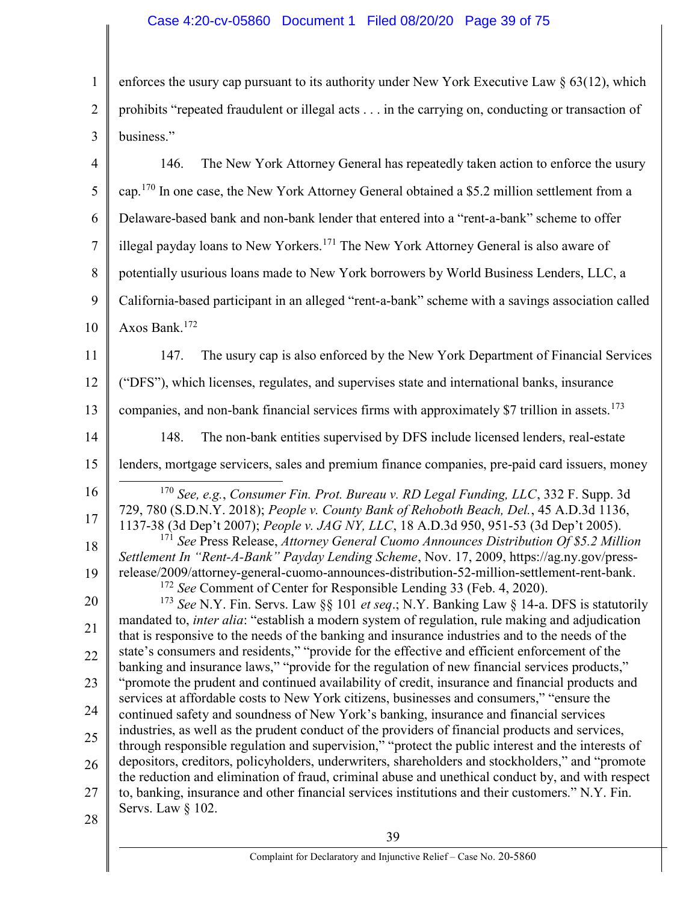1 2 3 4 5 6 7 8 9 10 11 12 13 14 15 16 17 18 19 20 21 22 23 24 25 26 27 enforces the usury cap pursuant to its authority under New York Executive Law  $\S 63(12)$ , which prohibits "repeated fraudulent or illegal acts . . . in the carrying on, conducting or transaction of business." 146. The New York Attorney General has repeatedly taken action to enforce the usury cap.<sup>170</sup> In one case, the New York Attorney General obtained a \$5.2 million settlement from a Delaware-based bank and non-bank lender that entered into a "rent-a-bank" scheme to offer illegal payday loans to New Yorkers.<sup>171</sup> The New York Attorney General is also aware of potentially usurious loans made to New York borrowers by World Business Lenders, LLC, a California-based participant in an alleged "rent-a-bank" scheme with a savings association called Axos Bank.<sup>172</sup> 147. The usury cap is also enforced by the New York Department of Financial Services ("DFS"), which licenses, regulates, and supervises state and international banks, insurance companies, and non-bank financial services firms with approximately \$7 trillion in assets.<sup>173</sup> 148. The non-bank entities supervised by DFS include licensed lenders, real-estate lenders, mortgage servicers, sales and premium finance companies, pre-paid card issuers, money  $170$  See, e.g., Consumer Fin. Prot. Bureau v. RD Legal Funding, LLC, 332 F. Supp. 3d 729, 780 (S.D.N.Y. 2018); People v. County Bank of Rehoboth Beach, Del., 45 A.D.3d 1136, 1137-38 (3d Dep't 2007); People v. JAG NY, LLC, 18 A.D.3d 950, 951-53 (3d Dep't 2005).  $171$  See Press Release, Attorney General Cuomo Announces Distribution Of \$5.2 Million Settlement In "Rent-A-Bank" Payday Lending Scheme, Nov. 17, 2009, https://ag.ny.gov/pressrelease/2009/attorney-general-cuomo-announces-distribution-52-million-settlement-rent-bank. <sup>172</sup> See Comment of Center for Responsible Lending 33 (Feb. 4, 2020). <sup>173</sup> See N.Y. Fin. Servs. Law  $\S$  101 et seq.; N.Y. Banking Law  $\S$  14-a. DFS is statutorily mandated to, *inter alia*: "establish a modern system of regulation, rule making and adjudication that is responsive to the needs of the banking and insurance industries and to the needs of the state's consumers and residents," "provide for the effective and efficient enforcement of the banking and insurance laws," "provide for the regulation of new financial services products," "promote the prudent and continued availability of credit, insurance and financial products and services at affordable costs to New York citizens, businesses and consumers," "ensure the continued safety and soundness of New York's banking, insurance and financial services industries, as well as the prudent conduct of the providers of financial products and services, through responsible regulation and supervision," "protect the public interest and the interests of depositors, creditors, policyholders, underwriters, shareholders and stockholders," and "promote the reduction and elimination of fraud, criminal abuse and unethical conduct by, and with respect to, banking, insurance and other financial services institutions and their customers." N.Y. Fin.

28

Servs. Law § 102.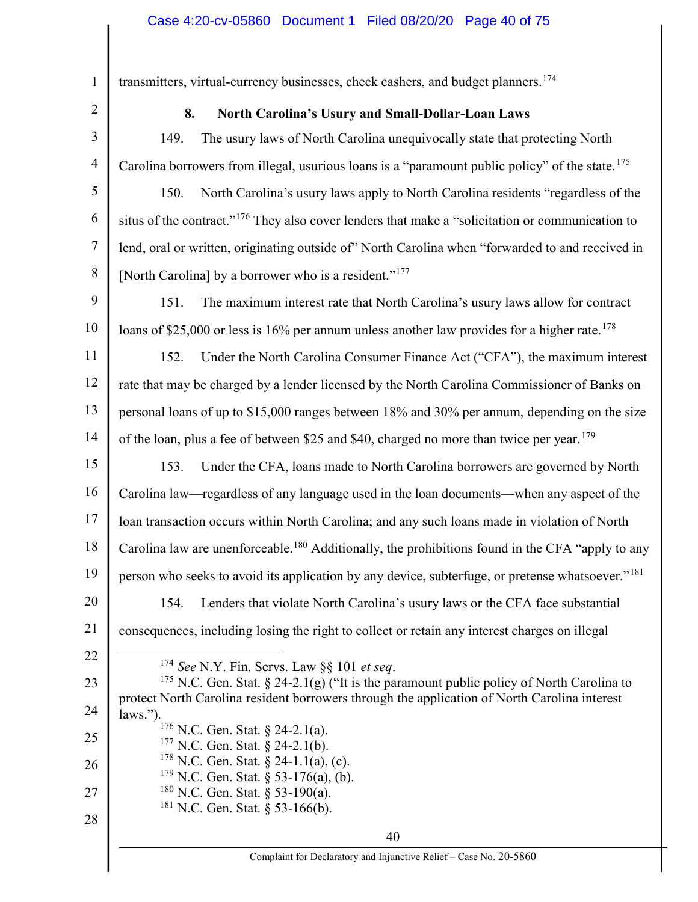1 2 3 4 5 6 7 8 9 10 11 12 13 14 15 16 17 18 19 20 21 22 23 24 25 26 27 28 40 transmitters, virtual-currency businesses, check cashers, and budget planners.<sup>174</sup> 8. North Carolina's Usury and Small-Dollar-Loan Laws 149. The usury laws of North Carolina unequivocally state that protecting North Carolina borrowers from illegal, usurious loans is a "paramount public policy" of the state.<sup>175</sup> 150. North Carolina's usury laws apply to North Carolina residents "regardless of the situs of the contract."<sup>176</sup> They also cover lenders that make a "solicitation or communication to lend, oral or written, originating outside of" North Carolina when "forwarded to and received in [North Carolina] by a borrower who is a resident."<sup>177</sup> 151. The maximum interest rate that North Carolina's usury laws allow for contract loans of \$25,000 or less is 16% per annum unless another law provides for a higher rate.<sup>178</sup> 152. Under the North Carolina Consumer Finance Act ("CFA"), the maximum interest rate that may be charged by a lender licensed by the North Carolina Commissioner of Banks on personal loans of up to \$15,000 ranges between 18% and 30% per annum, depending on the size of the loan, plus a fee of between \$25 and \$40, charged no more than twice per year.<sup>179</sup> 153. Under the CFA, loans made to North Carolina borrowers are governed by North Carolina law—regardless of any language used in the loan documents—when any aspect of the loan transaction occurs within North Carolina; and any such loans made in violation of North Carolina law are unenforceable.<sup>180</sup> Additionally, the prohibitions found in the CFA "apply to any person who seeks to avoid its application by any device, subterfuge, or pretense whatsoever."<sup>181</sup> 154. Lenders that violate North Carolina's usury laws or the CFA face substantial consequences, including losing the right to collect or retain any interest charges on illegal  $174$  See N.Y. Fin. Servs. Law §§ 101 et seq. <sup>175</sup> N.C. Gen. Stat. § 24-2.1(g) ("It is the paramount public policy of North Carolina to protect North Carolina resident borrowers through the application of North Carolina interest laws."). <sup>176</sup> N.C. Gen. Stat. § 24-2.1(a). <sup>177</sup> N.C. Gen. Stat. § 24-2.1(b).  $178$  N.C. Gen. Stat. § 24-1.1(a), (c).  $179$  N.C. Gen. Stat. § 53-176(a), (b).  $180$  N.C. Gen. Stat. § 53-190(a).  $181$  N.C. Gen. Stat. § 53-166(b).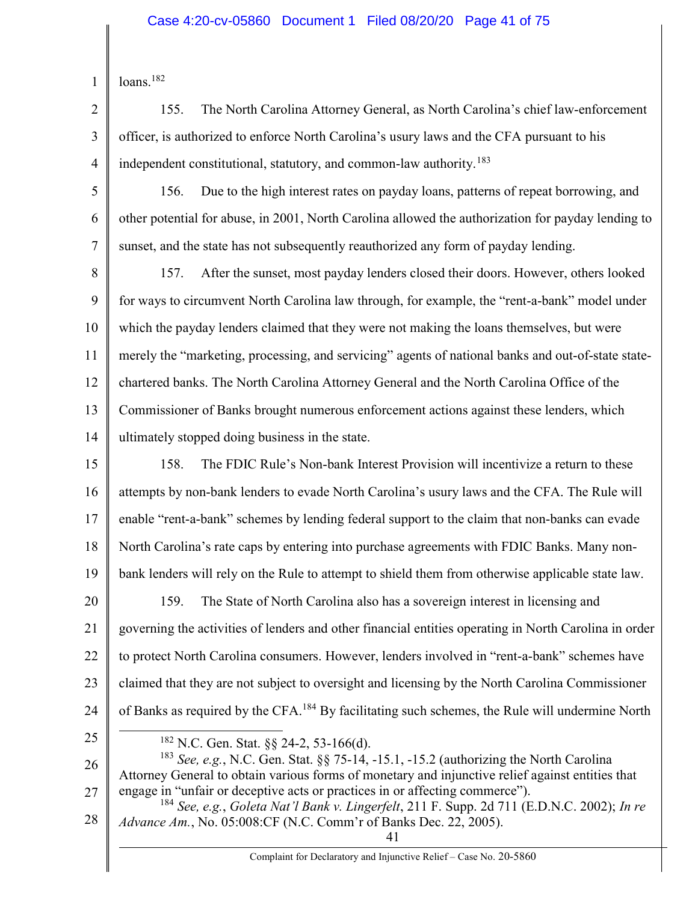2

3

4

155. The North Carolina Attorney General, as North Carolina's chief law-enforcement officer, is authorized to enforce North Carolina's usury laws and the CFA pursuant to his independent constitutional, statutory, and common-law authority.<sup>183</sup>

5 6 7 156. Due to the high interest rates on payday loans, patterns of repeat borrowing, and other potential for abuse, in 2001, North Carolina allowed the authorization for payday lending to sunset, and the state has not subsequently reauthorized any form of payday lending.

8 9 10 11 12 13 14 157. After the sunset, most payday lenders closed their doors. However, others looked for ways to circumvent North Carolina law through, for example, the "rent-a-bank" model under which the payday lenders claimed that they were not making the loans themselves, but were merely the "marketing, processing, and servicing" agents of national banks and out-of-state statechartered banks. The North Carolina Attorney General and the North Carolina Office of the Commissioner of Banks brought numerous enforcement actions against these lenders, which ultimately stopped doing business in the state.

- 15 16 17 18 19 20 21 22 23 24 158. The FDIC Rule's Non-bank Interest Provision will incentivize a return to these attempts by non-bank lenders to evade North Carolina's usury laws and the CFA. The Rule will enable "rent-a-bank" schemes by lending federal support to the claim that non-banks can evade North Carolina's rate caps by entering into purchase agreements with FDIC Banks. Many nonbank lenders will rely on the Rule to attempt to shield them from otherwise applicable state law. 159. The State of North Carolina also has a sovereign interest in licensing and governing the activities of lenders and other financial entities operating in North Carolina in order to protect North Carolina consumers. However, lenders involved in "rent-a-bank" schemes have claimed that they are not subject to oversight and licensing by the North Carolina Commissioner of Banks as required by the CFA.<sup>184</sup> By facilitating such schemes, the Rule will undermine North
- 25
- <sup>182</sup> N.C. Gen. Stat. §§ 24-2, 53-166(d).

26 27 <sup>183</sup> See, e.g., N.C. Gen. Stat. §§ 75-14, -15.1, -15.2 (authorizing the North Carolina Attorney General to obtain various forms of monetary and injunctive relief against entities that engage in "unfair or deceptive acts or practices in or affecting commerce").

28 <sup>184</sup> See, e.g., Goleta Nat'l Bank v. Lingerfelt, 211 F. Supp. 2d 711 (E.D.N.C. 2002); In re Advance Am., No. 05:008:CF (N.C. Comm'r of Banks Dec. 22, 2005).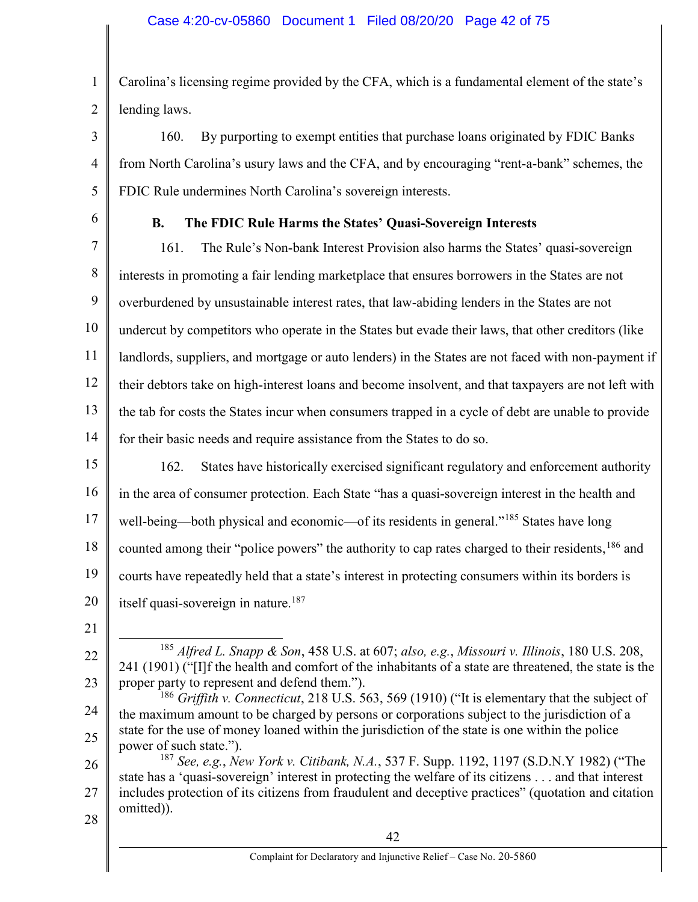1 2 Carolina's licensing regime provided by the CFA, which is a fundamental element of the state's lending laws.

3 4 5 160. By purporting to exempt entities that purchase loans originated by FDIC Banks from North Carolina's usury laws and the CFA, and by encouraging "rent-a-bank" schemes, the FDIC Rule undermines North Carolina's sovereign interests.

6

## B. The FDIC Rule Harms the States' Quasi-Sovereign Interests

7 8 9 10 11 12 13 14 161. The Rule's Non-bank Interest Provision also harms the States' quasi-sovereign interests in promoting a fair lending marketplace that ensures borrowers in the States are not overburdened by unsustainable interest rates, that law-abiding lenders in the States are not undercut by competitors who operate in the States but evade their laws, that other creditors (like landlords, suppliers, and mortgage or auto lenders) in the States are not faced with non-payment if their debtors take on high-interest loans and become insolvent, and that taxpayers are not left with the tab for costs the States incur when consumers trapped in a cycle of debt are unable to provide for their basic needs and require assistance from the States to do so.

15

16 17 18 19 20 162. States have historically exercised significant regulatory and enforcement authority in the area of consumer protection. Each State "has a quasi-sovereign interest in the health and well-being—both physical and economic—of its residents in general."<sup>185</sup> States have long counted among their "police powers" the authority to cap rates charged to their residents, <sup>186</sup> and courts have repeatedly held that a state's interest in protecting consumers within its borders is itself quasi-sovereign in nature.<sup>187</sup>

21

22

 <sup>185</sup> Alfred L. Snapp & Son, 458 U.S. at 607; also, e.g., Missouri v. Illinois, 180 U.S. 208, 241 (1901) ("[I]f the health and comfort of the inhabitants of a state are threatened, the state is the proper party to represent and defend them.").

<sup>24</sup> 25 <sup>186</sup> Griffith v. Connecticut, 218 U.S. 563, 569 (1910) ("It is elementary that the subject of the maximum amount to be charged by persons or corporations subject to the jurisdiction of a state for the use of money loaned within the jurisdiction of the state is one within the police power of such state.").

<sup>26</sup> 27 28 <sup>187</sup> See, e.g., New York v. Citibank, N.A., 537 F. Supp. 1192, 1197 (S.D.N.Y 1982) ("The state has a 'quasi-sovereign' interest in protecting the welfare of its citizens . . . and that interest includes protection of its citizens from fraudulent and deceptive practices" (quotation and citation omitted)).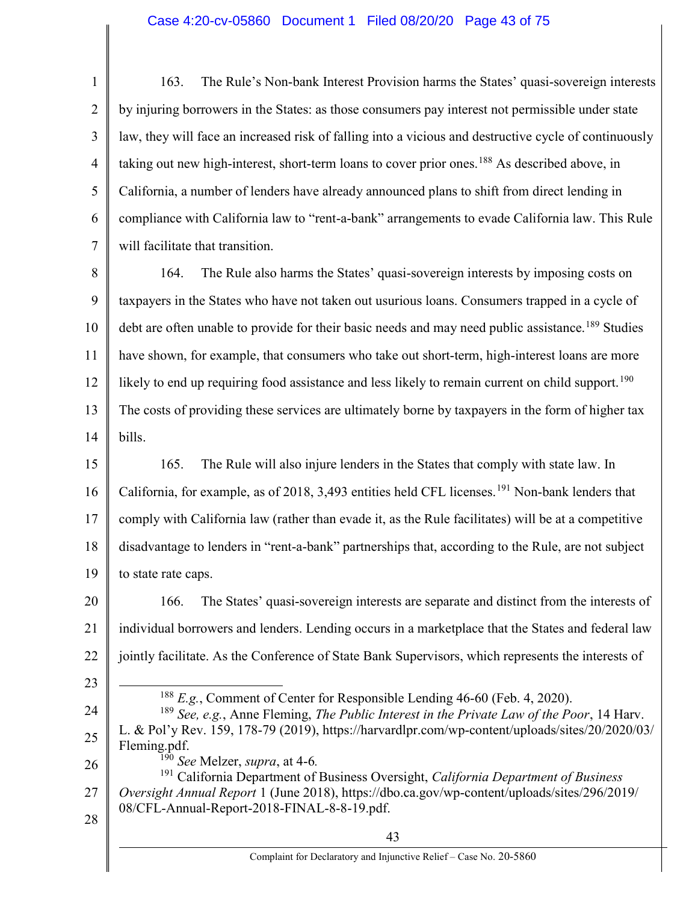## Case 4:20-cv-05860 Document 1 Filed 08/20/20 Page 43 of 75

1 2 3 4 5 6 7 163. The Rule's Non-bank Interest Provision harms the States' quasi-sovereign interests by injuring borrowers in the States: as those consumers pay interest not permissible under state law, they will face an increased risk of falling into a vicious and destructive cycle of continuously taking out new high-interest, short-term loans to cover prior ones.<sup>188</sup> As described above, in California, a number of lenders have already announced plans to shift from direct lending in compliance with California law to "rent-a-bank" arrangements to evade California law. This Rule will facilitate that transition.

8 9 10 11 12 13 14 164. The Rule also harms the States' quasi-sovereign interests by imposing costs on taxpayers in the States who have not taken out usurious loans. Consumers trapped in a cycle of debt are often unable to provide for their basic needs and may need public assistance.<sup>189</sup> Studies have shown, for example, that consumers who take out short-term, high-interest loans are more likely to end up requiring food assistance and less likely to remain current on child support.<sup>190</sup> The costs of providing these services are ultimately borne by taxpayers in the form of higher tax bills.

15 16 17 18 19 165. The Rule will also injure lenders in the States that comply with state law. In California, for example, as of 2018, 3,493 entities held CFL licenses.<sup>191</sup> Non-bank lenders that comply with California law (rather than evade it, as the Rule facilitates) will be at a competitive disadvantage to lenders in "rent-a-bank" partnerships that, according to the Rule, are not subject to state rate caps.

20 21 22 166. The States' quasi-sovereign interests are separate and distinct from the interests of individual borrowers and lenders. Lending occurs in a marketplace that the States and federal law jointly facilitate. As the Conference of State Bank Supervisors, which represents the interests of

 $188$  E.g., Comment of Center for Responsible Lending 46-60 (Feb. 4, 2020).

23

 $\overline{a}$ 

28

24 25 <sup>189</sup> See, e.g., Anne Fleming, *The Public Interest in the Private Law of the Poor*, 14 Harv. L. & Pol'y Rev. 159, 178-79 (2019), https://harvardlpr.com/wp-content/uploads/sites/20/2020/03/ Fleming.pdf.  $^{190}$  See Melzer, supra, at 4-6.

26 27 <sup>191</sup> California Department of Business Oversight, California Department of Business Oversight Annual Report 1 (June 2018), https://dbo.ca.gov/wp-content/uploads/sites/296/2019/ 08/CFL-Annual-Report-2018-FINAL-8-8-19.pdf.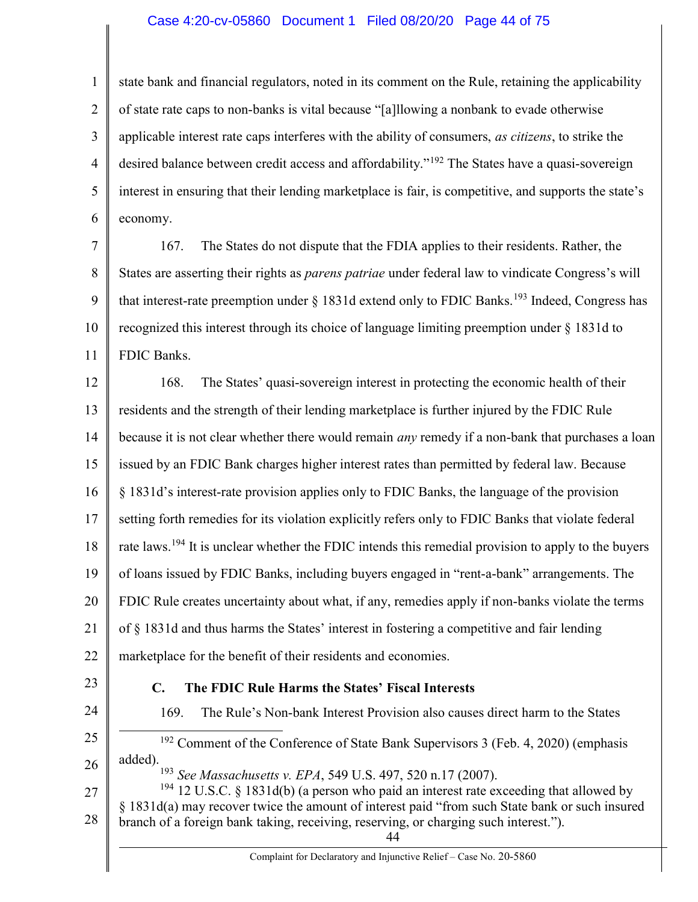### Case 4:20-cv-05860 Document 1 Filed 08/20/20 Page 44 of 75

1 2 3 4 5 6 state bank and financial regulators, noted in its comment on the Rule, retaining the applicability of state rate caps to non-banks is vital because "[a]llowing a nonbank to evade otherwise applicable interest rate caps interferes with the ability of consumers, as citizens, to strike the desired balance between credit access and affordability."<sup>192</sup> The States have a quasi-sovereign interest in ensuring that their lending marketplace is fair, is competitive, and supports the state's economy.

7 8 9 10 11 167. The States do not dispute that the FDIA applies to their residents. Rather, the States are asserting their rights as parens patriae under federal law to vindicate Congress's will that interest-rate preemption under  $\S 1831d$  extend only to FDIC Banks.<sup>193</sup> Indeed, Congress has recognized this interest through its choice of language limiting preemption under § 1831d to FDIC Banks.

12 13 14 15 16 17 18 19 20 21 22 168. The States' quasi-sovereign interest in protecting the economic health of their residents and the strength of their lending marketplace is further injured by the FDIC Rule because it is not clear whether there would remain *any* remedy if a non-bank that purchases a loan issued by an FDIC Bank charges higher interest rates than permitted by federal law. Because § 1831d's interest-rate provision applies only to FDIC Banks, the language of the provision setting forth remedies for its violation explicitly refers only to FDIC Banks that violate federal rate laws.<sup>194</sup> It is unclear whether the FDIC intends this remedial provision to apply to the buyers of loans issued by FDIC Banks, including buyers engaged in "rent-a-bank" arrangements. The FDIC Rule creates uncertainty about what, if any, remedies apply if non-banks violate the terms of § 1831d and thus harms the States' interest in fostering a competitive and fair lending marketplace for the benefit of their residents and economies.

23

24

#### C. The FDIC Rule Harms the States' Fiscal Interests

169. The Rule's Non-bank Interest Provision also causes direct harm to the States

25 26  $192$  Comment of the Conference of State Bank Supervisors 3 (Feb. 4, 2020) (emphasis added).

<sup>193</sup> See Massachusetts v. EPA, 549 U.S. 497, 520 n.17 (2007).

27 28  $194$  12 U.S.C. § 1831d(b) (a person who paid an interest rate exceeding that allowed by § 1831d(a) may recover twice the amount of interest paid "from such State bank or such insured branch of a foreign bank taking, receiving, reserving, or charging such interest.").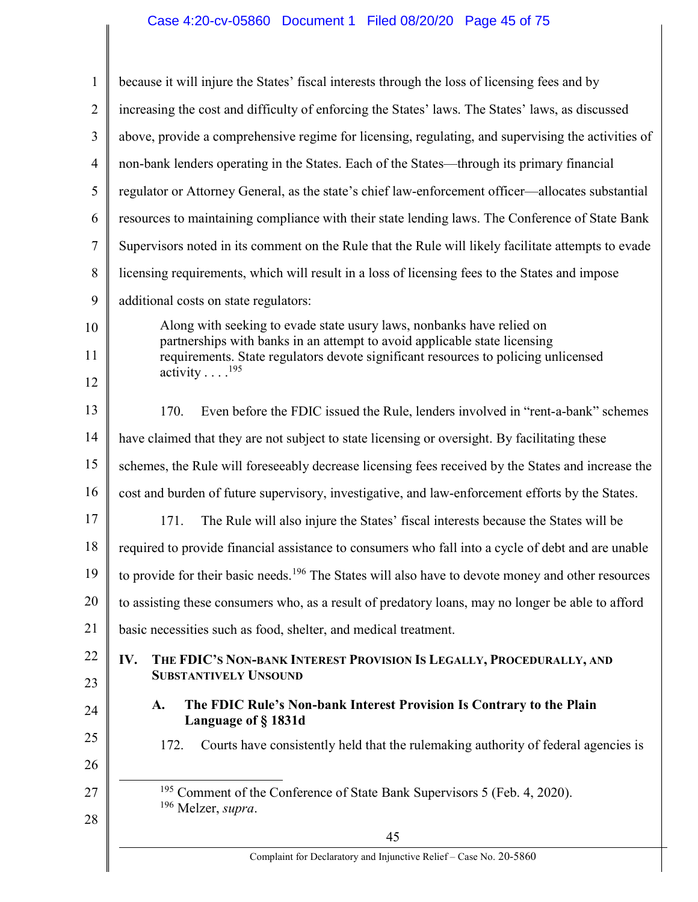# Case 4:20-cv-05860 Document 1 Filed 08/20/20 Page 45 of 75

| 1              | because it will injure the States' fiscal interests through the loss of licensing fees and by                                                                   |  |  |  |
|----------------|-----------------------------------------------------------------------------------------------------------------------------------------------------------------|--|--|--|
| $\overline{2}$ | increasing the cost and difficulty of enforcing the States' laws. The States' laws, as discussed                                                                |  |  |  |
| 3              | above, provide a comprehensive regime for licensing, regulating, and supervising the activities of                                                              |  |  |  |
| $\overline{4}$ | non-bank lenders operating in the States. Each of the States—through its primary financial                                                                      |  |  |  |
| 5              | regulator or Attorney General, as the state's chief law-enforcement officer—allocates substantial                                                               |  |  |  |
| 6              | resources to maintaining compliance with their state lending laws. The Conference of State Bank                                                                 |  |  |  |
| 7              | Supervisors noted in its comment on the Rule that the Rule will likely facilitate attempts to evade                                                             |  |  |  |
| 8              | licensing requirements, which will result in a loss of licensing fees to the States and impose                                                                  |  |  |  |
| 9              | additional costs on state regulators:                                                                                                                           |  |  |  |
| 10             | Along with seeking to evade state usury laws, nonbanks have relied on                                                                                           |  |  |  |
| 11             | partnerships with banks in an attempt to avoid applicable state licensing<br>requirements. State regulators devote significant resources to policing unlicensed |  |  |  |
| 12             | activity $\ldots$ . <sup>195</sup>                                                                                                                              |  |  |  |
| 13             | 170.<br>Even before the FDIC issued the Rule, lenders involved in "rent-a-bank" schemes                                                                         |  |  |  |
| 14             | have claimed that they are not subject to state licensing or oversight. By facilitating these                                                                   |  |  |  |
| 15             | schemes, the Rule will foreseeably decrease licensing fees received by the States and increase the                                                              |  |  |  |
| 16             | cost and burden of future supervisory, investigative, and law-enforcement efforts by the States.                                                                |  |  |  |
| 17             | 171.<br>The Rule will also injure the States' fiscal interests because the States will be                                                                       |  |  |  |
| 18             | required to provide financial assistance to consumers who fall into a cycle of debt and are unable                                                              |  |  |  |
| 19             | to provide for their basic needs. <sup>196</sup> The States will also have to devote money and other resources                                                  |  |  |  |
| 20             | to assisting these consumers who, as a result of predatory loans, may no longer be able to afford                                                               |  |  |  |
| 21             | basic necessities such as food, shelter, and medical treatment.                                                                                                 |  |  |  |
| 22<br>23       | THE FDIC'S NON-BANK INTEREST PROVISION IS LEGALLY, PROCEDURALLY, AND<br>IV.<br><b>SUBSTANTIVELY UNSOUND</b>                                                     |  |  |  |
| 24             | The FDIC Rule's Non-bank Interest Provision Is Contrary to the Plain<br>A.<br>Language of §1831d                                                                |  |  |  |
| 25<br>26       | Courts have consistently held that the rulemaking authority of federal agencies is<br>172.                                                                      |  |  |  |
| 27             | <sup>195</sup> Comment of the Conference of State Bank Supervisors 5 (Feb. 4, 2020).<br><sup>196</sup> Melzer, supra.                                           |  |  |  |
| 28             | 45                                                                                                                                                              |  |  |  |
|                | Complaint for Declaratory and Injunctive Relief - Case No. 20-5860                                                                                              |  |  |  |
|                |                                                                                                                                                                 |  |  |  |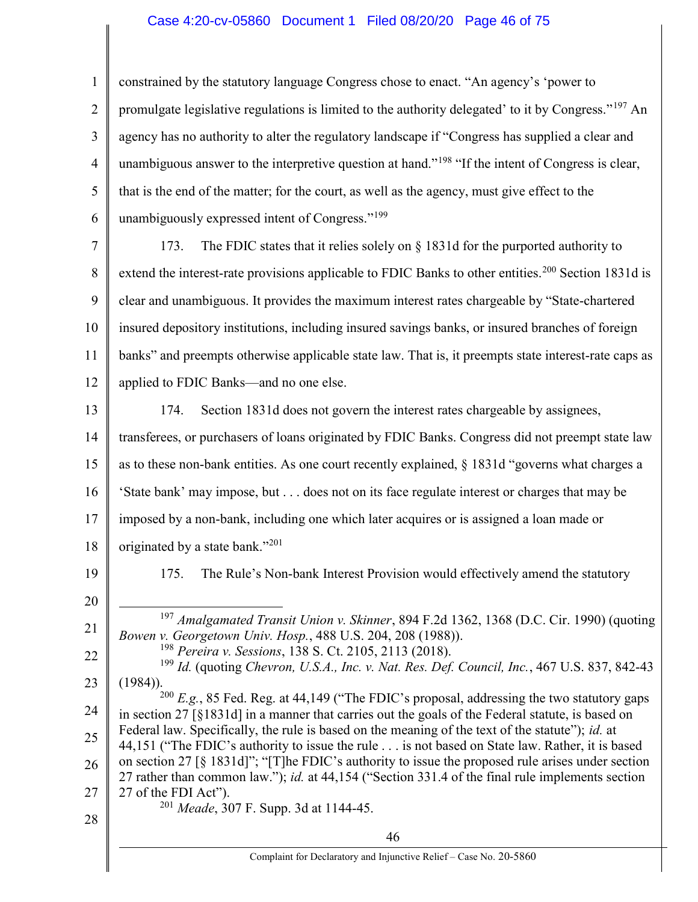## Case 4:20-cv-05860 Document 1 Filed 08/20/20 Page 46 of 75

1 2 3 4 5 6 7 8 constrained by the statutory language Congress chose to enact. "An agency's 'power to promulgate legislative regulations is limited to the authority delegated' to it by Congress."<sup>197</sup> An agency has no authority to alter the regulatory landscape if "Congress has supplied a clear and unambiguous answer to the interpretive question at hand."<sup>198</sup> "If the intent of Congress is clear, that is the end of the matter; for the court, as well as the agency, must give effect to the unambiguously expressed intent of Congress."<sup>199</sup> 173. The FDIC states that it relies solely on  $\S$  1831d for the purported authority to extend the interest-rate provisions applicable to FDIC Banks to other entities.<sup>200</sup> Section 1831d is

9 10 11 12 clear and unambiguous. It provides the maximum interest rates chargeable by "State-chartered insured depository institutions, including insured savings banks, or insured branches of foreign banks" and preempts otherwise applicable state law. That is, it preempts state interest-rate caps as applied to FDIC Banks—and no one else.

13 14 15 16 17 18 19 174. Section 1831d does not govern the interest rates chargeable by assignees, transferees, or purchasers of loans originated by FDIC Banks. Congress did not preempt state law as to these non-bank entities. As one court recently explained, § 1831d "governs what charges a 'State bank' may impose, but . . . does not on its face regulate interest or charges that may be imposed by a non-bank, including one which later acquires or is assigned a loan made or originated by a state bank."<sup>201</sup> 175. The Rule's Non-bank Interest Provision would effectively amend the statutory

20

21

 $\overline{a}$ 

 $197$  Amalgamated Transit Union v. Skinner, 894 F.2d 1362, 1368 (D.C. Cir. 1990) (quoting

Bowen v. Georgetown Univ. Hosp., 488 U.S. 204, 208 (1988)). <sup>198</sup> Pereira v. Sessions, 138 S. Ct. 2105, 2113 (2018).

22 23  $199$  Id. (quoting Chevron, U.S.A., Inc. v. Nat. Res. Def. Council, Inc., 467 U.S. 837, 842-43 (1984)).  $200$  E.g., 85 Fed. Reg. at 44,149 ("The FDIC's proposal, addressing the two statutory gaps

24 25 in section 27 [§1831d] in a manner that carries out the goals of the Federal statute, is based on Federal law. Specifically, the rule is based on the meaning of the text of the statute"); *id.* at 44,151 ("The FDIC's authority to issue the rule . . . is not based on State law. Rather, it is based

26 27 on section 27 [§ 1831d]"; "[T]he FDIC's authority to issue the proposed rule arises under section 27 rather than common law."); id. at 44,154 ("Section 331.4 of the final rule implements section 27 of the FDI Act").  $201$  *Meade*, 307 F. Supp. 3d at 1144-45.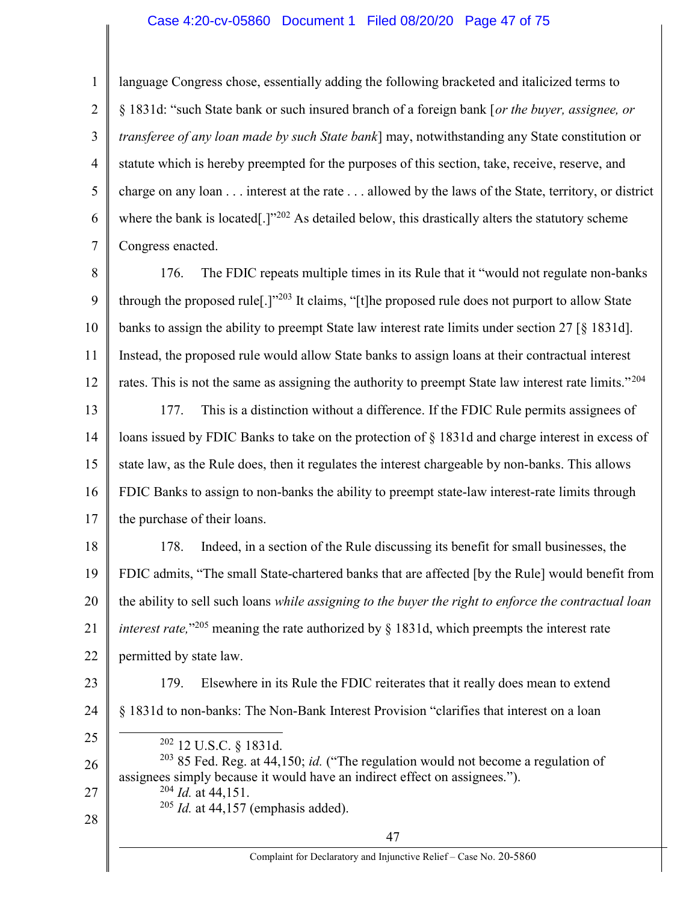### Case 4:20-cv-05860 Document 1 Filed 08/20/20 Page 47 of 75

1 2 3 4 5 6 7 language Congress chose, essentially adding the following bracketed and italicized terms to § 1831d: "such State bank or such insured branch of a foreign bank [or the buyer, assignee, or transferee of any loan made by such State bank] may, notwithstanding any State constitution or statute which is hereby preempted for the purposes of this section, take, receive, reserve, and charge on any loan . . . interest at the rate . . . allowed by the laws of the State, territory, or district where the bank is located<sup>[1]</sup><sup>202</sup> As detailed below, this drastically alters the statutory scheme Congress enacted.

8 9 10 11 12 176. The FDIC repeats multiple times in its Rule that it "would not regulate non-banks through the proposed rule<sup>[1]</sup><sup>203</sup> It claims, "[t]he proposed rule does not purport to allow State banks to assign the ability to preempt State law interest rate limits under section 27 [§ 1831d]. Instead, the proposed rule would allow State banks to assign loans at their contractual interest rates. This is not the same as assigning the authority to preempt State law interest rate limits."<sup>204</sup>

13 14 15 16 17 177. This is a distinction without a difference. If the FDIC Rule permits assignees of loans issued by FDIC Banks to take on the protection of § 1831d and charge interest in excess of state law, as the Rule does, then it regulates the interest chargeable by non-banks. This allows FDIC Banks to assign to non-banks the ability to preempt state-law interest-rate limits through the purchase of their loans.

18 19 20 21 22 178. Indeed, in a section of the Rule discussing its benefit for small businesses, the FDIC admits, "The small State-chartered banks that are affected [by the Rule] would benefit from the ability to sell such loans while assigning to the buyer the right to enforce the contractual loan *interest rate*,"<sup>205</sup> meaning the rate authorized by § 1831d, which preempts the interest rate permitted by state law.

23 24

179. Elsewhere in its Rule the FDIC reiterates that it really does mean to extend § 1831d to non-banks: The Non-Bank Interest Provision "clarifies that interest on a loan 

25

<sup>202</sup> 12 U.S.C. § 1831d.

26 27 28  $203$  85 Fed. Reg. at 44,150; id. ("The regulation would not become a regulation of assignees simply because it would have an indirect effect on assignees.").  $^{204}$  *Id.* at 44,151.  $205$  *Id.* at 44,157 (emphasis added).

Complaint for Declaratory and Injunctive Relief – Case No. 20-5860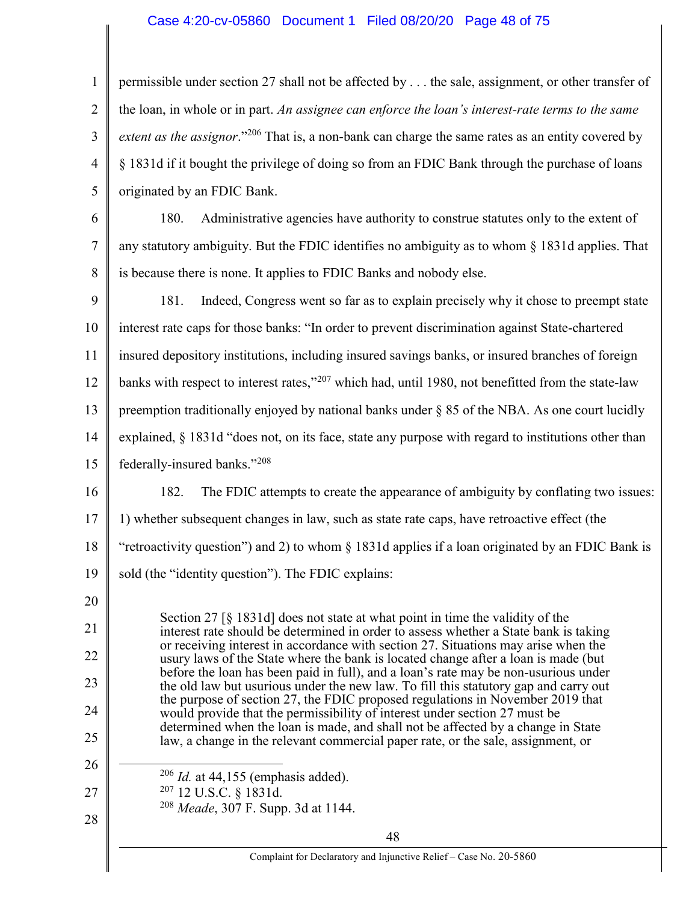## Case 4:20-cv-05860 Document 1 Filed 08/20/20 Page 48 of 75

1 2 3 4 5 permissible under section 27 shall not be affected by . . . the sale, assignment, or other transfer of the loan, in whole or in part. An assignee can enforce the loan's interest-rate terms to the same extent as the assignor."<sup>206</sup> That is, a non-bank can charge the same rates as an entity covered by § 1831d if it bought the privilege of doing so from an FDIC Bank through the purchase of loans originated by an FDIC Bank.

6 7 8 180. Administrative agencies have authority to construe statutes only to the extent of any statutory ambiguity. But the FDIC identifies no ambiguity as to whom § 1831d applies. That is because there is none. It applies to FDIC Banks and nobody else.

9 10 11 12 13 14 15 16 17 181. Indeed, Congress went so far as to explain precisely why it chose to preempt state interest rate caps for those banks: "In order to prevent discrimination against State-chartered insured depository institutions, including insured savings banks, or insured branches of foreign banks with respect to interest rates,"<sup>207</sup> which had, until 1980, not benefitted from the state-law preemption traditionally enjoyed by national banks under  $\S 85$  of the NBA. As one court lucidly explained, § 1831d "does not, on its face, state any purpose with regard to institutions other than federally-insured banks."<sup>208</sup> 182. The FDIC attempts to create the appearance of ambiguity by conflating two issues: 1) whether subsequent changes in law, such as state rate caps, have retroactive effect (the

18 "retroactivity question") and 2) to whom  $\S$  1831d applies if a loan originated by an FDIC Bank is

19 sold (the "identity question"). The FDIC explains:

Section 27 [§ 1831d] does not state at what point in time the validity of the interest rate should be determined in order to assess whether a State bank is taking or receiving interest in accordance with section 27. Situations may arise when the usury laws of the State where the bank is located change after a loan is made (but before the loan has been paid in full), and a loan's rate may be non-usurious under the old law but usurious under the new law. To fill this statutory gap and carry out the purpose of section 27, the FDIC proposed regulations in November 2019 that would provide that the permissibility of interest under section 27 must be determined when the loan is made, and shall not be affected by a change in State law, a change in the relevant commercial paper rate, or the sale, assignment, or

- $206$  *Id.* at 44,155 (emphasis added).
- <sup>207</sup> 12 U.S.C. § 1831d.

20

21

22

23

24

25

26

 $\overline{a}$ 

27

28

<sup>208</sup> Meade, 307 F. Supp. 3d at 1144.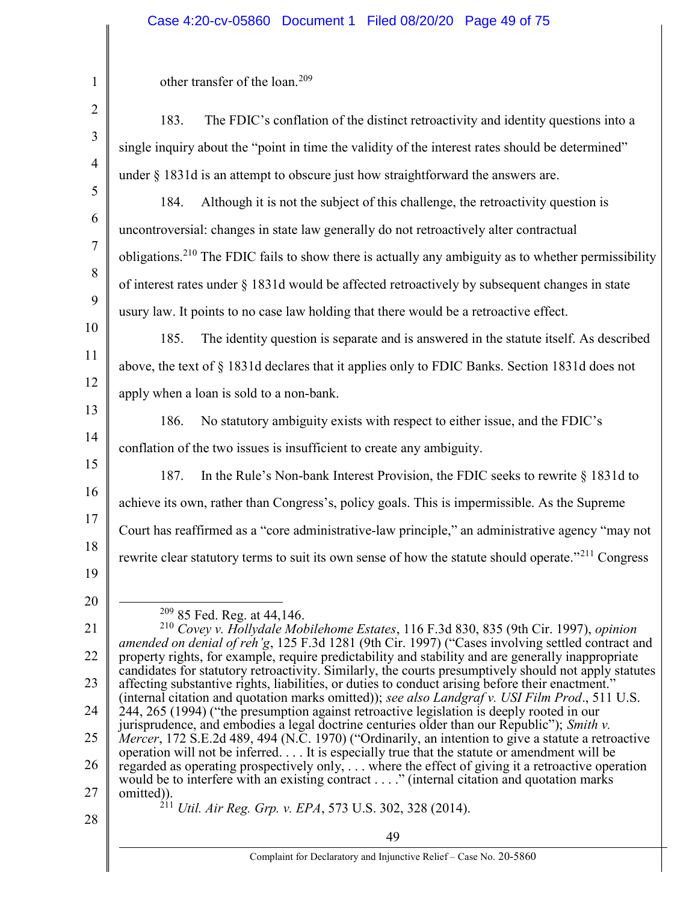## Case 4:20-cv-05860 Document 1 Filed 08/20/20 Page 49 of 75

| $\mathbf{1}$   | other transfer of the loan. <sup>209</sup>                                                                                                                                                                                                                                                                                                                                                                                                                                                                                                                                                                                 |  |  |  |
|----------------|----------------------------------------------------------------------------------------------------------------------------------------------------------------------------------------------------------------------------------------------------------------------------------------------------------------------------------------------------------------------------------------------------------------------------------------------------------------------------------------------------------------------------------------------------------------------------------------------------------------------------|--|--|--|
| $\overline{2}$ | The FDIC's conflation of the distinct retroactivity and identity questions into a<br>183.                                                                                                                                                                                                                                                                                                                                                                                                                                                                                                                                  |  |  |  |
| 3              | single inquiry about the "point in time the validity of the interest rates should be determined"                                                                                                                                                                                                                                                                                                                                                                                                                                                                                                                           |  |  |  |
| $\overline{4}$ | under § 1831d is an attempt to obscure just how straightforward the answers are.                                                                                                                                                                                                                                                                                                                                                                                                                                                                                                                                           |  |  |  |
| 5              | Although it is not the subject of this challenge, the retroactivity question is<br>184.                                                                                                                                                                                                                                                                                                                                                                                                                                                                                                                                    |  |  |  |
| 6              | uncontroversial: changes in state law generally do not retroactively alter contractual                                                                                                                                                                                                                                                                                                                                                                                                                                                                                                                                     |  |  |  |
| $\overline{7}$ | obligations. <sup>210</sup> The FDIC fails to show there is actually any ambiguity as to whether permissibility                                                                                                                                                                                                                                                                                                                                                                                                                                                                                                            |  |  |  |
| 8              | of interest rates under § 1831d would be affected retroactively by subsequent changes in state                                                                                                                                                                                                                                                                                                                                                                                                                                                                                                                             |  |  |  |
| 9              | usury law. It points to no case law holding that there would be a retroactive effect.                                                                                                                                                                                                                                                                                                                                                                                                                                                                                                                                      |  |  |  |
| 10             | The identity question is separate and is answered in the statute itself. As described<br>185.                                                                                                                                                                                                                                                                                                                                                                                                                                                                                                                              |  |  |  |
| 11             | above, the text of § 1831d declares that it applies only to FDIC Banks. Section 1831d does not                                                                                                                                                                                                                                                                                                                                                                                                                                                                                                                             |  |  |  |
| 12<br>13       | apply when a loan is sold to a non-bank.                                                                                                                                                                                                                                                                                                                                                                                                                                                                                                                                                                                   |  |  |  |
| 14             | No statutory ambiguity exists with respect to either issue, and the FDIC's<br>186.                                                                                                                                                                                                                                                                                                                                                                                                                                                                                                                                         |  |  |  |
| 15             | conflation of the two issues is insufficient to create any ambiguity.                                                                                                                                                                                                                                                                                                                                                                                                                                                                                                                                                      |  |  |  |
| 16             | In the Rule's Non-bank Interest Provision, the FDIC seeks to rewrite § 1831d to<br>187.                                                                                                                                                                                                                                                                                                                                                                                                                                                                                                                                    |  |  |  |
| 17             | achieve its own, rather than Congress's, policy goals. This is impermissible. As the Supreme                                                                                                                                                                                                                                                                                                                                                                                                                                                                                                                               |  |  |  |
| 18             | Court has reaffirmed as a "core administrative-law principle," an administrative agency "may not                                                                                                                                                                                                                                                                                                                                                                                                                                                                                                                           |  |  |  |
| 19             | rewrite clear statutory terms to suit its own sense of how the statute should operate." <sup>211</sup> Congress                                                                                                                                                                                                                                                                                                                                                                                                                                                                                                            |  |  |  |
| 20             |                                                                                                                                                                                                                                                                                                                                                                                                                                                                                                                                                                                                                            |  |  |  |
| 21             | <sup>209</sup> 85 Fed. Reg. at 44,146.                                                                                                                                                                                                                                                                                                                                                                                                                                                                                                                                                                                     |  |  |  |
| 22             | <sup>210</sup> Covey v. Hollydale Mobilehome Estates, 116 F.3d 830, 835 (9th Cir. 1997), opinion<br>amended on denial of reh'g, 125 F.3d 1281 (9th Cir. 1997) ("Cases involving settled contract and<br>property rights, for example, require predictability and stability and are generally inappropriate<br>candidates for statutory retroactivity. Similarly, the courts presumptively should not apply statutes<br>affecting substantive rights, liabilities, or duties to conduct arising before their enactment."<br>(internal citation and quotation marks omitted)); see also Landgraf v. USI Film Prod., 511 U.S. |  |  |  |
| 23             |                                                                                                                                                                                                                                                                                                                                                                                                                                                                                                                                                                                                                            |  |  |  |
| 24             |                                                                                                                                                                                                                                                                                                                                                                                                                                                                                                                                                                                                                            |  |  |  |
| 25             | 244, 265 (1994) ("the presumption against retroactive legislation is deeply rooted in our<br>jurisprudence, and embodies a legal doctrine centuries older than our Republic"); Smith v.                                                                                                                                                                                                                                                                                                                                                                                                                                    |  |  |  |
| 26             | Mercer, 172 S.E.2d 489, 494 (N.C. 1970) ("Ordinarily, an intention to give a statute a retroactive<br>operation will not be inferred. It is especially true that the statute or amendment will be<br>regarded as operating prospectively only,  where the effect of giving it a retroactive operation                                                                                                                                                                                                                                                                                                                      |  |  |  |
| 27             | would be to interfere with an existing contract" (internal citation and quotation marks<br>omitted)).                                                                                                                                                                                                                                                                                                                                                                                                                                                                                                                      |  |  |  |
| 28             | $^{211}$ Util. Air Reg. Grp. v. EPA, 573 U.S. 302, 328 (2014).                                                                                                                                                                                                                                                                                                                                                                                                                                                                                                                                                             |  |  |  |
|                | 49                                                                                                                                                                                                                                                                                                                                                                                                                                                                                                                                                                                                                         |  |  |  |
|                | Complaint for Declaratory and Injunctive Relief - Case No. 20-5860                                                                                                                                                                                                                                                                                                                                                                                                                                                                                                                                                         |  |  |  |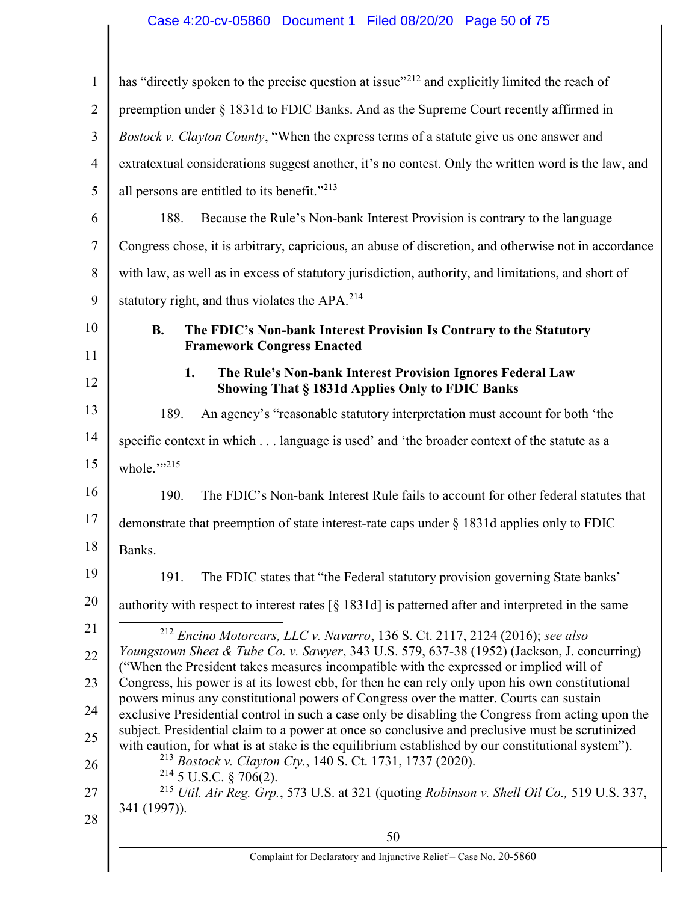## Case 4:20-cv-05860 Document 1 Filed 08/20/20 Page 50 of 75

| $\mathbf{1}$   | has "directly spoken to the precise question at issue" <sup>212</sup> and explicitly limited the reach of                                                                                            |  |  |  |
|----------------|------------------------------------------------------------------------------------------------------------------------------------------------------------------------------------------------------|--|--|--|
| $\overline{2}$ | preemption under § 1831d to FDIC Banks. And as the Supreme Court recently affirmed in                                                                                                                |  |  |  |
| 3              | Bostock v. Clayton County, "When the express terms of a statute give us one answer and                                                                                                               |  |  |  |
| 4              | extratextual considerations suggest another, it's no contest. Only the written word is the law, and                                                                                                  |  |  |  |
| 5              | all persons are entitled to its benefit." <sup>213</sup>                                                                                                                                             |  |  |  |
| 6              | 188.<br>Because the Rule's Non-bank Interest Provision is contrary to the language                                                                                                                   |  |  |  |
| 7              | Congress chose, it is arbitrary, capricious, an abuse of discretion, and otherwise not in accordance                                                                                                 |  |  |  |
| 8              | with law, as well as in excess of statutory jurisdiction, authority, and limitations, and short of                                                                                                   |  |  |  |
| 9              | statutory right, and thus violates the APA. <sup>214</sup>                                                                                                                                           |  |  |  |
| 10             | <b>B.</b><br>The FDIC's Non-bank Interest Provision Is Contrary to the Statutory                                                                                                                     |  |  |  |
| 11             | <b>Framework Congress Enacted</b>                                                                                                                                                                    |  |  |  |
| 12             | 1.<br>The Rule's Non-bank Interest Provision Ignores Federal Law<br>Showing That § 1831d Applies Only to FDIC Banks                                                                                  |  |  |  |
| 13             | 189.<br>An agency's "reasonable statutory interpretation must account for both 'the                                                                                                                  |  |  |  |
| 14             | specific context in which language is used' and 'the broader context of the statute as a                                                                                                             |  |  |  |
| 15             | whole.""215                                                                                                                                                                                          |  |  |  |
| 16             | 190.<br>The FDIC's Non-bank Interest Rule fails to account for other federal statutes that                                                                                                           |  |  |  |
| 17             | demonstrate that preemption of state interest-rate caps under § 1831d applies only to FDIC                                                                                                           |  |  |  |
| 18             | Banks.                                                                                                                                                                                               |  |  |  |
| 19             | 191.<br>The FDIC states that "the Federal statutory provision governing State banks'                                                                                                                 |  |  |  |
| 20             | authority with respect to interest rates $\lceil \xi \rceil$ 1831d] is patterned after and interpreted in the same                                                                                   |  |  |  |
| 21             | $^{212}$ Encino Motorcars, LLC v. Navarro, 136 S. Ct. 2117, 2124 (2016); see also                                                                                                                    |  |  |  |
| 22             | Youngstown Sheet & Tube Co. v. Sawyer, 343 U.S. 579, 637-38 (1952) (Jackson, J. concurring)<br>("When the President takes measures incompatible with the expressed or implied will of                |  |  |  |
| 23             | Congress, his power is at its lowest ebb, for then he can rely only upon his own constitutional                                                                                                      |  |  |  |
| 24             | powers minus any constitutional powers of Congress over the matter. Courts can sustain<br>exclusive Presidential control in such a case only be disabling the Congress from acting upon the          |  |  |  |
| 25             | subject. Presidential claim to a power at once so conclusive and preclusive must be scrutinized<br>with caution, for what is at stake is the equilibrium established by our constitutional system"). |  |  |  |
| 26             | <sup>213</sup> Bostock v. Clayton Cty., 140 S. Ct. 1731, 1737 (2020).<br>$214$ 5 U.S.C. § 706(2).                                                                                                    |  |  |  |
| 27             | $^{215}$ Util. Air Reg. Grp., 573 U.S. at 321 (quoting Robinson v. Shell Oil Co., 519 U.S. 337,                                                                                                      |  |  |  |
| 28             | 341 (1997)).                                                                                                                                                                                         |  |  |  |
|                | 50                                                                                                                                                                                                   |  |  |  |
|                | Complaint for Declaratory and Injunctive Relief - Case No. 20-5860                                                                                                                                   |  |  |  |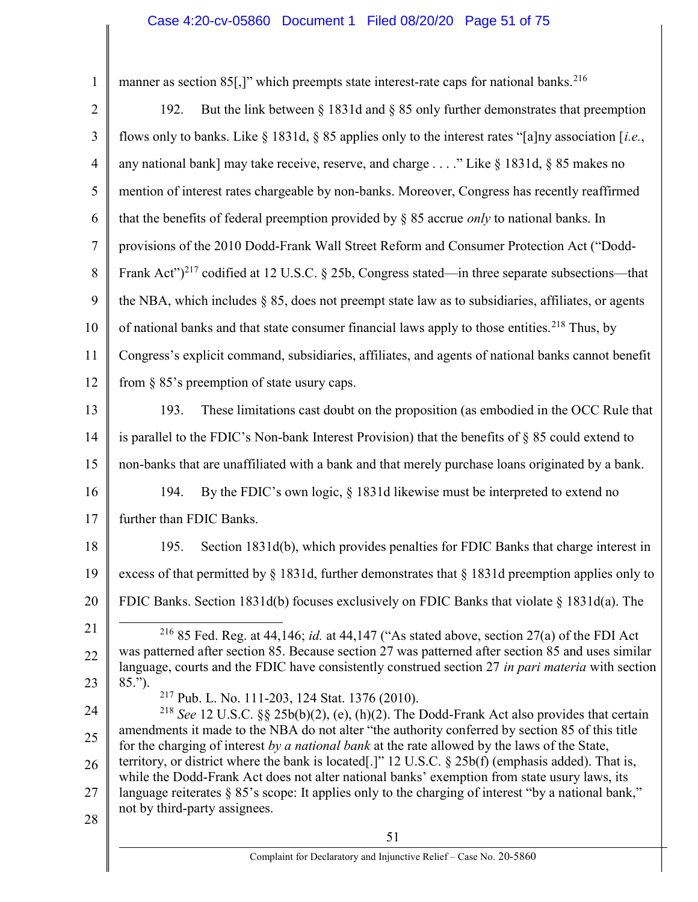1 2 3 4 5 6 7 8 9 10 11 12 13 14 15 16 17 18 19 20 21 22 23 24 25 26 27 manner as section 85. The vector which preempts state interest-rate caps for national banks.<sup>216</sup> 192. But the link between § 1831d and § 85 only further demonstrates that preemption flows only to banks. Like § 1831d, § 85 applies only to the interest rates "[a]ny association [i.e., any national bank] may take receive, reserve, and charge . . . ." Like  $\S 1831d$ ,  $\S 85$  makes no mention of interest rates chargeable by non-banks. Moreover, Congress has recently reaffirmed that the benefits of federal preemption provided by  $\S$  85 accrue *only* to national banks. In provisions of the 2010 Dodd-Frank Wall Street Reform and Consumer Protection Act ("Dodd-Frank Act" $^{217}$  codified at 12 U.S.C. § 25b, Congress stated—in three separate subsections—that the NBA, which includes § 85, does not preempt state law as to subsidiaries, affiliates, or agents of national banks and that state consumer financial laws apply to those entities.<sup>218</sup> Thus, by Congress's explicit command, subsidiaries, affiliates, and agents of national banks cannot benefit from § 85's preemption of state usury caps. 193. These limitations cast doubt on the proposition (as embodied in the OCC Rule that is parallel to the FDIC's Non-bank Interest Provision) that the benefits of § 85 could extend to non-banks that are unaffiliated with a bank and that merely purchase loans originated by a bank. 194. By the FDIC's own logic, § 1831d likewise must be interpreted to extend no further than FDIC Banks. 195. Section 1831d(b), which provides penalties for FDIC Banks that charge interest in excess of that permitted by  $\S$  1831d, further demonstrates that  $\S$  1831d preemption applies only to FDIC Banks. Section 1831d(b) focuses exclusively on FDIC Banks that violate § 1831d(a). The <sup>216</sup> 85 Fed. Reg. at 44,146; *id.* at 44,147 ("As stated above, section 27(a) of the FDI Act was patterned after section 85. Because section 27 was patterned after section 85 and uses similar language, courts and the FDIC have consistently construed section 27 in part materia with section 85."). <sup>217</sup> Pub. L. No. 111-203, 124 Stat. 1376 (2010). <sup>218</sup> See 12 U.S.C. §§ 25b(b)(2), (e), (h)(2). The Dodd-Frank Act also provides that certain amendments it made to the NBA do not alter "the authority conferred by section 85 of this title for the charging of interest by a national bank at the rate allowed by the laws of the State, territory, or district where the bank is located[.]" 12 U.S.C. § 25b(f) (emphasis added). That is, while the Dodd-Frank Act does not alter national banks' exemption from state usury laws, its language reiterates § 85's scope: It applies only to the charging of interest "by a national bank," Case 4:20-cv-05860 Document 1 Filed 08/20/20 Page 51 of 75

- not by third-party assignees.
- 28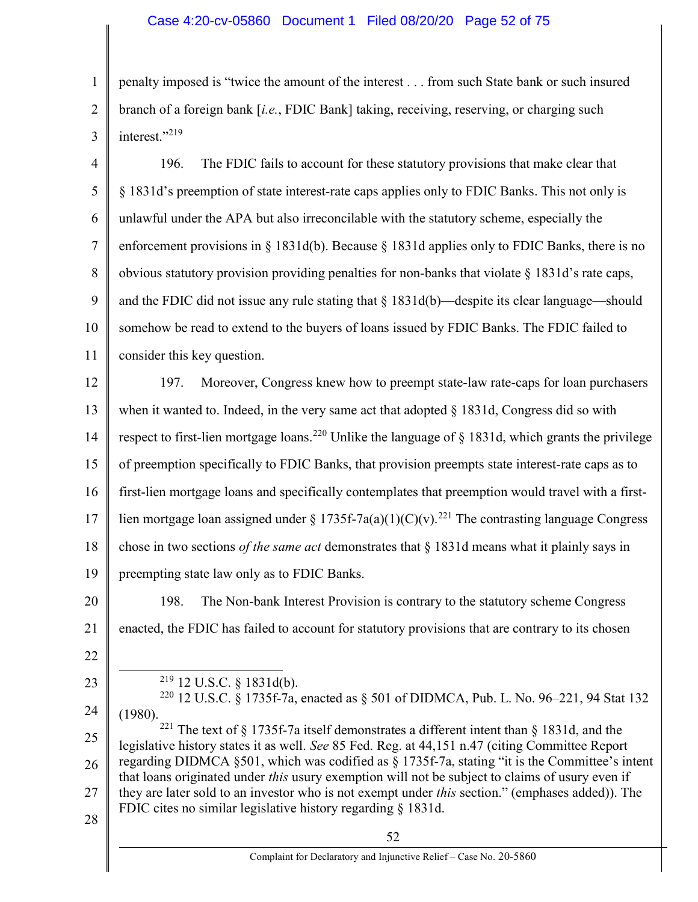1 2 3 penalty imposed is "twice the amount of the interest . . . from such State bank or such insured branch of a foreign bank  $[i.e., FDIC Bank]$  taking, receiving, reserving, or charging such interest."<sup>219</sup>

4 5 6 7 8 9 10 11 196. The FDIC fails to account for these statutory provisions that make clear that § 1831d's preemption of state interest-rate caps applies only to FDIC Banks. This not only is unlawful under the APA but also irreconcilable with the statutory scheme, especially the enforcement provisions in  $\S 1831d(b)$ . Because  $\S 1831d$  applies only to FDIC Banks, there is no obvious statutory provision providing penalties for non-banks that violate  $\S$  1831d's rate caps, and the FDIC did not issue any rule stating that § 1831d(b)—despite its clear language—should somehow be read to extend to the buyers of loans issued by FDIC Banks. The FDIC failed to consider this key question.

12 13 14 15 16 17 18 19 197. Moreover, Congress knew how to preempt state-law rate-caps for loan purchasers when it wanted to. Indeed, in the very same act that adopted  $\S$  1831d, Congress did so with respect to first-lien mortgage loans.<sup>220</sup> Unlike the language of  $\S$  1831d, which grants the privilege of preemption specifically to FDIC Banks, that provision preempts state interest-rate caps as to first-lien mortgage loans and specifically contemplates that preemption would travel with a firstlien mortgage loan assigned under § 1735f-7a(a)(1)(C)(v).<sup>221</sup> The contrasting language Congress chose in two sections *of the same act* demonstrates that  $\S$  1831d means what it plainly says in preempting state law only as to FDIC Banks.

20 21 198. The Non-bank Interest Provision is contrary to the statutory scheme Congress enacted, the FDIC has failed to account for statutory provisions that are contrary to its chosen

22

 $\overline{a}$ 

23

 $219$  12 U.S.C. § 1831d(b).

24 <sup>220</sup> 12 U.S.C. § 1735f-7a, enacted as § 501 of DIDMCA, Pub. L. No. 96–221, 94 Stat 132 (1980).

25 26 27 28 <sup>221</sup> The text of § 1735f-7a itself demonstrates a different intent than § 1831d, and the legislative history states it as well. See 85 Fed. Reg. at 44,151 n.47 (citing Committee Report regarding DIDMCA §501, which was codified as § 1735f-7a, stating "it is the Committee's intent that loans originated under this usury exemption will not be subject to claims of usury even if they are later sold to an investor who is not exempt under this section." (emphases added)). The FDIC cites no similar legislative history regarding § 1831d.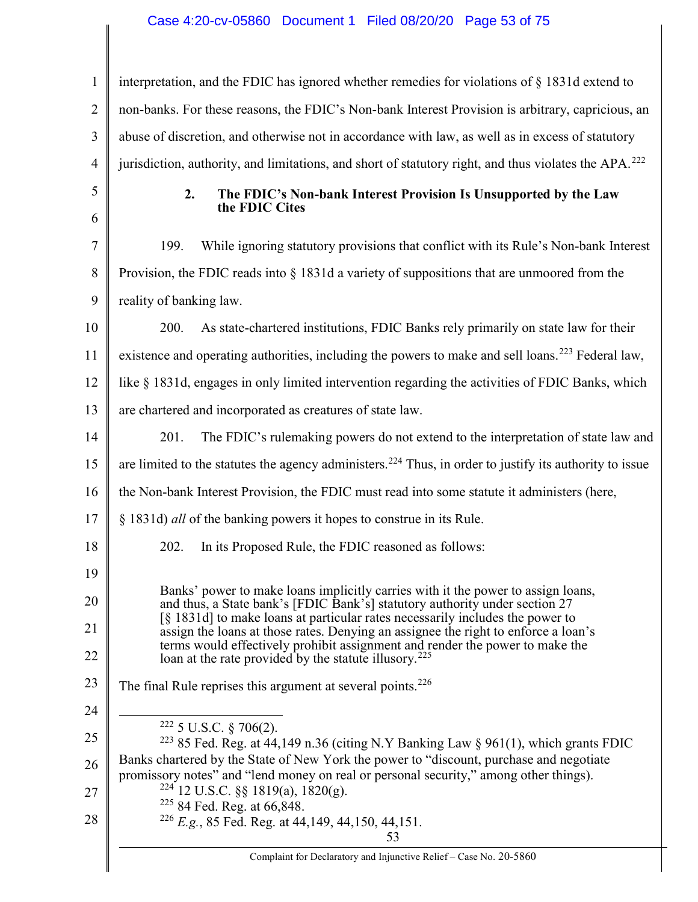## Case 4:20-cv-05860 Document 1 Filed 08/20/20 Page 53 of 75

| $\mathbf{1}$   | interpretation, and the FDIC has ignored whether remedies for violations of § 1831d extend to                                                                                                                                                                                                                            |  |  |  |
|----------------|--------------------------------------------------------------------------------------------------------------------------------------------------------------------------------------------------------------------------------------------------------------------------------------------------------------------------|--|--|--|
| $\overline{2}$ | non-banks. For these reasons, the FDIC's Non-bank Interest Provision is arbitrary, capricious, an                                                                                                                                                                                                                        |  |  |  |
| 3              | abuse of discretion, and otherwise not in accordance with law, as well as in excess of statutory                                                                                                                                                                                                                         |  |  |  |
| $\overline{4}$ | jurisdiction, authority, and limitations, and short of statutory right, and thus violates the APA. <sup>222</sup>                                                                                                                                                                                                        |  |  |  |
| 5              | 2.<br>The FDIC's Non-bank Interest Provision Is Unsupported by the Law                                                                                                                                                                                                                                                   |  |  |  |
| 6              | the FDIC Cites                                                                                                                                                                                                                                                                                                           |  |  |  |
| 7              | 199.<br>While ignoring statutory provisions that conflict with its Rule's Non-bank Interest                                                                                                                                                                                                                              |  |  |  |
| 8              | Provision, the FDIC reads into $\S$ 1831d a variety of suppositions that are unmoored from the                                                                                                                                                                                                                           |  |  |  |
| 9              | reality of banking law.                                                                                                                                                                                                                                                                                                  |  |  |  |
| 10             | 200.<br>As state-chartered institutions, FDIC Banks rely primarily on state law for their                                                                                                                                                                                                                                |  |  |  |
| 11             | existence and operating authorities, including the powers to make and sell loans. <sup>223</sup> Federal law,                                                                                                                                                                                                            |  |  |  |
| 12             | like § 1831d, engages in only limited intervention regarding the activities of FDIC Banks, which                                                                                                                                                                                                                         |  |  |  |
| 13             | are chartered and incorporated as creatures of state law.                                                                                                                                                                                                                                                                |  |  |  |
| 14             | 201.<br>The FDIC's rulemaking powers do not extend to the interpretation of state law and                                                                                                                                                                                                                                |  |  |  |
| 15             | are limited to the statutes the agency administers. <sup>224</sup> Thus, in order to justify its authority to issue                                                                                                                                                                                                      |  |  |  |
| 16             | the Non-bank Interest Provision, the FDIC must read into some statute it administers (here,                                                                                                                                                                                                                              |  |  |  |
| 17             | § 1831d) all of the banking powers it hopes to construe in its Rule.                                                                                                                                                                                                                                                     |  |  |  |
| 18             | 202.<br>In its Proposed Rule, the FDIC reasoned as follows:                                                                                                                                                                                                                                                              |  |  |  |
| 19             |                                                                                                                                                                                                                                                                                                                          |  |  |  |
| 20             | Banks' power to make loans implicitly carries with it the power to assign loans,<br>and thus, a State bank's [FDIC Bank's] statutory authority under section 27                                                                                                                                                          |  |  |  |
| 21             | [§ 1831d] to make loans at particular rates necessarily includes the power to<br>assign the loans at those rates. Denying an assignee the right to enforce a loan's<br>terms would effectively prohibit assignment and render the power to make the<br>loan at the rate provided by the statute illusory. <sup>225</sup> |  |  |  |
| 22             |                                                                                                                                                                                                                                                                                                                          |  |  |  |
| 23             | The final Rule reprises this argument at several points. <sup>226</sup>                                                                                                                                                                                                                                                  |  |  |  |
| 24             |                                                                                                                                                                                                                                                                                                                          |  |  |  |
| 25             | $222$ 5 U.S.C. § 706(2).<br><sup>223</sup> 85 Fed. Reg. at $44,149$ n.36 (citing N.Y Banking Law § 961(1), which grants FDIC                                                                                                                                                                                             |  |  |  |
| 26             | Banks chartered by the State of New York the power to "discount, purchase and negotiate<br>promissory notes" and "lend money on real or personal security," among other things).                                                                                                                                         |  |  |  |
| 27             | $224$ 12 U.S.C. §§ 1819(a), 1820(g).<br><sup>225</sup> 84 Fed. Reg. at 66,848.                                                                                                                                                                                                                                           |  |  |  |
| 28             | <sup>226</sup> E.g., 85 Fed. Reg. at 44,149, 44,150, 44,151.                                                                                                                                                                                                                                                             |  |  |  |
|                | 53                                                                                                                                                                                                                                                                                                                       |  |  |  |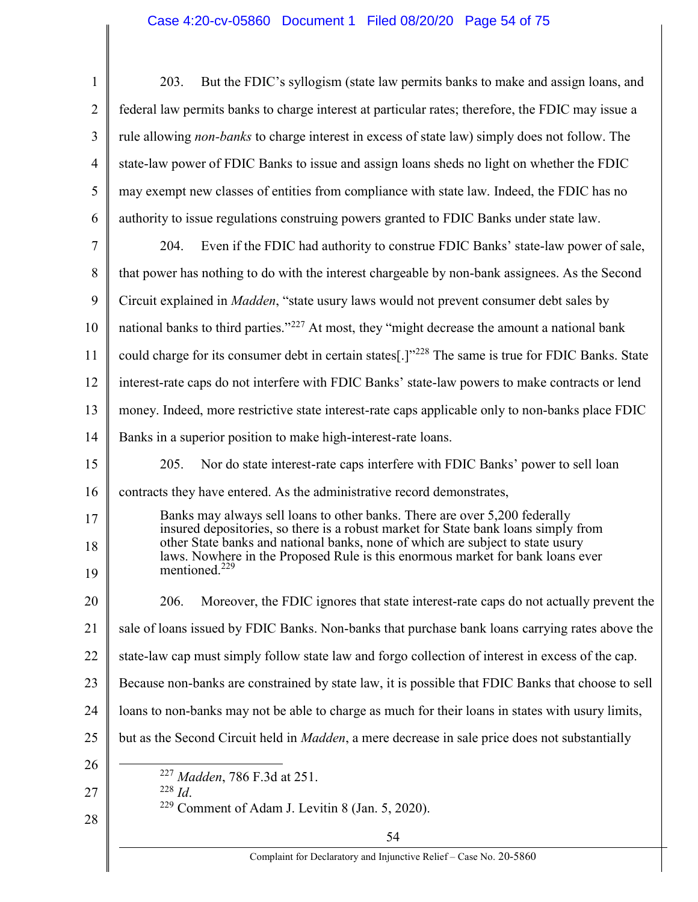| $\mathbf{1}$   | But the FDIC's syllogism (state law permits banks to make and assign loans, and<br>203.                                                                                                                                                                                                                                              |  |  |  |
|----------------|--------------------------------------------------------------------------------------------------------------------------------------------------------------------------------------------------------------------------------------------------------------------------------------------------------------------------------------|--|--|--|
| $\overline{2}$ | federal law permits banks to charge interest at particular rates; therefore, the FDIC may issue a                                                                                                                                                                                                                                    |  |  |  |
| 3              | rule allowing non-banks to charge interest in excess of state law) simply does not follow. The                                                                                                                                                                                                                                       |  |  |  |
| 4              | state-law power of FDIC Banks to issue and assign loans sheds no light on whether the FDIC                                                                                                                                                                                                                                           |  |  |  |
| 5              | may exempt new classes of entities from compliance with state law. Indeed, the FDIC has no                                                                                                                                                                                                                                           |  |  |  |
| 6              | authority to issue regulations construing powers granted to FDIC Banks under state law.                                                                                                                                                                                                                                              |  |  |  |
| $\tau$         | Even if the FDIC had authority to construe FDIC Banks' state-law power of sale,<br>204.                                                                                                                                                                                                                                              |  |  |  |
| 8              | that power has nothing to do with the interest chargeable by non-bank assignees. As the Second                                                                                                                                                                                                                                       |  |  |  |
| 9              | Circuit explained in <i>Madden</i> , "state usury laws would not prevent consumer debt sales by                                                                                                                                                                                                                                      |  |  |  |
| 10             | national banks to third parties." <sup>227</sup> At most, they "might decrease the amount a national bank                                                                                                                                                                                                                            |  |  |  |
| 11             | could charge for its consumer debt in certain states[.]" <sup>228</sup> The same is true for FDIC Banks. State                                                                                                                                                                                                                       |  |  |  |
| 12             | interest-rate caps do not interfere with FDIC Banks' state-law powers to make contracts or lend                                                                                                                                                                                                                                      |  |  |  |
| 13             | money. Indeed, more restrictive state interest-rate caps applicable only to non-banks place FDIC                                                                                                                                                                                                                                     |  |  |  |
| 14             | Banks in a superior position to make high-interest-rate loans.                                                                                                                                                                                                                                                                       |  |  |  |
| 15             | 205.<br>Nor do state interest-rate caps interfere with FDIC Banks' power to sell loan                                                                                                                                                                                                                                                |  |  |  |
| 16             | contracts they have entered. As the administrative record demonstrates,                                                                                                                                                                                                                                                              |  |  |  |
| 17<br>18       | Banks may always sell loans to other banks. There are over 5,200 federally<br>insured depositories, so there is a robust market for State bank loans simply from<br>other State banks and national banks, none of which are subject to state usury<br>laws. Nowhere in the Proposed Rule is this enormous market for bank loans ever |  |  |  |
| 19             | mentioned. <sup>229</sup>                                                                                                                                                                                                                                                                                                            |  |  |  |
| 20             | 206.<br>Moreover, the FDIC ignores that state interest-rate caps do not actually prevent the                                                                                                                                                                                                                                         |  |  |  |
| 21             | sale of loans issued by FDIC Banks. Non-banks that purchase bank loans carrying rates above the                                                                                                                                                                                                                                      |  |  |  |
| 22             | state-law cap must simply follow state law and forgo collection of interest in excess of the cap.                                                                                                                                                                                                                                    |  |  |  |
| 23             | Because non-banks are constrained by state law, it is possible that FDIC Banks that choose to sell                                                                                                                                                                                                                                   |  |  |  |
| 24             | loans to non-banks may not be able to charge as much for their loans in states with usury limits,                                                                                                                                                                                                                                    |  |  |  |
| 25             | but as the Second Circuit held in <i>Madden</i> , a mere decrease in sale price does not substantially                                                                                                                                                                                                                               |  |  |  |
| 26<br>27       | <sup>227</sup> Madden, 786 F.3d at 251.<br>$^{228}\,Id.$                                                                                                                                                                                                                                                                             |  |  |  |
| 28             | <sup>229</sup> Comment of Adam J. Levitin 8 (Jan. 5, 2020).                                                                                                                                                                                                                                                                          |  |  |  |
|                | 54                                                                                                                                                                                                                                                                                                                                   |  |  |  |
|                | Complaint for Declaratory and Injunctive Relief - Case No. 20-5860                                                                                                                                                                                                                                                                   |  |  |  |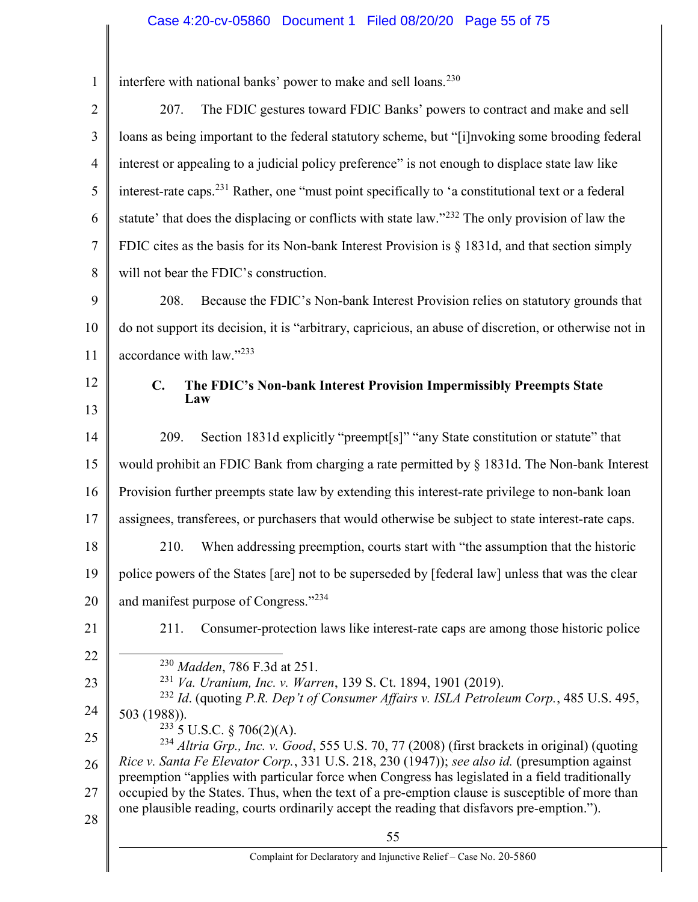## Case 4:20-cv-05860 Document 1 Filed 08/20/20 Page 55 of 75

| $\mathbf{1}$   | interfere with national banks' power to make and sell loans. <sup>230</sup>                                                                                                                        |  |  |
|----------------|----------------------------------------------------------------------------------------------------------------------------------------------------------------------------------------------------|--|--|
| $\overline{2}$ | The FDIC gestures toward FDIC Banks' powers to contract and make and sell<br>207.                                                                                                                  |  |  |
| 3              | loans as being important to the federal statutory scheme, but "[i]nvoking some brooding federal                                                                                                    |  |  |
| $\overline{4}$ | interest or appealing to a judicial policy preference" is not enough to displace state law like                                                                                                    |  |  |
| 5              | interest-rate caps. <sup>231</sup> Rather, one "must point specifically to 'a constitutional text or a federal                                                                                     |  |  |
| 6              | statute' that does the displacing or conflicts with state law." <sup>232</sup> The only provision of law the                                                                                       |  |  |
| $\tau$         | FDIC cites as the basis for its Non-bank Interest Provision is $\S$ 1831d, and that section simply                                                                                                 |  |  |
| 8              | will not bear the FDIC's construction.                                                                                                                                                             |  |  |
| 9              | Because the FDIC's Non-bank Interest Provision relies on statutory grounds that<br>208.                                                                                                            |  |  |
| 10             | do not support its decision, it is "arbitrary, capricious, an abuse of discretion, or otherwise not in                                                                                             |  |  |
| 11             | accordance with law."233                                                                                                                                                                           |  |  |
| 12             | C.<br>The FDIC's Non-bank Interest Provision Impermissibly Preempts State                                                                                                                          |  |  |
| 13             | Law                                                                                                                                                                                                |  |  |
| 14             | Section 1831d explicitly "preempt[s]" "any State constitution or statute" that<br>209.                                                                                                             |  |  |
| 15             | would prohibit an FDIC Bank from charging a rate permitted by § 1831d. The Non-bank Interest                                                                                                       |  |  |
| 16             | Provision further preempts state law by extending this interest-rate privilege to non-bank loan                                                                                                    |  |  |
| 17             | assignees, transferees, or purchasers that would otherwise be subject to state interest-rate caps.                                                                                                 |  |  |
| 18             | When addressing preemption, courts start with "the assumption that the historic<br>210.                                                                                                            |  |  |
| 19             | police powers of the States [are] not to be superseded by [federal law] unless that was the clear                                                                                                  |  |  |
| 20             | and manifest purpose of Congress."234                                                                                                                                                              |  |  |
| 21             | Consumer-protection laws like interest-rate caps are among those historic police<br>211.                                                                                                           |  |  |
| 22             | <sup>230</sup> Madden, 786 F.3d at 251.                                                                                                                                                            |  |  |
| 23             | <sup>231</sup> Va. Uranium, Inc. v. Warren, 139 S. Ct. 1894, 1901 (2019).                                                                                                                          |  |  |
| 24             | <sup>232</sup> Id. (quoting P.R. Dep't of Consumer Affairs v. ISLA Petroleum Corp., 485 U.S. 495,<br>503 (1988)).                                                                                  |  |  |
| 25             | $233$ 5 U.S.C. § 706(2)(A).<br><sup>234</sup> Altria Grp., Inc. v. Good, 555 U.S. 70, 77 (2008) (first brackets in original) (quoting                                                              |  |  |
| 26             | Rice v. Santa Fe Elevator Corp., 331 U.S. 218, 230 (1947)); see also id. (presumption against                                                                                                      |  |  |
| 27             | preemption "applies with particular force when Congress has legislated in a field traditionally<br>occupied by the States. Thus, when the text of a pre-emption clause is susceptible of more than |  |  |
| 28             | one plausible reading, courts ordinarily accept the reading that disfavors pre-emption.").                                                                                                         |  |  |
|                | 55<br>Complaint for Declaratory and Injunctive Relief - Case No. 20-5860                                                                                                                           |  |  |
|                |                                                                                                                                                                                                    |  |  |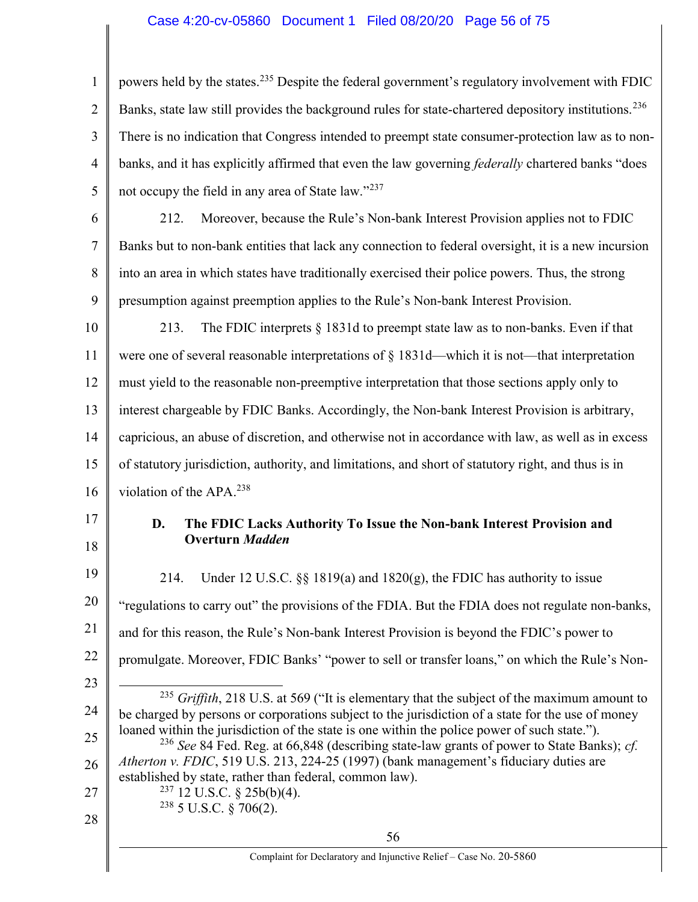## Case 4:20-cv-05860 Document 1 Filed 08/20/20 Page 56 of 75

1 2 3 4 5 6 7 8 9 10 11 12 13 14 15 16 17 18 19 20 21 22 23 24 25 26 27 28 56 powers held by the states.<sup>235</sup> Despite the federal government's regulatory involvement with FDIC Banks, state law still provides the background rules for state-chartered depository institutions.<sup>236</sup> There is no indication that Congress intended to preempt state consumer-protection law as to nonbanks, and it has explicitly affirmed that even the law governing *federally* chartered banks "does" not occupy the field in any area of State law."<sup>237</sup> 212. Moreover, because the Rule's Non-bank Interest Provision applies not to FDIC Banks but to non-bank entities that lack any connection to federal oversight, it is a new incursion into an area in which states have traditionally exercised their police powers. Thus, the strong presumption against preemption applies to the Rule's Non-bank Interest Provision. 213. The FDIC interprets § 1831d to preempt state law as to non-banks. Even if that were one of several reasonable interpretations of § 1831d—which it is not—that interpretation must yield to the reasonable non-preemptive interpretation that those sections apply only to interest chargeable by FDIC Banks. Accordingly, the Non-bank Interest Provision is arbitrary, capricious, an abuse of discretion, and otherwise not in accordance with law, as well as in excess of statutory jurisdiction, authority, and limitations, and short of statutory right, and thus is in violation of the APA.<sup>238</sup> D. The FDIC Lacks Authority To Issue the Non-bank Interest Provision and Overturn Madden 214. Under 12 U.S.C.  $\S$  1819(a) and 1820(g), the FDIC has authority to issue "regulations to carry out" the provisions of the FDIA. But the FDIA does not regulate non-banks, and for this reason, the Rule's Non-bank Interest Provision is beyond the FDIC's power to promulgate. Moreover, FDIC Banks' "power to sell or transfer loans," on which the Rule's Non-  $\overline{a}$  $^{235}$  Griffith, 218 U.S. at 569 ("It is elementary that the subject of the maximum amount to be charged by persons or corporations subject to the jurisdiction of a state for the use of money loaned within the jurisdiction of the state is one within the police power of such state."). <sup>236</sup> See 84 Fed. Reg. at 66,848 (describing state-law grants of power to State Banks); *cf.* Atherton v. FDIC, 519 U.S. 213, 224-25 (1997) (bank management's fiduciary duties are established by state, rather than federal, common law).  $237$  12 U.S.C. § 25b(b)(4).  $238$  5 U.S.C. § 706(2).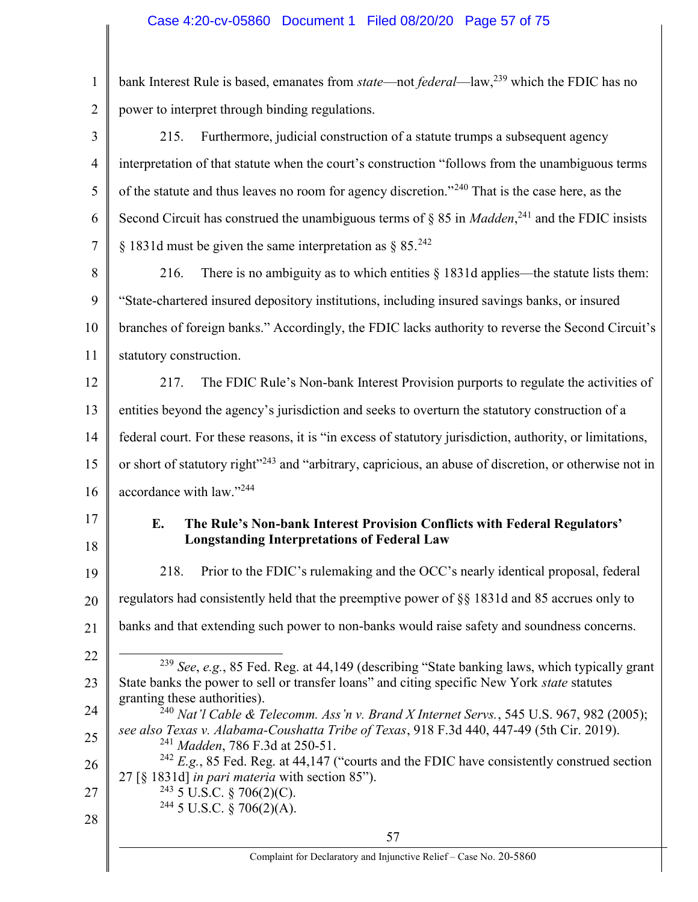1 2 bank Interest Rule is based, emanates from *state*—not *federal*—law,<sup>239</sup> which the FDIC has no power to interpret through binding regulations.

| 3              | 215.<br>Furthermore, judicial construction of a statute trumps a subsequent agency                                                                                                                      |  |  |  |
|----------------|---------------------------------------------------------------------------------------------------------------------------------------------------------------------------------------------------------|--|--|--|
| $\overline{4}$ | interpretation of that statute when the court's construction "follows from the unambiguous terms                                                                                                        |  |  |  |
| 5              | of the statute and thus leaves no room for agency discretion." <sup>240</sup> That is the case here, as the                                                                                             |  |  |  |
| 6              | Second Circuit has construed the unambiguous terms of $\S 85$ in <i>Madden</i> , <sup>241</sup> and the FDIC insists                                                                                    |  |  |  |
| $\overline{7}$ | § 1831d must be given the same interpretation as § 85. <sup>242</sup>                                                                                                                                   |  |  |  |
| 8              | There is no ambiguity as to which entities $\S$ 1831d applies—the statute lists them:<br>216.                                                                                                           |  |  |  |
| 9              | "State-chartered insured depository institutions, including insured savings banks, or insured                                                                                                           |  |  |  |
| 10             | branches of foreign banks." Accordingly, the FDIC lacks authority to reverse the Second Circuit's                                                                                                       |  |  |  |
| 11             | statutory construction.                                                                                                                                                                                 |  |  |  |
| 12             | The FDIC Rule's Non-bank Interest Provision purports to regulate the activities of<br>217.                                                                                                              |  |  |  |
| 13             | entities beyond the agency's jurisdiction and seeks to overturn the statutory construction of a                                                                                                         |  |  |  |
| 14             | federal court. For these reasons, it is "in excess of statutory jurisdiction, authority, or limitations,                                                                                                |  |  |  |
| 15             | or short of statutory right" <sup>243</sup> and "arbitrary, capricious, an abuse of discretion, or otherwise not in                                                                                     |  |  |  |
| 16             | accordance with law."244                                                                                                                                                                                |  |  |  |
| 17<br>18       | The Rule's Non-bank Interest Provision Conflicts with Federal Regulators'<br>E.<br><b>Longstanding Interpretations of Federal Law</b>                                                                   |  |  |  |
| 19             | Prior to the FDIC's rulemaking and the OCC's nearly identical proposal, federal<br>218.                                                                                                                 |  |  |  |
| 20             | regulators had consistently held that the preemptive power of §§ 1831d and 85 accrues only to                                                                                                           |  |  |  |
| 21             | banks and that extending such power to non-banks would raise safety and soundness concerns.                                                                                                             |  |  |  |
| 22             |                                                                                                                                                                                                         |  |  |  |
| 23             | <sup>239</sup> See, e.g., 85 Fed. Reg. at 44,149 (describing "State banking laws, which typically grant<br>State banks the power to sell or transfer loans" and citing specific New York state statutes |  |  |  |
| 24             | granting these authorities).<br>$^{240}$ Nat'l Cable & Telecomm. Ass'n v. Brand X Internet Servs., 545 U.S. 967, 982 (2005);                                                                            |  |  |  |
| 25             | see also Texas v. Alabama-Coushatta Tribe of Texas, 918 F.3d 440, 447-49 (5th Cir. 2019).<br><sup>241</sup> Madden, 786 F.3d at 250-51.                                                                 |  |  |  |
| 26             | $242$ E.g., 85 Fed. Reg. at 44,147 ("courts and the FDIC have consistently construed section                                                                                                            |  |  |  |
| 27             | 27 [§ 1831d] in pari materia with section 85").<br>$243$ 5 U.S.C. § 706(2)(C).                                                                                                                          |  |  |  |
|                |                                                                                                                                                                                                         |  |  |  |
| 28             | $244$ 5 U.S.C. § 706(2)(A).<br>57                                                                                                                                                                       |  |  |  |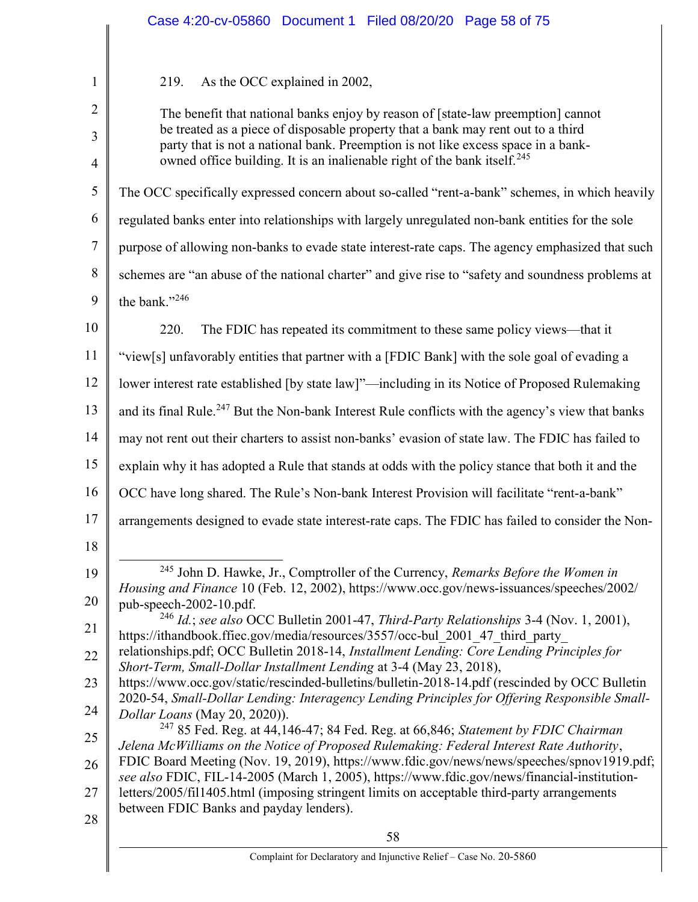|                     | Case 4:20-cv-05860 Document 1 Filed 08/20/20 Page 58 of 75                                                                                                                                                                                                               |  |  |
|---------------------|--------------------------------------------------------------------------------------------------------------------------------------------------------------------------------------------------------------------------------------------------------------------------|--|--|
|                     |                                                                                                                                                                                                                                                                          |  |  |
| $\mathbf{1}$        | As the OCC explained in 2002,<br>219.                                                                                                                                                                                                                                    |  |  |
| $\overline{2}$      | The benefit that national banks enjoy by reason of [state-law preemption] cannot                                                                                                                                                                                         |  |  |
| 3<br>$\overline{4}$ | be treated as a piece of disposable property that a bank may rent out to a third<br>party that is not a national bank. Preemption is not like excess space in a bank-<br>owned office building. It is an inalienable right of the bank itself. <sup>245</sup>            |  |  |
| 5                   | The OCC specifically expressed concern about so-called "rent-a-bank" schemes, in which heavily                                                                                                                                                                           |  |  |
| 6                   | regulated banks enter into relationships with largely unregulated non-bank entities for the sole                                                                                                                                                                         |  |  |
| $\tau$              | purpose of allowing non-banks to evade state interest-rate caps. The agency emphasized that such                                                                                                                                                                         |  |  |
| 8                   | schemes are "an abuse of the national charter" and give rise to "safety and soundness problems at                                                                                                                                                                        |  |  |
| 9                   | the bank."246                                                                                                                                                                                                                                                            |  |  |
|                     |                                                                                                                                                                                                                                                                          |  |  |
| 10                  | 220.<br>The FDIC has repeated its commitment to these same policy views—that it                                                                                                                                                                                          |  |  |
| 11                  | "view[s] unfavorably entities that partner with a [FDIC Bank] with the sole goal of evading a                                                                                                                                                                            |  |  |
| 12                  | lower interest rate established [by state law]"—including in its Notice of Proposed Rulemaking                                                                                                                                                                           |  |  |
| 13                  | and its final Rule. <sup>247</sup> But the Non-bank Interest Rule conflicts with the agency's view that banks                                                                                                                                                            |  |  |
| 14                  | may not rent out their charters to assist non-banks' evasion of state law. The FDIC has failed to                                                                                                                                                                        |  |  |
| 15                  | explain why it has adopted a Rule that stands at odds with the policy stance that both it and the                                                                                                                                                                        |  |  |
| 16                  | OCC have long shared. The Rule's Non-bank Interest Provision will facilitate "rent-a-bank"                                                                                                                                                                               |  |  |
| 17                  | arrangements designed to evade state interest-rate caps. The FDIC has failed to consider the Non-                                                                                                                                                                        |  |  |
| 18                  |                                                                                                                                                                                                                                                                          |  |  |
| 19                  | <sup>245</sup> John D. Hawke, Jr., Comptroller of the Currency, Remarks Before the Women in<br>Housing and Finance 10 (Feb. 12, 2002), https://www.occ.gov/news-issuances/speeches/2002/                                                                                 |  |  |
| 20                  | pub-speech-2002-10.pdf.                                                                                                                                                                                                                                                  |  |  |
| 21                  | $^{246}$ Id.; see also OCC Bulletin 2001-47, Third-Party Relationships 3-4 (Nov. 1, 2001),<br>https://ithandbook.ffiec.gov/media/resources/3557/occ-bul 2001 47 third party<br>relationships.pdf; OCC Bulletin 2018-14, Installment Lending: Core Lending Principles for |  |  |
| 22                  |                                                                                                                                                                                                                                                                          |  |  |
| 23                  | Short-Term, Small-Dollar Installment Lending at 3-4 (May 23, 2018),<br>https://www.occ.gov/static/rescinded-bulletins/bulletin-2018-14.pdf (rescinded by OCC Bulletin                                                                                                    |  |  |
| 24                  | 2020-54, Small-Dollar Lending: Interagency Lending Principles for Offering Responsible Small-<br>Dollar Loans (May 20, 2020)).                                                                                                                                           |  |  |
| 25                  | <sup>247</sup> 85 Fed. Reg. at 44,146-47; 84 Fed. Reg. at 66,846; Statement by FDIC Chairman<br>Jelena McWilliams on the Notice of Proposed Rulemaking: Federal Interest Rate Authority,                                                                                 |  |  |
| 26                  | FDIC Board Meeting (Nov. 19, 2019), https://www.fdic.gov/news/news/speeches/spnov1919.pdf;<br>see also FDIC, FIL-14-2005 (March 1, 2005), https://www.fdic.gov/news/financial-institution-                                                                               |  |  |
| 27                  | letters/2005/fil1405.html (imposing stringent limits on acceptable third-party arrangements                                                                                                                                                                              |  |  |
| 28                  | between FDIC Banks and payday lenders).                                                                                                                                                                                                                                  |  |  |
|                     | 58                                                                                                                                                                                                                                                                       |  |  |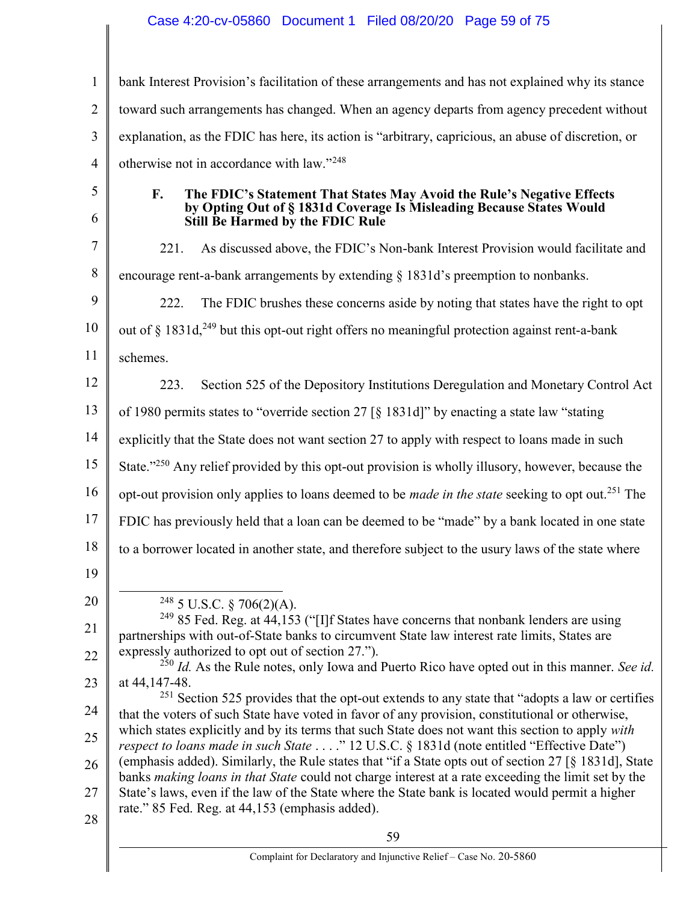## Case 4:20-cv-05860 Document 1 Filed 08/20/20 Page 59 of 75

1 2 3 4 5 6 7 8 9 10 11 12 13 14 15 16 17 18 19 20 21 22 23 24 25 26 27 28 59 bank Interest Provision's facilitation of these arrangements and has not explained why its stance toward such arrangements has changed. When an agency departs from agency precedent without explanation, as the FDIC has here, its action is "arbitrary, capricious, an abuse of discretion, or otherwise not in accordance with law."<sup>248</sup> F. The FDIC's Statement That States May Avoid the Rule's Negative Effects by Opting Out of § 1831d Coverage Is Misleading Because States Would Still Be Harmed by the FDIC Rule 221. As discussed above, the FDIC's Non-bank Interest Provision would facilitate and encourage rent-a-bank arrangements by extending § 1831d's preemption to nonbanks. 222. The FDIC brushes these concerns aside by noting that states have the right to opt out of  $\S$  1831d,<sup>249</sup> but this opt-out right offers no meaningful protection against rent-a-bank schemes. 223. Section 525 of the Depository Institutions Deregulation and Monetary Control Act of 1980 permits states to "override section 27 [§ 1831d]" by enacting a state law "stating explicitly that the State does not want section 27 to apply with respect to loans made in such State."<sup>250</sup> Any relief provided by this opt-out provision is wholly illusory, however, because the opt-out provision only applies to loans deemed to be *made in the state* seeking to opt out.<sup>251</sup> The FDIC has previously held that a loan can be deemed to be "made" by a bank located in one state to a borrower located in another state, and therefore subject to the usury laws of the state where  $\overline{a}$  $248$  5 U.S.C. § 706(2)(A). <sup>249</sup> 85 Fed. Reg. at  $44,153$  ("[I]f States have concerns that nonbank lenders are using partnerships with out-of-State banks to circumvent State law interest rate limits, States are expressly authorized to opt out of section 27.").  $^{250}$  *Id.* As the Rule notes, only Iowa and Puerto Rico have opted out in this manner. See id. at 44,147-48.  $251$  Section 525 provides that the opt-out extends to any state that "adopts a law or certifies that the voters of such State have voted in favor of any provision, constitutional or otherwise, which states explicitly and by its terms that such State does not want this section to apply with respect to loans made in such State . . . ." 12 U.S.C. § 1831d (note entitled "Effective Date") (emphasis added). Similarly, the Rule states that "if a State opts out of section 27 [§ 1831d], State banks making loans in that State could not charge interest at a rate exceeding the limit set by the State's laws, even if the law of the State where the State bank is located would permit a higher rate." 85 Fed. Reg. at 44,153 (emphasis added).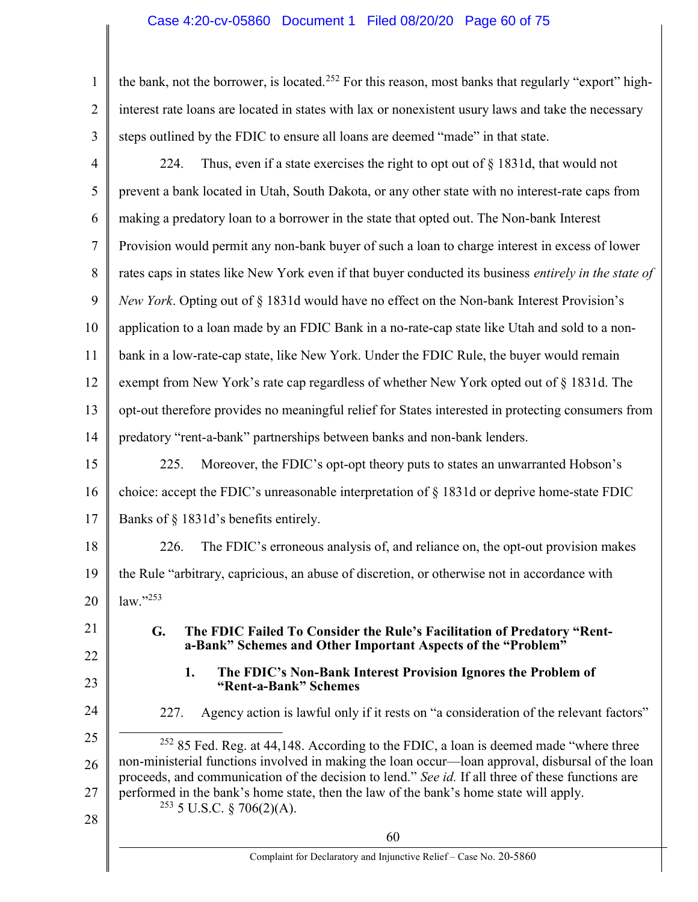## Case 4:20-cv-05860 Document 1 Filed 08/20/20 Page 60 of 75

1 2 3 the bank, not the borrower, is located.<sup>252</sup> For this reason, most banks that regularly "export" highinterest rate loans are located in states with lax or nonexistent usury laws and take the necessary steps outlined by the FDIC to ensure all loans are deemed "made" in that state.

| $\overline{4}$ | Thus, even if a state exercises the right to opt out of $\S$ 1831d, that would not<br>224.                   |  |  |  |
|----------------|--------------------------------------------------------------------------------------------------------------|--|--|--|
| 5              | prevent a bank located in Utah, South Dakota, or any other state with no interest-rate caps from             |  |  |  |
| 6              | making a predatory loan to a borrower in the state that opted out. The Non-bank Interest                     |  |  |  |
| $\tau$         | Provision would permit any non-bank buyer of such a loan to charge interest in excess of lower               |  |  |  |
| 8              | rates caps in states like New York even if that buyer conducted its business <i>entirely in the state of</i> |  |  |  |
| 9              | New York. Opting out of § 1831d would have no effect on the Non-bank Interest Provision's                    |  |  |  |
| 10             | application to a loan made by an FDIC Bank in a no-rate-cap state like Utah and sold to a non-               |  |  |  |
| 11             | bank in a low-rate-cap state, like New York. Under the FDIC Rule, the buyer would remain                     |  |  |  |
| 12             | exempt from New York's rate cap regardless of whether New York opted out of § 1831d. The                     |  |  |  |
| 13             | opt-out therefore provides no meaningful relief for States interested in protecting consumers from           |  |  |  |
| 14             | predatory "rent-a-bank" partnerships between banks and non-bank lenders.                                     |  |  |  |
| 15             | 225.<br>Moreover, the FDIC's opt-opt theory puts to states an unwarranted Hobson's                           |  |  |  |
| 16             | choice: accept the FDIC's unreasonable interpretation of $\S$ 1831d or deprive home-state FDIC               |  |  |  |
| 17             | Banks of § 1831d's benefits entirely.                                                                        |  |  |  |
| 18             | The FDIC's erroneous analysis of, and reliance on, the opt-out provision makes<br>226.                       |  |  |  |
| 19             | the Rule "arbitrary, capricious, an abuse of discretion, or otherwise not in accordance with                 |  |  |  |
| 20             | $law.$ "253                                                                                                  |  |  |  |
| 21             | The FDIC Failed To Consider the Rule's Facilitation of Predatory "Rent-<br>G.                                |  |  |  |
| 22             | a-Bank" Schemes and Other Important Aspects of the "Problem"                                                 |  |  |  |
| 23             | 1.<br>The FDIC's Non-Bank Interest Provision Ignores the Problem of<br>"Rent-a-Bank" Schemes                 |  |  |  |
| 24             | Agency action is lawful only if it rests on "a consideration of the relevant factors"<br>227.                |  |  |  |

25 26 27 28 <sup>252</sup> 85 Fed. Reg. at 44,148. According to the FDIC, a loan is deemed made "where three non-ministerial functions involved in making the loan occur—loan approval, disbursal of the loan proceeds, and communication of the decision to lend." See id. If all three of these functions are performed in the bank's home state, then the law of the bank's home state will apply.  $253$  5 U.S.C. § 706(2)(A).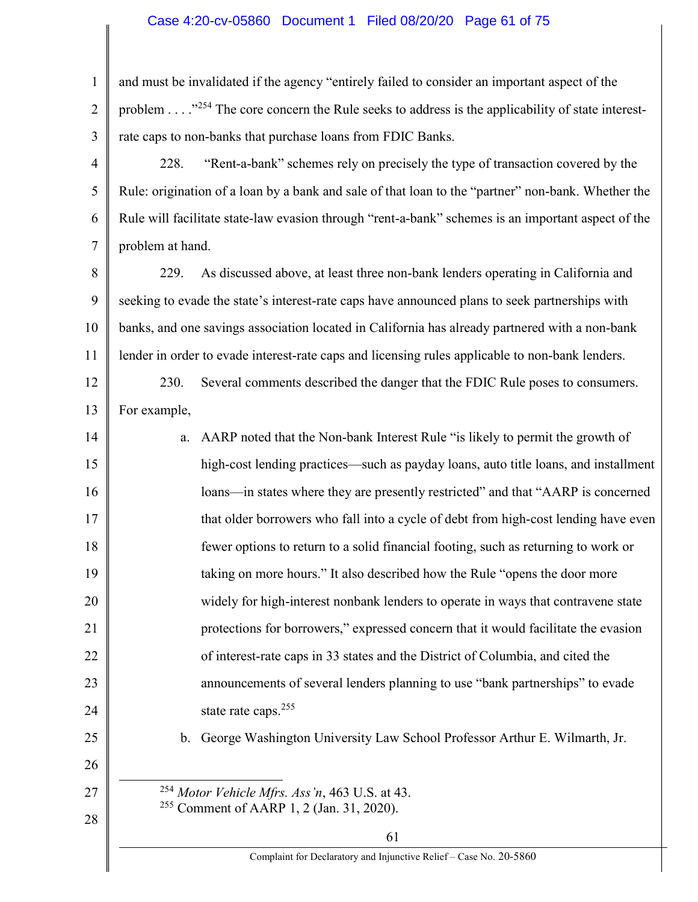# Case 4:20-cv-05860 Document 1 Filed 08/20/20 Page 61 of 75

| $\mathbf{1}$   | and must be invalidated if the agency "entirely failed to consider an important aspect of the               |  |  |  |
|----------------|-------------------------------------------------------------------------------------------------------------|--|--|--|
| $\overline{2}$ | problem " <sup>254</sup> The core concern the Rule seeks to address is the applicability of state interest- |  |  |  |
| 3              | rate caps to non-banks that purchase loans from FDIC Banks.                                                 |  |  |  |
| $\overline{4}$ | "Rent-a-bank" schemes rely on precisely the type of transaction covered by the<br>228.                      |  |  |  |
| 5              | Rule: origination of a loan by a bank and sale of that loan to the "partner" non-bank. Whether the          |  |  |  |
| 6              | Rule will facilitate state-law evasion through "rent-a-bank" schemes is an important aspect of the          |  |  |  |
| $\tau$         | problem at hand.                                                                                            |  |  |  |
| $8\,$          | As discussed above, at least three non-bank lenders operating in California and<br>229.                     |  |  |  |
| 9              | seeking to evade the state's interest-rate caps have announced plans to seek partnerships with              |  |  |  |
| 10             | banks, and one savings association located in California has already partnered with a non-bank              |  |  |  |
| 11             | lender in order to evade interest-rate caps and licensing rules applicable to non-bank lenders.             |  |  |  |
| 12             | Several comments described the danger that the FDIC Rule poses to consumers.<br>230.                        |  |  |  |
| 13             | For example,                                                                                                |  |  |  |
| 14             | AARP noted that the Non-bank Interest Rule "is likely to permit the growth of<br>a.                         |  |  |  |
| 15             | high-cost lending practices—such as payday loans, auto title loans, and installment                         |  |  |  |
| 16             | loans—in states where they are presently restricted" and that "AARP is concerned                            |  |  |  |
| 17             | that older borrowers who fall into a cycle of debt from high-cost lending have even                         |  |  |  |
| 18             | fewer options to return to a solid financial footing, such as returning to work or                          |  |  |  |
| 19             | taking on more hours." It also described how the Rule "opens the door more                                  |  |  |  |
| 20             | widely for high-interest nonbank lenders to operate in ways that contravene state                           |  |  |  |
| 21             | protections for borrowers," expressed concern that it would facilitate the evasion                          |  |  |  |
| 22             | of interest-rate caps in 33 states and the District of Columbia, and cited the                              |  |  |  |
| 23             | announcements of several lenders planning to use "bank partnerships" to evade                               |  |  |  |
| 24             | state rate caps. <sup>255</sup>                                                                             |  |  |  |
| 25             | George Washington University Law School Professor Arthur E. Wilmarth, Jr.<br>b.                             |  |  |  |
| 26             |                                                                                                             |  |  |  |
| 27             | $^{254}$ Motor Vehicle Mfrs. Ass 'n, 463 U.S. at 43.                                                        |  |  |  |
| 28             | <sup>255</sup> Comment of AARP 1, 2 (Jan. 31, 2020).                                                        |  |  |  |
|                | 61<br>Complaint for Declaratory and Injunctive Relief - Case No. 20-5860                                    |  |  |  |
|                |                                                                                                             |  |  |  |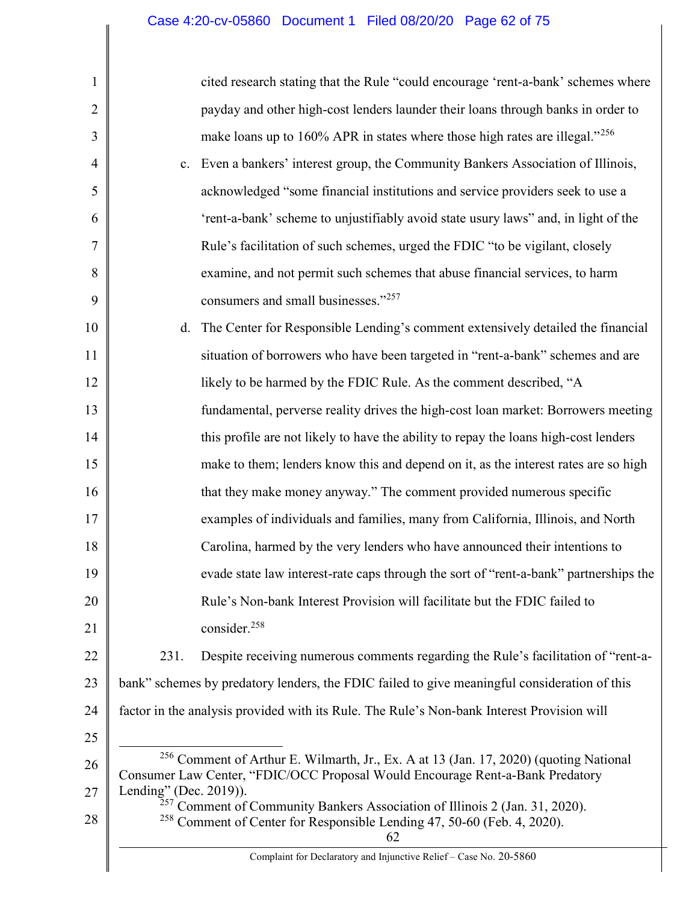| $\mathbf{1}$   |                                                                                                                                                                                    | cited research stating that the Rule "could encourage 'rent-a-bank' schemes where                                                                                                 |  |
|----------------|------------------------------------------------------------------------------------------------------------------------------------------------------------------------------------|-----------------------------------------------------------------------------------------------------------------------------------------------------------------------------------|--|
| $\overline{2}$ |                                                                                                                                                                                    | payday and other high-cost lenders launder their loans through banks in order to                                                                                                  |  |
| 3              |                                                                                                                                                                                    | make loans up to 160% APR in states where those high rates are illegal." <sup>256</sup>                                                                                           |  |
| 4              | c.                                                                                                                                                                                 | Even a bankers' interest group, the Community Bankers Association of Illinois,                                                                                                    |  |
| 5              |                                                                                                                                                                                    | acknowledged "some financial institutions and service providers seek to use a                                                                                                     |  |
| 6              |                                                                                                                                                                                    | 'rent-a-bank' scheme to unjustifiably avoid state usury laws" and, in light of the                                                                                                |  |
| 7              |                                                                                                                                                                                    | Rule's facilitation of such schemes, urged the FDIC "to be vigilant, closely                                                                                                      |  |
| 8              |                                                                                                                                                                                    | examine, and not permit such schemes that abuse financial services, to harm                                                                                                       |  |
| 9              |                                                                                                                                                                                    | consumers and small businesses."257                                                                                                                                               |  |
| 10             | d.                                                                                                                                                                                 | The Center for Responsible Lending's comment extensively detailed the financial                                                                                                   |  |
| 11             |                                                                                                                                                                                    | situation of borrowers who have been targeted in "rent-a-bank" schemes and are                                                                                                    |  |
| 12             |                                                                                                                                                                                    | likely to be harmed by the FDIC Rule. As the comment described, "A                                                                                                                |  |
| 13             |                                                                                                                                                                                    | fundamental, perverse reality drives the high-cost loan market: Borrowers meeting                                                                                                 |  |
| 14             |                                                                                                                                                                                    | this profile are not likely to have the ability to repay the loans high-cost lenders                                                                                              |  |
| 15             |                                                                                                                                                                                    | make to them; lenders know this and depend on it, as the interest rates are so high                                                                                               |  |
| 16             |                                                                                                                                                                                    | that they make money anyway." The comment provided numerous specific                                                                                                              |  |
| 17             |                                                                                                                                                                                    | examples of individuals and families, many from California, Illinois, and North                                                                                                   |  |
| 18             |                                                                                                                                                                                    | Carolina, harmed by the very lenders who have announced their intentions to                                                                                                       |  |
| 19             |                                                                                                                                                                                    | evade state law interest-rate caps through the sort of "rent-a-bank" partnerships the                                                                                             |  |
| 20             |                                                                                                                                                                                    | Rule's Non-bank Interest Provision will facilitate but the FDIC failed to                                                                                                         |  |
| 21             |                                                                                                                                                                                    | consider. <sup>258</sup>                                                                                                                                                          |  |
| 22             | 231.                                                                                                                                                                               | Despite receiving numerous comments regarding the Rule's facilitation of "rent-a-                                                                                                 |  |
| 23             | bank" schemes by predatory lenders, the FDIC failed to give meaningful consideration of this                                                                                       |                                                                                                                                                                                   |  |
| 24             | factor in the analysis provided with its Rule. The Rule's Non-bank Interest Provision will                                                                                         |                                                                                                                                                                                   |  |
| 25             |                                                                                                                                                                                    |                                                                                                                                                                                   |  |
| 26             |                                                                                                                                                                                    | <sup>256</sup> Comment of Arthur E. Wilmarth, Jr., Ex. A at 13 (Jan. 17, 2020) (quoting National<br>Consumer Law Center, "FDIC/OCC Proposal Would Encourage Rent-a-Bank Predatory |  |
| 27             | Lending" (Dec. 2019)).                                                                                                                                                             |                                                                                                                                                                                   |  |
| 28             | <sup>257</sup> Comment of Community Bankers Association of Illinois 2 (Jan. 31, 2020).<br><sup>258</sup> Comment of Center for Responsible Lending 47, 50-60 (Feb. 4, 2020).<br>62 |                                                                                                                                                                                   |  |
|                |                                                                                                                                                                                    | Complaint for Declaratory and Injunctive Relief - Case No. 20-5860                                                                                                                |  |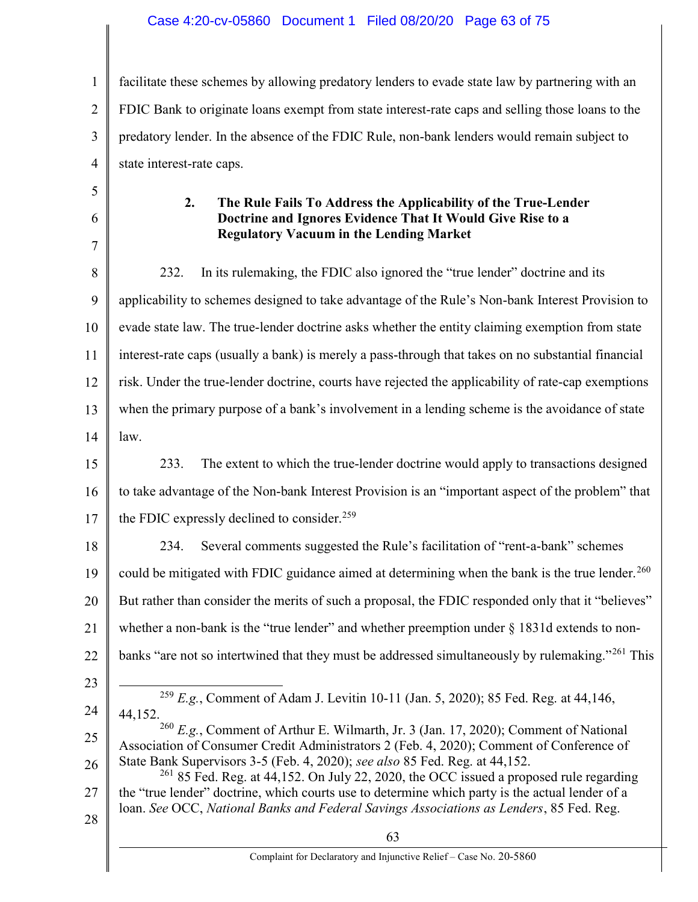## Case 4:20-cv-05860 Document 1 Filed 08/20/20 Page 63 of 75

1 2 3 4 facilitate these schemes by allowing predatory lenders to evade state law by partnering with an FDIC Bank to originate loans exempt from state interest-rate caps and selling those loans to the predatory lender. In the absence of the FDIC Rule, non-bank lenders would remain subject to state interest-rate caps.

| The Rule Fails To Address the Applicability of the True-Lender |  |
|----------------------------------------------------------------|--|
| Doctrine and Ignores Evidence That It Would Give Rise to a     |  |
| <b>Regulatory Vacuum in the Lending Market</b>                 |  |

8 9 10 11 12 13 14 15 232. In its rulemaking, the FDIC also ignored the "true lender" doctrine and its applicability to schemes designed to take advantage of the Rule's Non-bank Interest Provision to evade state law. The true-lender doctrine asks whether the entity claiming exemption from state interest-rate caps (usually a bank) is merely a pass-through that takes on no substantial financial risk. Under the true-lender doctrine, courts have rejected the applicability of rate-cap exemptions when the primary purpose of a bank's involvement in a lending scheme is the avoidance of state law. 233. The extent to which the true-lender doctrine would apply to transactions designed

16 17 to take advantage of the Non-bank Interest Provision is an "important aspect of the problem" that the FDIC expressly declined to consider.<sup>259</sup>

18 19 20 21 22 234. Several comments suggested the Rule's facilitation of "rent-a-bank" schemes could be mitigated with FDIC guidance aimed at determining when the bank is the true lender.<sup>260</sup> But rather than consider the merits of such a proposal, the FDIC responded only that it "believes" whether a non-bank is the "true lender" and whether preemption under  $\S 1831d$  extends to nonbanks "are not so intertwined that they must be addressed simultaneously by rulemaking."<sup>261</sup> This

23

5

6

7

24  $\overline{a}$ <sup>259</sup> E.g., Comment of Adam J. Levitin 10-11 (Jan. 5, 2020); 85 Fed. Reg. at 44,146, 44,152.

25 26 <sup>260</sup> E.g., Comment of Arthur E. Wilmarth, Jr. 3 (Jan. 17, 2020); Comment of National Association of Consumer Credit Administrators 2 (Feb. 4, 2020); Comment of Conference of State Bank Supervisors 3-5 (Feb. 4, 2020); see also 85 Fed. Reg. at 44,152.

27 28  $261$  85 Fed. Reg. at 44,152. On July 22, 2020, the OCC issued a proposed rule regarding the "true lender" doctrine, which courts use to determine which party is the actual lender of a loan. See OCC, National Banks and Federal Savings Associations as Lenders, 85 Fed. Reg.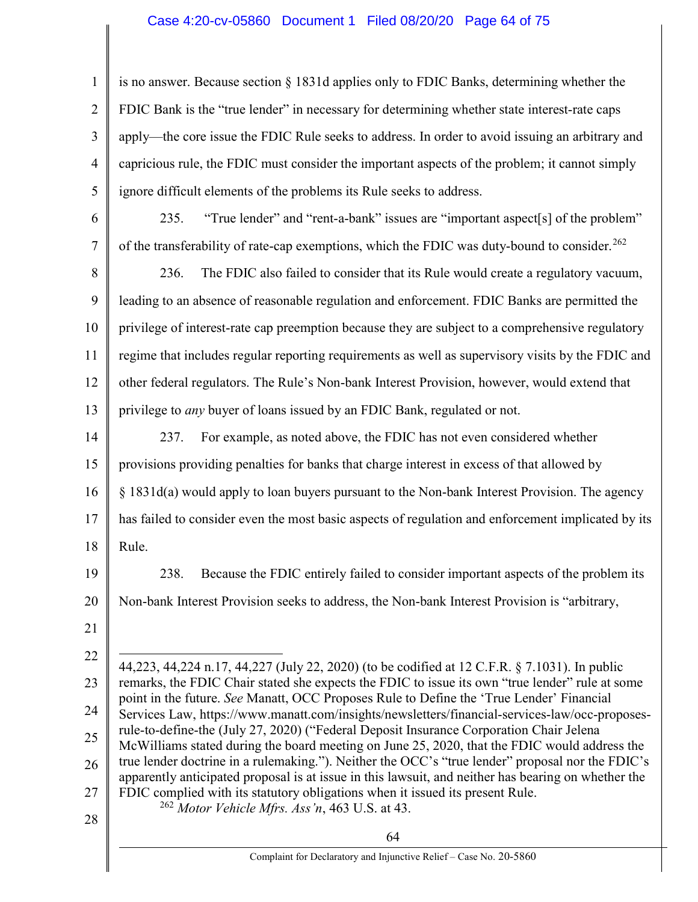## Case 4:20-cv-05860 Document 1 Filed 08/20/20 Page 64 of 75

1 2 3 4 5 is no answer. Because section  $\S 1831d$  applies only to FDIC Banks, determining whether the FDIC Bank is the "true lender" in necessary for determining whether state interest-rate caps apply—the core issue the FDIC Rule seeks to address. In order to avoid issuing an arbitrary and capricious rule, the FDIC must consider the important aspects of the problem; it cannot simply ignore difficult elements of the problems its Rule seeks to address.

6 7 235. "True lender" and "rent-a-bank" issues are "important aspect[s] of the problem" of the transferability of rate-cap exemptions, which the FDIC was duty-bound to consider.<sup>262</sup>

8 9 10 11 12 13 236. The FDIC also failed to consider that its Rule would create a regulatory vacuum, leading to an absence of reasonable regulation and enforcement. FDIC Banks are permitted the privilege of interest-rate cap preemption because they are subject to a comprehensive regulatory regime that includes regular reporting requirements as well as supervisory visits by the FDIC and other federal regulators. The Rule's Non-bank Interest Provision, however, would extend that privilege to *any* buyer of loans issued by an FDIC Bank, regulated or not.

14 15 16 17 18 237. For example, as noted above, the FDIC has not even considered whether provisions providing penalties for banks that charge interest in excess of that allowed by § 1831d(a) would apply to loan buyers pursuant to the Non-bank Interest Provision. The agency has failed to consider even the most basic aspects of regulation and enforcement implicated by its Rule.

- 19 20 238. Because the FDIC entirely failed to consider important aspects of the problem its Non-bank Interest Provision seeks to address, the Non-bank Interest Provision is "arbitrary,
- 21

22 23 24 25 26 27 28 44,223, 44,224 n.17, 44,227 (July 22, 2020) (to be codified at 12 C.F.R. § 7.1031). In public remarks, the FDIC Chair stated she expects the FDIC to issue its own "true lender" rule at some point in the future. See Manatt, OCC Proposes Rule to Define the 'True Lender' Financial Services Law, https://www.manatt.com/insights/newsletters/financial-services-law/occ-proposesrule-to-define-the (July 27, 2020) ("Federal Deposit Insurance Corporation Chair Jelena McWilliams stated during the board meeting on June 25, 2020, that the FDIC would address the true lender doctrine in a rulemaking."). Neither the OCC's "true lender" proposal nor the FDIC's apparently anticipated proposal is at issue in this lawsuit, and neither has bearing on whether the FDIC complied with its statutory obligations when it issued its present Rule.  $^{262}$  Motor Vehicle Mfrs. Ass 'n, 463 U.S. at 43.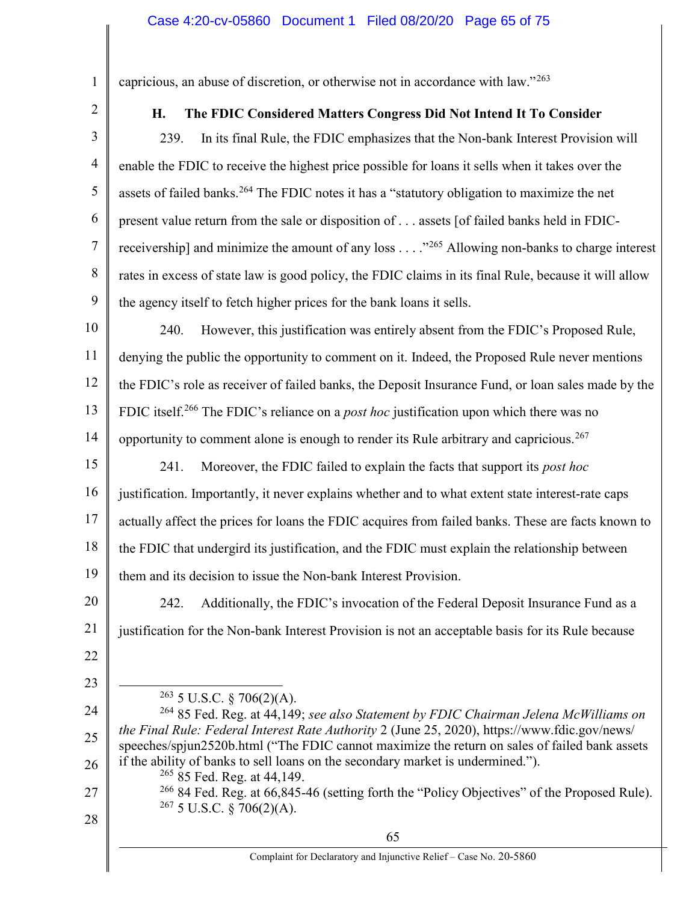1 2 capricious, an abuse of discretion, or otherwise not in accordance with law."<sup>263</sup>

## H. The FDIC Considered Matters Congress Did Not Intend It To Consider

3 4 5 6 7 8 9 239. In its final Rule, the FDIC emphasizes that the Non-bank Interest Provision will enable the FDIC to receive the highest price possible for loans it sells when it takes over the assets of failed banks.<sup>264</sup> The FDIC notes it has a "statutory obligation to maximize the net present value return from the sale or disposition of . . . assets [of failed banks held in FDICreceivership] and minimize the amount of any loss . . . . "<sup>265</sup> Allowing non-banks to charge interest rates in excess of state law is good policy, the FDIC claims in its final Rule, because it will allow the agency itself to fetch higher prices for the bank loans it sells.

10 11 12 13 14 240. However, this justification was entirely absent from the FDIC's Proposed Rule, denying the public the opportunity to comment on it. Indeed, the Proposed Rule never mentions the FDIC's role as receiver of failed banks, the Deposit Insurance Fund, or loan sales made by the FDIC itself.<sup>266</sup> The FDIC's reliance on a *post hoc* justification upon which there was no opportunity to comment alone is enough to render its Rule arbitrary and capricious.<sup>267</sup>

15 16 17 18 19 241. Moreover, the FDIC failed to explain the facts that support its *post hoc* justification. Importantly, it never explains whether and to what extent state interest-rate caps actually affect the prices for loans the FDIC acquires from failed banks. These are facts known to the FDIC that undergird its justification, and the FDIC must explain the relationship between them and its decision to issue the Non-bank Interest Provision.

20 21 22 242. Additionally, the FDIC's invocation of the Federal Deposit Insurance Fund as a justification for the Non-bank Interest Provision is not an acceptable basis for its Rule because

23

 $\overline{a}$ 

<sup>266</sup> 84 Fed. Reg. at 66,845-46 (setting forth the "Policy Objectives" of the Proposed Rule).  $267$  5 U.S.C. § 706(2)(A).

 $263$  5 U.S.C. § 706(2)(A).

<sup>24</sup> 25 26  $264$  85 Fed. Reg. at 44,149; see also Statement by FDIC Chairman Jelena McWilliams on the Final Rule: Federal Interest Rate Authority 2 (June 25, 2020), https://www.fdic.gov/news/ speeches/spjun2520b.html ("The FDIC cannot maximize the return on sales of failed bank assets if the ability of banks to sell loans on the secondary market is undermined."). <sup>265</sup> 85 Fed. Reg. at 44,149.

<sup>27</sup> 28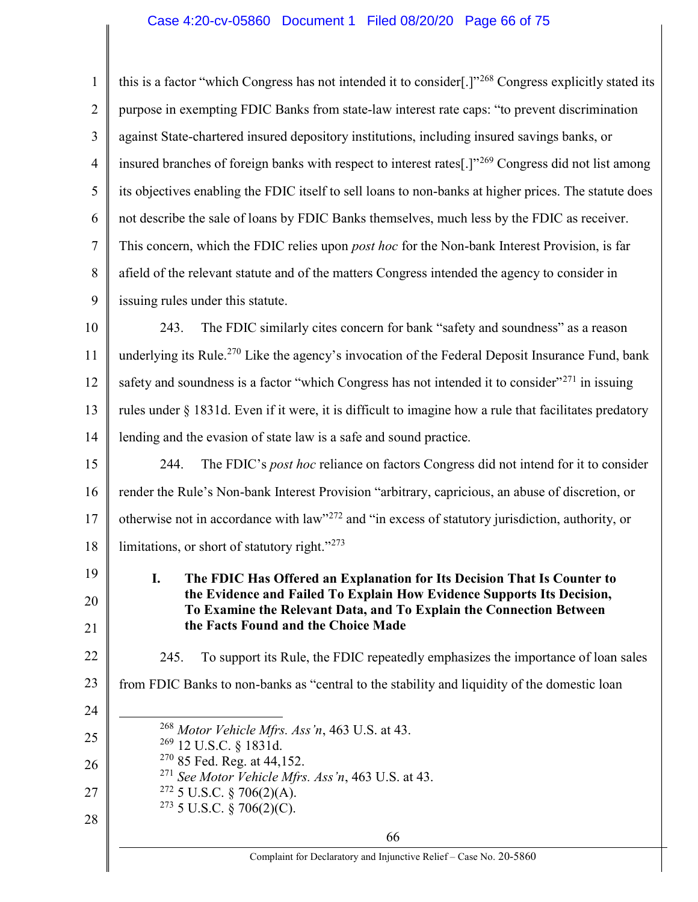# Case 4:20-cv-05860 Document 1 Filed 08/20/20 Page 66 of 75

| $\mathbf{1}$   | this is a factor "which Congress has not intended it to consider[.]" <sup>268</sup> Congress explicitly stated its                            |  |  |
|----------------|-----------------------------------------------------------------------------------------------------------------------------------------------|--|--|
| $\overline{2}$ | purpose in exempting FDIC Banks from state-law interest rate caps: "to prevent discrimination                                                 |  |  |
| 3              | against State-chartered insured depository institutions, including insured savings banks, or                                                  |  |  |
| $\overline{4}$ | insured branches of foreign banks with respect to interest rates[.]" <sup>269</sup> Congress did not list among                               |  |  |
| 5              | its objectives enabling the FDIC itself to sell loans to non-banks at higher prices. The statute does                                         |  |  |
| 6              | not describe the sale of loans by FDIC Banks themselves, much less by the FDIC as receiver.                                                   |  |  |
| $\tau$         | This concern, which the FDIC relies upon <i>post hoc</i> for the Non-bank Interest Provision, is far                                          |  |  |
| 8              | afield of the relevant statute and of the matters Congress intended the agency to consider in                                                 |  |  |
| 9              | issuing rules under this statute.                                                                                                             |  |  |
| 10             | The FDIC similarly cites concern for bank "safety and soundness" as a reason<br>243.                                                          |  |  |
| 11             | underlying its Rule. <sup>270</sup> Like the agency's invocation of the Federal Deposit Insurance Fund, bank                                  |  |  |
| 12             | safety and soundness is a factor "which Congress has not intended it to consider" <sup>271</sup> in issuing                                   |  |  |
| 13             | rules under § 1831d. Even if it were, it is difficult to imagine how a rule that facilitates predatory                                        |  |  |
| 14             | lending and the evasion of state law is a safe and sound practice.                                                                            |  |  |
| 15             | The FDIC's post hoc reliance on factors Congress did not intend for it to consider<br>244.                                                    |  |  |
| 16             | render the Rule's Non-bank Interest Provision "arbitrary, capricious, an abuse of discretion, or                                              |  |  |
| 17             | otherwise not in accordance with law" <sup>272</sup> and "in excess of statutory jurisdiction, authority, or                                  |  |  |
| 18             | limitations, or short of statutory right."273                                                                                                 |  |  |
| 19             | The FDIC Has Offered an Explanation for Its Decision That Is Counter to<br>$\mathbf{I}$                                                       |  |  |
| 20             | the Evidence and Failed To Explain How Evidence Supports Its Decision,<br>To Examine the Relevant Data, and To Explain the Connection Between |  |  |
| 21             | the Facts Found and the Choice Made                                                                                                           |  |  |
| 22             | To support its Rule, the FDIC repeatedly emphasizes the importance of loan sales<br>245.                                                      |  |  |
| 23             | from FDIC Banks to non-banks as "central to the stability and liquidity of the domestic loan                                                  |  |  |
| 24             |                                                                                                                                               |  |  |
| 25             | $^{268}$ Motor Vehicle Mfrs. Ass 'n, 463 U.S. at 43.<br>$269$ 12 U.S.C. § 1831d.                                                              |  |  |
| 26             | $270$ 85 Fed. Reg. at 44,152.<br>$^{271}$ See Motor Vehicle Mfrs. Ass'n, 463 U.S. at 43.                                                      |  |  |
| 27             | <sup>272</sup> 5 U.S.C. § 706(2)(A).                                                                                                          |  |  |
| 28             | <sup>273</sup> 5 U.S.C. § 706(2)(C).                                                                                                          |  |  |
|                | 66<br>Complaint for Declaratory and Injunctive Relief - Case No. 20-5860                                                                      |  |  |
|                |                                                                                                                                               |  |  |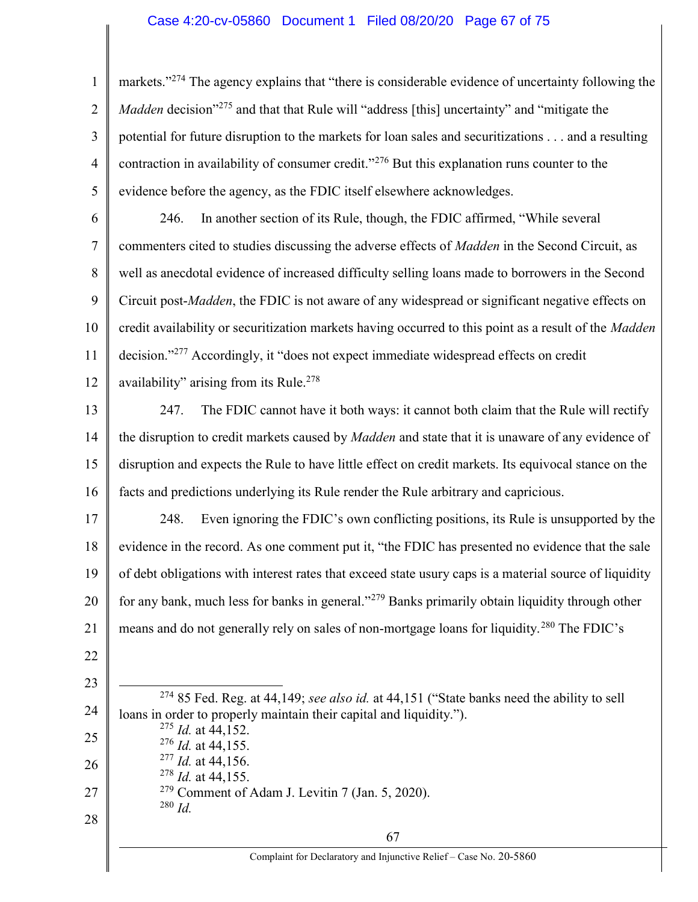## Case 4:20-cv-05860 Document 1 Filed 08/20/20 Page 67 of 75

1 2 3 4 5 markets."<sup>274</sup> The agency explains that "there is considerable evidence of uncertainty following the Madden decision<sup>"275</sup> and that that Rule will "address [this] uncertainty" and "mitigate the potential for future disruption to the markets for loan sales and securitizations . . . and a resulting contraction in availability of consumer credit."<sup>276</sup> But this explanation runs counter to the evidence before the agency, as the FDIC itself elsewhere acknowledges.

6 7 8 9 10 11 12 246. In another section of its Rule, though, the FDIC affirmed, "While several commenters cited to studies discussing the adverse effects of *Madden* in the Second Circuit, as well as anecdotal evidence of increased difficulty selling loans made to borrowers in the Second Circuit post-*Madden*, the FDIC is not aware of any widespread or significant negative effects on credit availability or securitization markets having occurred to this point as a result of the *Madden* decision."<sup>277</sup> Accordingly, it "does not expect immediate widespread effects on credit availability" arising from its Rule.<sup>278</sup>

13 14 15 16 247. The FDIC cannot have it both ways: it cannot both claim that the Rule will rectify the disruption to credit markets caused by *Madden* and state that it is unaware of any evidence of disruption and expects the Rule to have little effect on credit markets. Its equivocal stance on the facts and predictions underlying its Rule render the Rule arbitrary and capricious.

17 18 19 20 21 248. Even ignoring the FDIC's own conflicting positions, its Rule is unsupported by the evidence in the record. As one comment put it, "the FDIC has presented no evidence that the sale of debt obligations with interest rates that exceed state usury caps is a material source of liquidity for any bank, much less for banks in general."<sup>279</sup> Banks primarily obtain liquidity through other means and do not generally rely on sales of non-mortgage loans for liquidity.<sup>280</sup> The FDIC's

22

23

24  $\overline{a}$  $274$  85 Fed. Reg. at 44,149; see also id. at 44,151 ("State banks need the ability to sell loans in order to properly maintain their capital and liquidity.").

| 25 | $^{275}$ <i>Id.</i> at 44,152.                     |  |
|----|----------------------------------------------------|--|
|    | $^{276}$ <i>Id.</i> at 44,155.                     |  |
| 26 | $^{277}$ <i>Id.</i> at 44,156.                     |  |
|    | $^{278}$ <i>Id.</i> at 44,155.                     |  |
| 27 | $279$ Comment of Adam J. Levitin 7 (Jan. 5, 2020). |  |
|    | $^{280}$ Id                                        |  |

28

Complaint for Declaratory and Injunctive Relief – Case No. 20-5860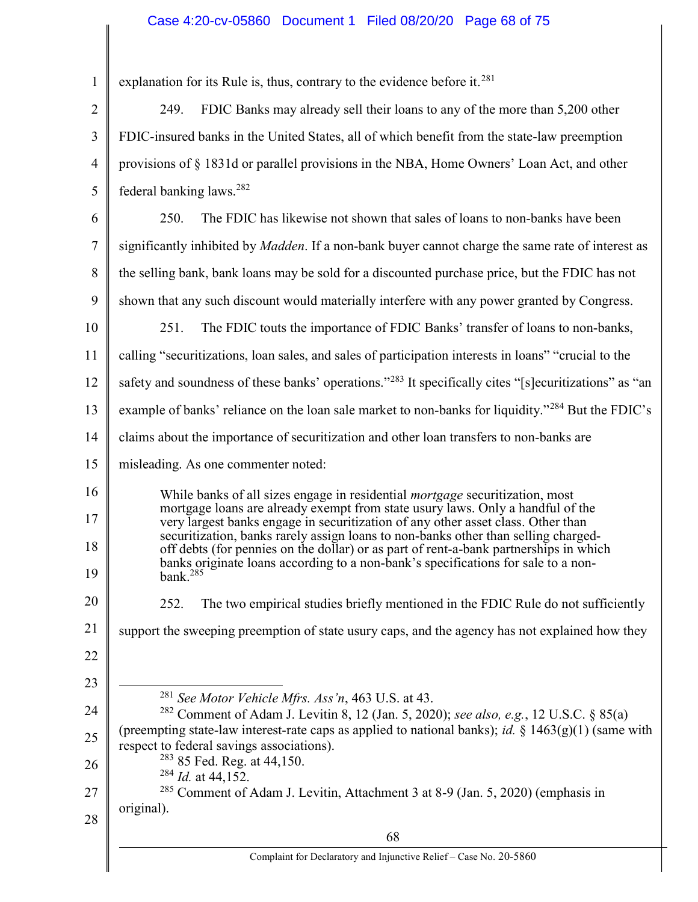# Case 4:20-cv-05860 Document 1 Filed 08/20/20 Page 68 of 75

| $\mathbf{1}$   | explanation for its Rule is, thus, contrary to the evidence before it. <sup>281</sup>                                                                                                                                                                                                    |  |  |
|----------------|------------------------------------------------------------------------------------------------------------------------------------------------------------------------------------------------------------------------------------------------------------------------------------------|--|--|
| $\overline{2}$ | FDIC Banks may already sell their loans to any of the more than 5,200 other<br>249.                                                                                                                                                                                                      |  |  |
| 3              | FDIC-insured banks in the United States, all of which benefit from the state-law preemption                                                                                                                                                                                              |  |  |
| $\overline{4}$ | provisions of § 1831d or parallel provisions in the NBA, Home Owners' Loan Act, and other                                                                                                                                                                                                |  |  |
| 5              | federal banking laws. <sup>282</sup>                                                                                                                                                                                                                                                     |  |  |
| 6              | 250.<br>The FDIC has likewise not shown that sales of loans to non-banks have been                                                                                                                                                                                                       |  |  |
| $\tau$         | significantly inhibited by <i>Madden</i> . If a non-bank buyer cannot charge the same rate of interest as                                                                                                                                                                                |  |  |
| 8              | the selling bank, bank loans may be sold for a discounted purchase price, but the FDIC has not                                                                                                                                                                                           |  |  |
| 9              | shown that any such discount would materially interfere with any power granted by Congress.                                                                                                                                                                                              |  |  |
| 10             | 251.<br>The FDIC touts the importance of FDIC Banks' transfer of loans to non-banks,                                                                                                                                                                                                     |  |  |
| 11             | calling "securitizations, loan sales, and sales of participation interests in loans" "crucial to the                                                                                                                                                                                     |  |  |
| 12             | safety and soundness of these banks' operations."283 It specifically cites "[s] ecuritizations" as "an                                                                                                                                                                                   |  |  |
| 13             | example of banks' reliance on the loan sale market to non-banks for liquidity." <sup>284</sup> But the FDIC's                                                                                                                                                                            |  |  |
| 14             | claims about the importance of securitization and other loan transfers to non-banks are                                                                                                                                                                                                  |  |  |
| 15             | misleading. As one commenter noted:                                                                                                                                                                                                                                                      |  |  |
| 16             | While banks of all sizes engage in residential <i>mortgage</i> securitization, most                                                                                                                                                                                                      |  |  |
| 17             | mortgage loans are already exempt from state usury laws. Only a handful of the<br>very largest banks engage in securitization of any other asset class. Other than                                                                                                                       |  |  |
| 18<br>19       | securitization, banks rarely assign loans to non-banks other than selling charged-<br>off debts (for pennies on the dollar) or as part of rent-a-bank partnerships in which<br>banks originate loans according to a non-bank's specifications for sale to a non-<br>bank. <sup>285</sup> |  |  |
| 20             | 252.<br>The two empirical studies briefly mentioned in the FDIC Rule do not sufficiently                                                                                                                                                                                                 |  |  |
| 21             | support the sweeping preemption of state usury caps, and the agency has not explained how they                                                                                                                                                                                           |  |  |
| 22             |                                                                                                                                                                                                                                                                                          |  |  |
| 23             |                                                                                                                                                                                                                                                                                          |  |  |
| 24             | <sup>281</sup> See Motor Vehicle Mfrs. Ass'n, 463 U.S. at 43.<br><sup>282</sup> Comment of Adam J. Levitin 8, 12 (Jan. 5, 2020); see also, e.g., 12 U.S.C. § 85(a)                                                                                                                       |  |  |
| 25             | (preempting state-law interest-rate caps as applied to national banks); id. $\S 1463(g)(1)$ (same with<br>respect to federal savings associations).                                                                                                                                      |  |  |
| 26             | <sup>283</sup> 85 Fed. Reg. at 44,150.<br>$284$ <i>Id.</i> at 44,152.                                                                                                                                                                                                                    |  |  |
| 27             | <sup>285</sup> Comment of Adam J. Levitin, Attachment 3 at 8-9 (Jan. 5, 2020) (emphasis in                                                                                                                                                                                               |  |  |
| 28             | original).                                                                                                                                                                                                                                                                               |  |  |
|                | 68                                                                                                                                                                                                                                                                                       |  |  |
|                | Complaint for Declaratory and Injunctive Relief - Case No. 20-5860                                                                                                                                                                                                                       |  |  |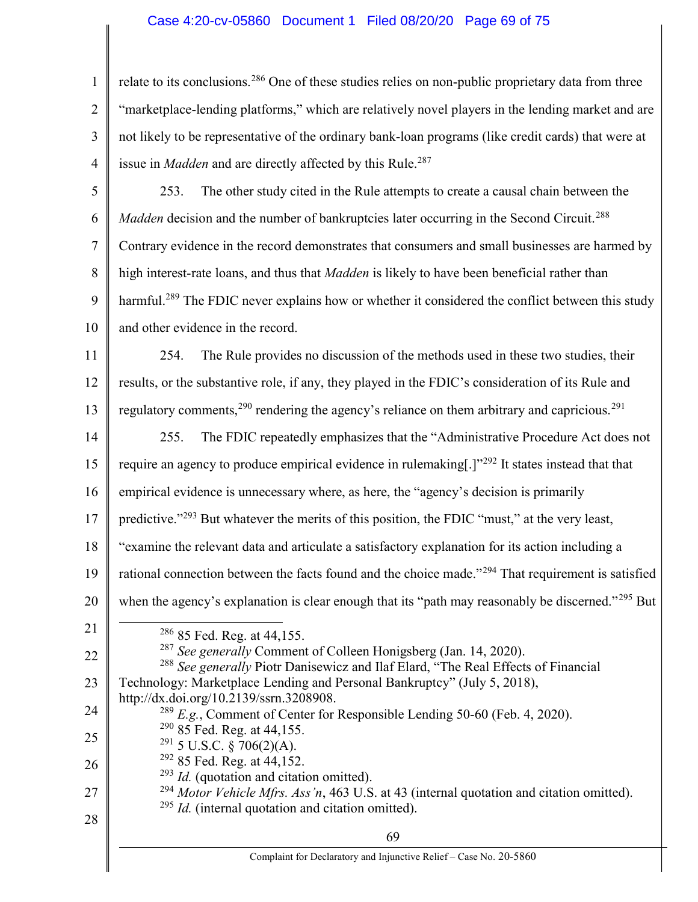## Case 4:20-cv-05860 Document 1 Filed 08/20/20 Page 69 of 75

1 2 3 4 relate to its conclusions.<sup>286</sup> One of these studies relies on non-public proprietary data from three "marketplace-lending platforms," which are relatively novel players in the lending market and are not likely to be representative of the ordinary bank-loan programs (like credit cards) that were at issue in *Madden* and are directly affected by this Rule.<sup>287</sup>

5 6 7 8 9 10 253. The other study cited in the Rule attempts to create a causal chain between the Madden decision and the number of bankruptcies later occurring in the Second Circuit.<sup>288</sup> Contrary evidence in the record demonstrates that consumers and small businesses are harmed by high interest-rate loans, and thus that *Madden* is likely to have been beneficial rather than harmful.<sup>289</sup> The FDIC never explains how or whether it considered the conflict between this study and other evidence in the record.

11 12 13 254. The Rule provides no discussion of the methods used in these two studies, their results, or the substantive role, if any, they played in the FDIC's consideration of its Rule and regulatory comments,  $290$  rendering the agency's reliance on them arbitrary and capricious.  $291$ 

14 15 16 17 18 255. The FDIC repeatedly emphasizes that the "Administrative Procedure Act does not require an agency to produce empirical evidence in rulemaking[.]"<sup>292</sup> It states instead that that empirical evidence is unnecessary where, as here, the "agency's decision is primarily predictive."<sup>293</sup> But whatever the merits of this position, the FDIC "must," at the very least, "examine the relevant data and articulate a satisfactory explanation for its action including a

- 19 rational connection between the facts found and the choice made."<sup>294</sup> That requirement is satisfied
- 20

21

when the agency's explanation is clear enough that its "path may reasonably be discerned."<sup>295</sup> But

22 23 24 25 26 27 28  $286$  85 Fed. Reg. at 44,155.  $287$  See generally Comment of Colleen Honigsberg (Jan. 14, 2020). <sup>288</sup> See generally Piotr Danisewicz and Ilaf Elard, "The Real Effects of Financial Technology: Marketplace Lending and Personal Bankruptcy" (July 5, 2018), http://dx.doi.org/10.2139/ssrn.3208908.  $^{289}$  E.g., Comment of Center for Responsible Lending 50-60 (Feb. 4, 2020). <sup>290</sup> 85 Fed. Reg. at 44,155.  $291$  5 U.S.C. § 706(2)(A). <sup>292</sup> 85 Fed. Reg. at 44,152.  $^{293}$  *Id.* (quotation and citation omitted). <sup>294</sup> Motor Vehicle Mfrs. Ass 'n, 463 U.S. at 43 (internal quotation and citation omitted).  $^{295}$  *Id.* (internal quotation and citation omitted).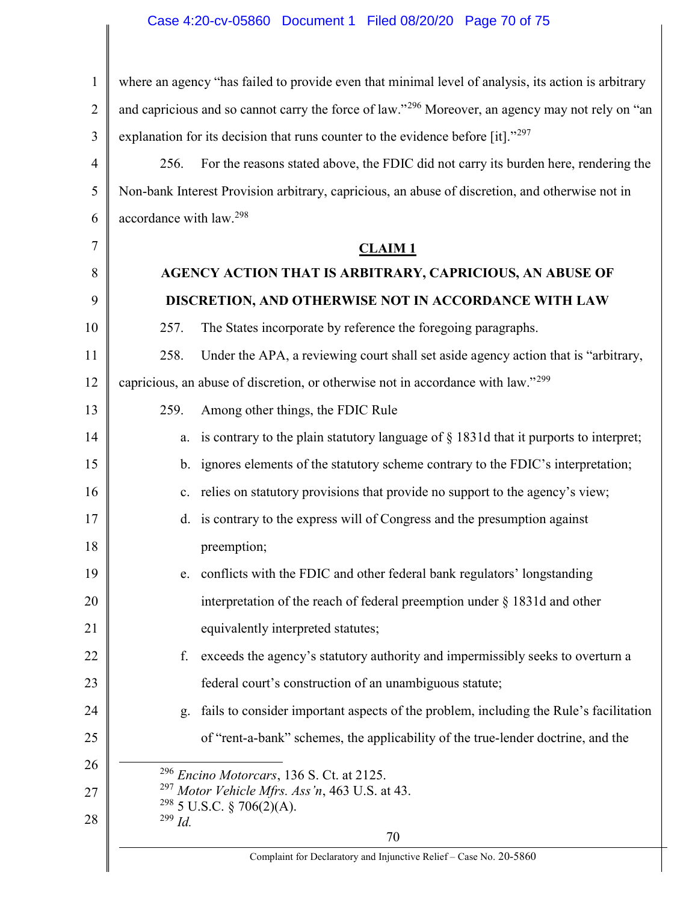# Case 4:20-cv-05860 Document 1 Filed 08/20/20 Page 70 of 75

| $\mathbf{1}$   | where an agency "has failed to provide even that minimal level of analysis, its action is arbitrary          |                                                                                              |  |
|----------------|--------------------------------------------------------------------------------------------------------------|----------------------------------------------------------------------------------------------|--|
| $\overline{2}$ | and capricious and so cannot carry the force of law." <sup>296</sup> Moreover, an agency may not rely on "an |                                                                                              |  |
| 3              | explanation for its decision that runs counter to the evidence before [it]."297                              |                                                                                              |  |
| $\overline{4}$ | For the reasons stated above, the FDIC did not carry its burden here, rendering the<br>256.                  |                                                                                              |  |
| 5              | Non-bank Interest Provision arbitrary, capricious, an abuse of discretion, and otherwise not in              |                                                                                              |  |
| 6              | accordance with law. <sup>298</sup>                                                                          |                                                                                              |  |
| 7              |                                                                                                              | $CLAIM$ <sub>1</sub>                                                                         |  |
| 8              | AGENCY ACTION THAT IS ARBITRARY, CAPRICIOUS, AN ABUSE OF                                                     |                                                                                              |  |
| 9              |                                                                                                              | DISCRETION, AND OTHERWISE NOT IN ACCORDANCE WITH LAW                                         |  |
| 10             | 257.                                                                                                         | The States incorporate by reference the foregoing paragraphs.                                |  |
| 11             | 258.                                                                                                         | Under the APA, a reviewing court shall set aside agency action that is "arbitrary,           |  |
| 12             |                                                                                                              | capricious, an abuse of discretion, or otherwise not in accordance with law." <sup>299</sup> |  |
| 13             | 259.                                                                                                         | Among other things, the FDIC Rule                                                            |  |
| 14             | a.                                                                                                           | is contrary to the plain statutory language of $\S$ 1831d that it purports to interpret;     |  |
| 15             |                                                                                                              | b. ignores elements of the statutory scheme contrary to the FDIC's interpretation;           |  |
| 16             |                                                                                                              | c. relies on statutory provisions that provide no support to the agency's view;              |  |
| 17             |                                                                                                              | d. is contrary to the express will of Congress and the presumption against                   |  |
| 18             |                                                                                                              | preemption;                                                                                  |  |
| 19             |                                                                                                              | e. conflicts with the FDIC and other federal bank regulators' longstanding                   |  |
| 20             |                                                                                                              | interpretation of the reach of federal preemption under $\S$ 1831d and other                 |  |
| 21             |                                                                                                              | equivalently interpreted statutes;                                                           |  |
| 22             | f.                                                                                                           | exceeds the agency's statutory authority and impermissibly seeks to overturn a               |  |
| 23             |                                                                                                              | federal court's construction of an unambiguous statute;                                      |  |
| 24             | g.                                                                                                           | fails to consider important aspects of the problem, including the Rule's facilitation        |  |
| 25             |                                                                                                              | of "rent-a-bank" schemes, the applicability of the true-lender doctrine, and the             |  |
| 26             |                                                                                                              | $296$ Encino Motorcars, 136 S. Ct. at 2125.                                                  |  |
| 27             | <sup>297</sup> Motor Vehicle Mfrs. Ass'n, 463 U.S. at 43.<br>$^{298}$ 5 U.S.C. § 706(2)(A).                  |                                                                                              |  |
| 28             | $299$ Id.                                                                                                    | 70                                                                                           |  |
|                | Complaint for Declaratory and Injunctive Relief - Case No. 20-5860                                           |                                                                                              |  |
|                |                                                                                                              |                                                                                              |  |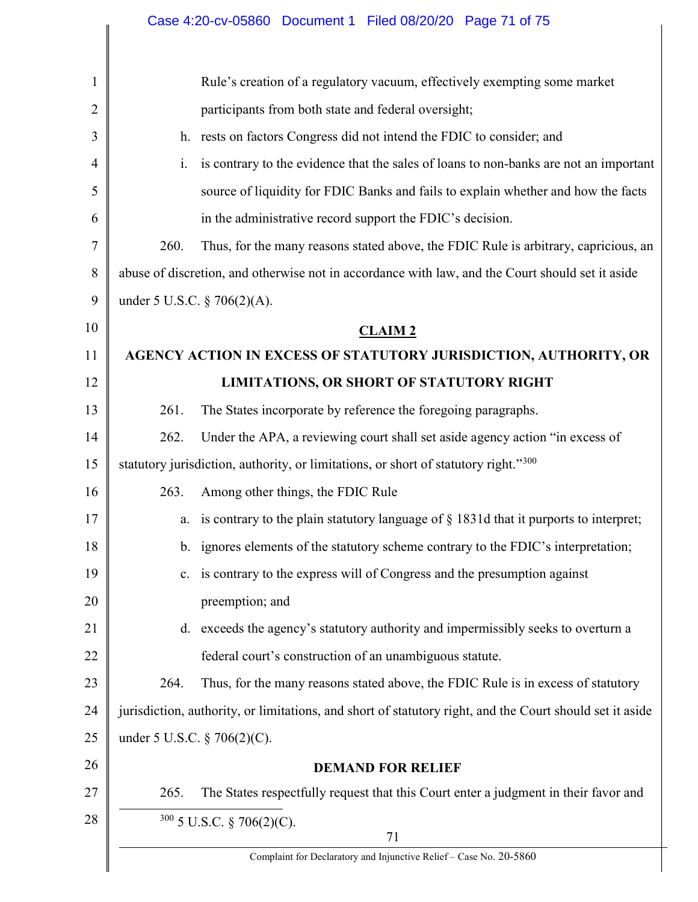|                |                                                                                                          | Case 4:20-cv-05860 Document 1 Filed 08/20/20 Page 71 of 75                                       |  |
|----------------|----------------------------------------------------------------------------------------------------------|--------------------------------------------------------------------------------------------------|--|
|                |                                                                                                          |                                                                                                  |  |
| 1              |                                                                                                          | Rule's creation of a regulatory vacuum, effectively exempting some market                        |  |
| $\overline{2}$ | participants from both state and federal oversight;                                                      |                                                                                                  |  |
| 3              | h. rests on factors Congress did not intend the FDIC to consider; and                                    |                                                                                                  |  |
| $\overline{4}$ | i.                                                                                                       | is contrary to the evidence that the sales of loans to non-banks are not an important            |  |
| 5              | source of liquidity for FDIC Banks and fails to explain whether and how the facts                        |                                                                                                  |  |
| 6              |                                                                                                          | in the administrative record support the FDIC's decision.                                        |  |
| 7              | 260.<br>Thus, for the many reasons stated above, the FDIC Rule is arbitrary, capricious, an              |                                                                                                  |  |
| 8              |                                                                                                          | abuse of discretion, and otherwise not in accordance with law, and the Court should set it aside |  |
| 9              | under 5 U.S.C. $\S 706(2)(A)$ .                                                                          |                                                                                                  |  |
| 10             | <b>CLAIM2</b>                                                                                            |                                                                                                  |  |
| 11             | AGENCY ACTION IN EXCESS OF STATUTORY JURISDICTION, AUTHORITY, OR                                         |                                                                                                  |  |
| 12             |                                                                                                          | LIMITATIONS, OR SHORT OF STATUTORY RIGHT                                                         |  |
| 13             | 261.                                                                                                     | The States incorporate by reference the foregoing paragraphs.                                    |  |
| 14             | 262.                                                                                                     | Under the APA, a reviewing court shall set aside agency action "in excess of                     |  |
| 15             |                                                                                                          | statutory jurisdiction, authority, or limitations, or short of statutory right."300              |  |
| 16             | 263.                                                                                                     | Among other things, the FDIC Rule                                                                |  |
| 17             |                                                                                                          | a. is contrary to the plain statutory language of $\S$ 1831d that it purports to interpret;      |  |
| 18             |                                                                                                          | b. ignores elements of the statutory scheme contrary to the FDIC's interpretation;               |  |
| 19             |                                                                                                          | c. is contrary to the express will of Congress and the presumption against                       |  |
| 20             |                                                                                                          | preemption; and                                                                                  |  |
| 21             |                                                                                                          | d. exceeds the agency's statutory authority and impermissibly seeks to overturn a                |  |
| 22             |                                                                                                          | federal court's construction of an unambiguous statute.                                          |  |
| 23             | 264.                                                                                                     | Thus, for the many reasons stated above, the FDIC Rule is in excess of statutory                 |  |
| 24             | jurisdiction, authority, or limitations, and short of statutory right, and the Court should set it aside |                                                                                                  |  |
| 25             | under 5 U.S.C. $\S 706(2)(C)$ .                                                                          |                                                                                                  |  |
| 26             |                                                                                                          | <b>DEMAND FOR RELIEF</b>                                                                         |  |
| 27             | 265.                                                                                                     | The States respectfully request that this Court enter a judgment in their favor and              |  |
| 28             |                                                                                                          | 300 5 U.S.C. § 706(2)(C).                                                                        |  |
|                | 71<br>Complaint for Declaratory and Injunctive Relief - Case No. 20-5860                                 |                                                                                                  |  |
|                |                                                                                                          |                                                                                                  |  |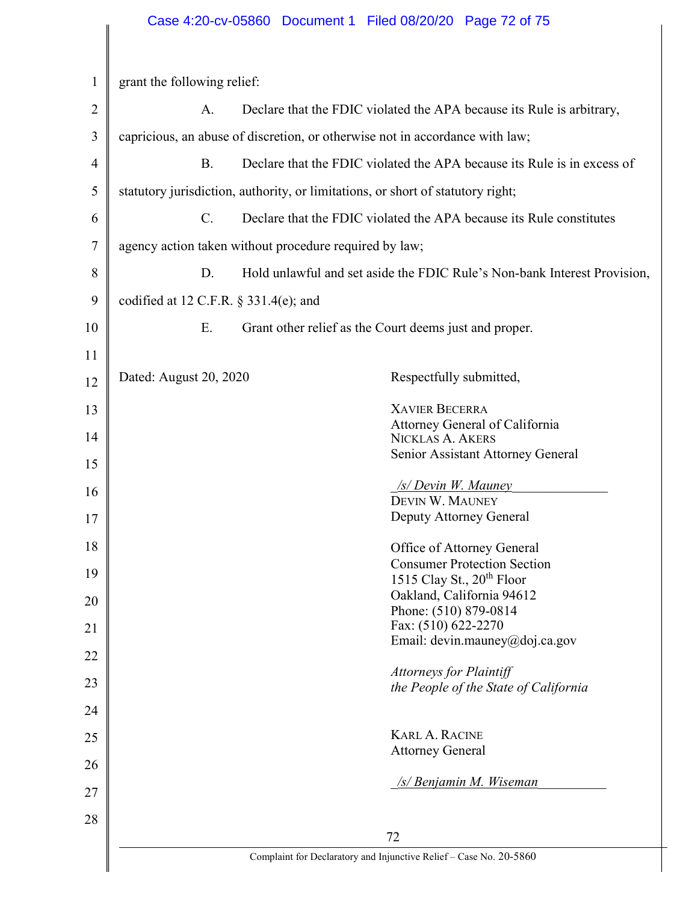| $\mathbf{1}$   | grant the following relief:                                                 |                                                                          |                                                                                 |  |
|----------------|-----------------------------------------------------------------------------|--------------------------------------------------------------------------|---------------------------------------------------------------------------------|--|
| $\overline{2}$ | Declare that the FDIC violated the APA because its Rule is arbitrary,<br>A. |                                                                          |                                                                                 |  |
| 3              |                                                                             |                                                                          | capricious, an abuse of discretion, or otherwise not in accordance with law;    |  |
| 4              | <b>B.</b>                                                                   | Declare that the FDIC violated the APA because its Rule is in excess of  |                                                                                 |  |
| 5              |                                                                             |                                                                          | statutory jurisdiction, authority, or limitations, or short of statutory right; |  |
| 6              | $C_{\cdot}$                                                                 | Declare that the FDIC violated the APA because its Rule constitutes      |                                                                                 |  |
| 7              |                                                                             | agency action taken without procedure required by law;                   |                                                                                 |  |
| 8              | D.                                                                          | Hold unlawful and set aside the FDIC Rule's Non-bank Interest Provision, |                                                                                 |  |
| 9              |                                                                             | codified at 12 C.F.R. $\S$ 331.4(e); and                                 |                                                                                 |  |
| 10             | E.                                                                          | Grant other relief as the Court deems just and proper.                   |                                                                                 |  |
| 11             |                                                                             |                                                                          |                                                                                 |  |
| 12             | Dated: August 20, 2020                                                      |                                                                          | Respectfully submitted,                                                         |  |
| 13             |                                                                             |                                                                          | <b>XAVIER BECERRA</b>                                                           |  |
| 14             |                                                                             |                                                                          | Attorney General of California<br><b>NICKLAS A. AKERS</b>                       |  |
| 15             |                                                                             |                                                                          | Senior Assistant Attorney General                                               |  |
| 16             |                                                                             |                                                                          | <b>S/Devin W. Mauney</b>                                                        |  |
|                |                                                                             |                                                                          | DEVIN W. MAUNEY                                                                 |  |
| 17             |                                                                             |                                                                          | Deputy Attorney General                                                         |  |
| 18             |                                                                             |                                                                          | Office of Attorney General<br><b>Consumer Protection Section</b>                |  |
| 19             |                                                                             |                                                                          | 1515 Clay St., 20 <sup>th</sup> Floor                                           |  |
| 20             | Oakland, California 94612                                                   |                                                                          |                                                                                 |  |
|                | Phone: (510) 879-0814                                                       |                                                                          |                                                                                 |  |
| 21             | Fax: (510) 622-2270<br>Email: devin.mauney@doj.ca.gov                       |                                                                          |                                                                                 |  |
| 22             |                                                                             |                                                                          | <b>Attorneys for Plaintiff</b>                                                  |  |
| 23             |                                                                             |                                                                          | the People of the State of California                                           |  |
| 24             |                                                                             |                                                                          |                                                                                 |  |
| 25             |                                                                             |                                                                          | <b>KARL A. RACINE</b>                                                           |  |
| 26             |                                                                             |                                                                          | <b>Attorney General</b>                                                         |  |
| 27             |                                                                             |                                                                          | <u>/s/ Benjamin M. Wiseman</u>                                                  |  |
| 28             |                                                                             |                                                                          |                                                                                 |  |
|                |                                                                             |                                                                          | 72                                                                              |  |
|                | Complaint for Declaratory and Injunctive Relief - Case No. 20-5860          |                                                                          |                                                                                 |  |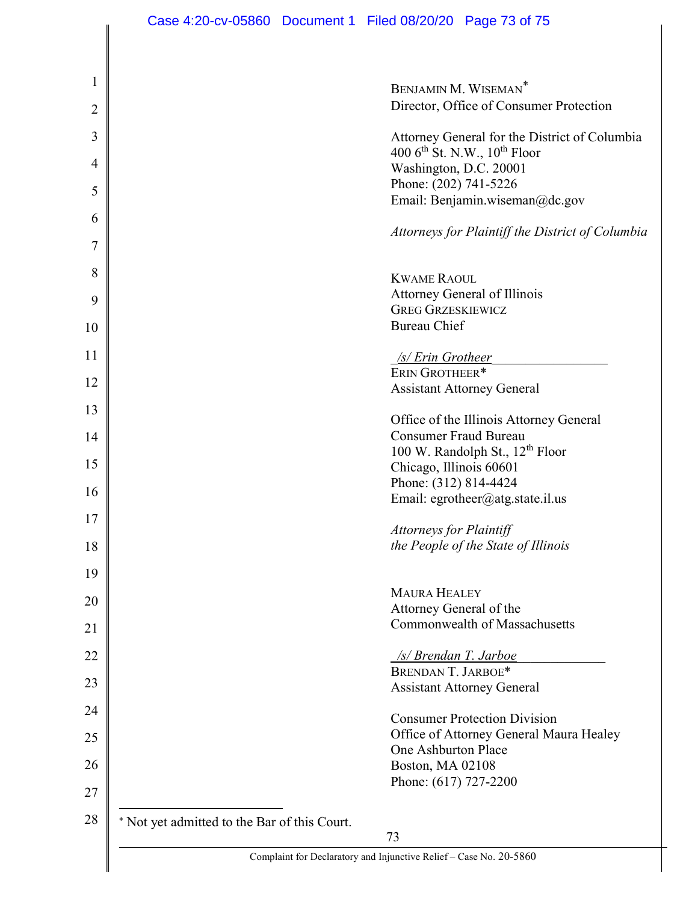|                                              | BENJAMIN M. WISEMAN <sup>*</sup>                                        |
|----------------------------------------------|-------------------------------------------------------------------------|
|                                              | Director, Office of Consumer Protection                                 |
|                                              | Attorney General for the District of Columbia                           |
|                                              | 400 $6^{\text{th}}$ St. N.W., $10^{\text{th}}$ Floor                    |
|                                              | Washington, D.C. 20001                                                  |
|                                              | Phone: (202) 741-5226<br>Email: Benjamin.wiseman@dc.gov                 |
|                                              |                                                                         |
|                                              | Attorneys for Plaintiff the District of Columbia                        |
|                                              |                                                                         |
|                                              | <b>KWAME RAOUL</b>                                                      |
|                                              | Attorney General of Illinois<br><b>GREG GRZESKIEWICZ</b>                |
|                                              | <b>Bureau Chief</b>                                                     |
|                                              |                                                                         |
|                                              | /s/ Erin Grotheer                                                       |
|                                              | ERIN GROTHEER*                                                          |
|                                              | <b>Assistant Attorney General</b>                                       |
|                                              |                                                                         |
|                                              | Office of the Illinois Attorney General<br><b>Consumer Fraud Bureau</b> |
|                                              | 100 W. Randolph St., 12 <sup>th</sup> Floor                             |
|                                              | Chicago, Illinois 60601                                                 |
|                                              | Phone: (312) 814-4424                                                   |
|                                              | Email: egrotheer@atg.state.il.us                                        |
|                                              |                                                                         |
|                                              | <b>Attorneys for Plaintiff</b><br>the People of the State of Illinois   |
|                                              |                                                                         |
|                                              | <b>MAURA HEALEY</b>                                                     |
|                                              | Attorney General of the                                                 |
|                                              | Commonwealth of Massachusetts                                           |
|                                              |                                                                         |
|                                              | /s/ Brendan T. Jarboe                                                   |
|                                              | BRENDAN T. JARBOE*                                                      |
|                                              | <b>Assistant Attorney General</b>                                       |
|                                              | <b>Consumer Protection Division</b>                                     |
|                                              | Office of Attorney General Maura Healey                                 |
|                                              | One Ashburton Place                                                     |
|                                              | Boston, MA 02108                                                        |
|                                              | Phone: (617) 727-2200                                                   |
|                                              |                                                                         |
| * Not yet admitted to the Bar of this Court. |                                                                         |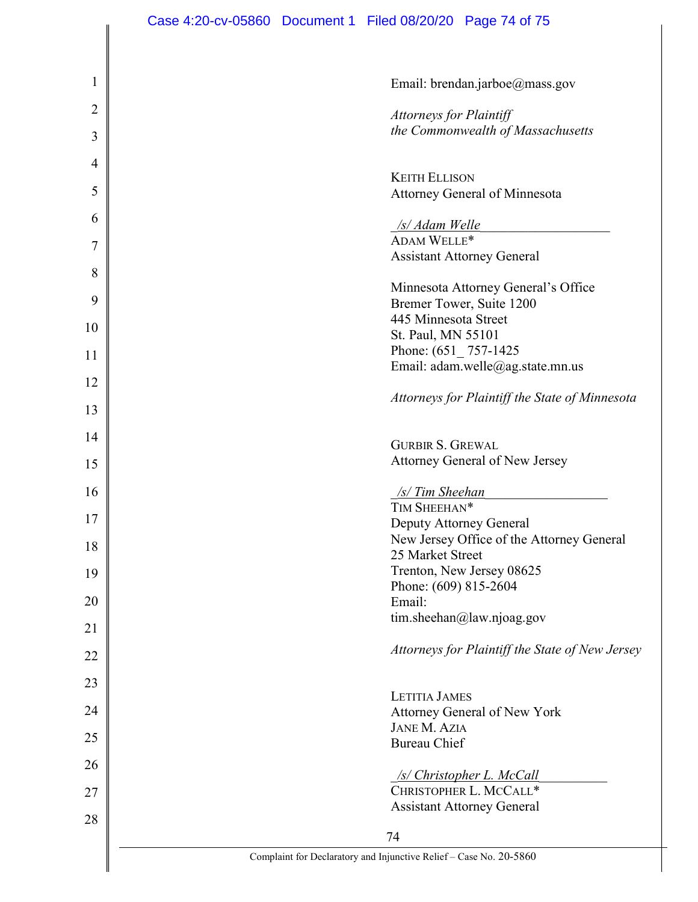| $\mathbf{1}$   | Email: brendan.jarboe@mass.gov                                     |
|----------------|--------------------------------------------------------------------|
| $\overline{2}$ | Attorneys for Plaintiff                                            |
| 3              | the Commonwealth of Massachusetts                                  |
| 4              |                                                                    |
| 5              | <b>KEITH ELLISON</b><br><b>Attorney General of Minnesota</b>       |
|                |                                                                    |
| 6              | <u>/s/ Adam Welle</u>                                              |
| 7              | ADAM WELLE*<br><b>Assistant Attorney General</b>                   |
| 8              |                                                                    |
|                | Minnesota Attorney General's Office                                |
| 9              | Bremer Tower, Suite 1200                                           |
| 10             | 445 Minnesota Street                                               |
|                | St. Paul, MN 55101                                                 |
| 11             | Phone: $(651 \_ 757 - 1425)$                                       |
| 12             | Email: adam.welle@ag.state.mn.us                                   |
| 13             | Attorneys for Plaintiff the State of Minnesota                     |
| 14             |                                                                    |
|                | <b>GURBIR S. GREWAL</b>                                            |
| 15             | Attorney General of New Jersey                                     |
| 16             | <u>/s/ Tim Sheehan</u>                                             |
| 17             | TIM SHEEHAN*                                                       |
|                | Deputy Attorney General                                            |
| 18             | New Jersey Office of the Attorney General<br>25 Market Street      |
| 19             | Trenton, New Jersey 08625                                          |
|                | Phone: (609) 815-2604                                              |
| 20             | Email:                                                             |
| 21             | tim.sheehan@law.njoag.gov                                          |
| 22             | Attorneys for Plaintiff the State of New Jersey                    |
| 23             |                                                                    |
|                | <b>LETITIA JAMES</b>                                               |
| 24             | <b>Attorney General of New York</b>                                |
| 25             | <b>JANE M. AZIA</b>                                                |
|                | <b>Bureau Chief</b>                                                |
| 26             | <b>/s/ Christopher L. McCall</b>                                   |
| 27             | CHRISTOPHER L. MCCALL*                                             |
| 28             | <b>Assistant Attorney General</b>                                  |
|                | 74                                                                 |
|                | Complaint for Declaratory and Injunctive Relief - Case No. 20-5860 |